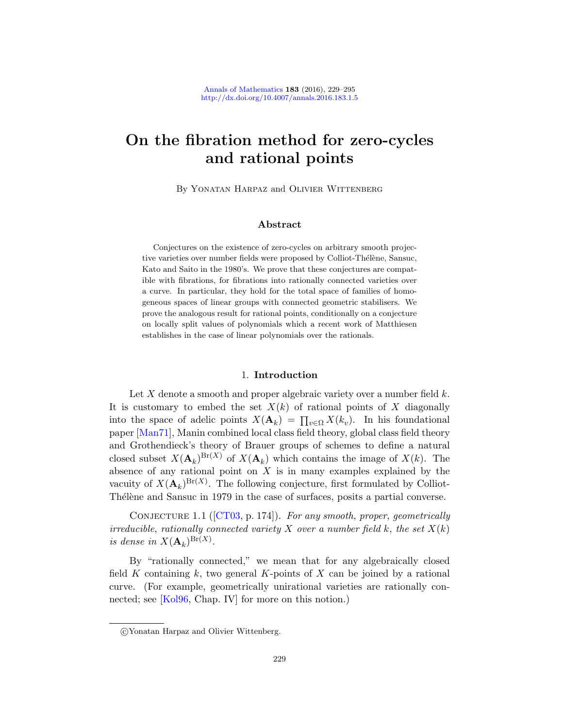# On the fibration method for zero-cycles and rational points

By Yonatan Harpaz and Olivier Wittenberg

# Abstract

<span id="page-0-1"></span>Conjectures on the existence of zero-cycles on arbitrary smooth projective varieties over number fields were proposed by Colliot-Thélène, Sansuc, Kato and Saito in the 1980's. We prove that these conjectures are compatible with fibrations, for fibrations into rationally connected varieties over a curve. In particular, they hold for the total space of families of homogeneous spaces of linear groups with connected geometric stabilisers. We prove the analogous result for rational points, conditionally on a conjecture on locally split values of polynomials which a recent work of Matthiesen establishes in the case of linear polynomials over the rationals.

# 1. Introduction

<span id="page-0-0"></span>Let X denote a smooth and proper algebraic variety over a number field  $k$ . It is customary to embed the set  $X(k)$  of rational points of X diagonally into the space of adelic points  $X(\mathbf{A}_k) = \prod_{v \in \Omega} X(k_v)$ . In his foundational [paper \[M](#page-59-0)an71], Manin combined local class field theory, global class field theory and Grothendieck's theory of Brauer groups of schemes to define a natural closed subset  $X(\mathbf{A}_k)^{Br(X)}$  of  $X(\mathbf{A}_k)$  which contains the image of  $X(k)$ . The absence of any rational point on  $X$  is in many examples explained by the vacuity of  $X(\mathbf{A}_k)^{Br(X)}$ . The following conjecture, first formulated by Colliot-Thélène and Sansuc in 1979 in the case of surfaces, posits a partial converse.

CONJECTURE 1.1 ( $[CT03, p. 174]$ ). For any smooth, proper, geometrically irreducible, rationally connected variety X over a number field k, the set  $X(k)$ is dense in  $X(\mathbf{A}_k)^{\text{Br}(X)}$ .

By "rationally connected," we mean that for any algebraically closed field K containing k, two general K-points of X can be joined by a rational curve. (For example, geometrically unirational varieties are rationally connected; see [Kol96, Chap. IV] for more on this notion.)

c Yonatan Harpaz and Olivier Wittenberg.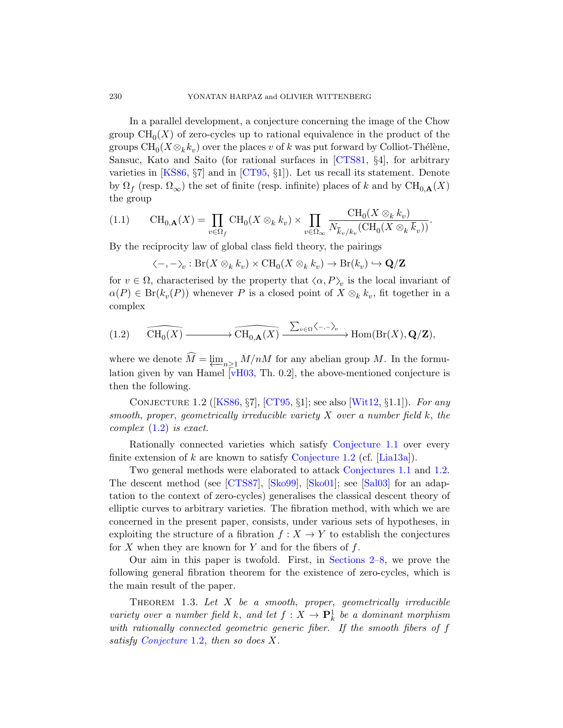<span id="page-1-2"></span>In a parallel development, a conjecture concerning the image of the Chow group  $\text{CH}_0(X)$  of zero-cycles up to rational equivalence in the product of the groups  $\text{CH}_0(X \otimes_k k_v)$  over the places v of k was put forward by Colliot-Thélène, Sansuc, Kato and Saito (for rational surfaces in [CTS81, §4], for arbitrary varieties in [KS86, §7] and in [CT95, §1]). Let us recall its statement. Denote by  $\Omega_f$  (resp.  $\Omega_{\infty}$ ) the set of finite (resp. infinite) places of k and by  $\text{CH}_{0,\mathbf{A}}(X)$ the group

$$
(1.1) \qquad \text{CH}_{0,\mathbf{A}}(X) = \prod_{v \in \Omega_f} \text{CH}_0(X \otimes_k k_v) \times \prod_{v \in \Omega_{\infty}} \frac{\text{CH}_0(X \otimes_k k_v)}{N_{\overline{k}_v/k_v}(\text{CH}_0(X \otimes_k \overline{k}_v))}.
$$

<span id="page-1-3"></span>By the reciprocity law of global class field theory, the pairings

$$
\langle -, -\rangle_v : \text{Br}(X \otimes_k k_v) \times \text{CH}_0(X \otimes_k k_v) \to \text{Br}(k_v) \hookrightarrow \mathbf{Q}/\mathbf{Z}
$$

for  $v \in \Omega$ , characterised by the property that  $\langle \alpha, P \rangle_v$  is the local invariant of  $\alpha(P) \in Br(k_v(P))$  $\alpha(P) \in Br(k_v(P))$  $\alpha(P) \in Br(k_v(P))$  whenever P is a closed point of  $X \otimes_k k_v$ , fit together in a complex

<span id="page-1-0"></span>
$$
(1.2) \qquad \widehat{\mathrm{CH}_0(X)} \longrightarrow \widehat{\mathrm{CH}_{0,\mathbf{A}}(X)} \xrightarrow{\sum_{v \in \Omega} \langle -, -\rangle_v} \mathrm{Hom}(\mathrm{Br}(X), \mathbf{Q}/\mathbf{Z}),
$$

where we denote  $M = \varprojlim_{n \geq 1} M/nM$  $M = \varprojlim_{n \geq 1} M/nM$  for any abelian group M. In the formulation given by van Hamel  $\overline{v}$ H03, Th. 0.2, the above-mentioned conjecture is then the following.

CONJECTURE 1.2 ( $[KSS6, \S7]$ ,  $[CT95, \S1]$ ; see also  $[Wit12, \S1.1]$ ). For any smooth, proper, geometrically irreducible variety  $X$  over a number field  $k$ , the complex (1.2) is exact.

Rationally connected varieties which satisfy Conjecture 1.1 over every finite extension of k are known to satisfy Conjecture 1.2 (cf. [Lia13a]).

Two general methods were elaborated to attack Conjectures 1.1 and 1.2. The descent method (see [\[CTS87\], \[S](#page-9-0)[ko](#page-29-0)99], [Sko01]; see [Sal03] for an adaptation to the context of zero-cycles) generalises the classical descent theory of elliptic curves to arbitrary varieties. The fibration method, with which we are concerned in the present paper, consists, under various sets of hypotheses, in exploiting the structure of a fibration  $f : X \to Y$  to establish the conjectures for X when they are known for Y and for the fibers of  $f$ .

<span id="page-1-1"></span>Our aim in this paper is twofold. First, in Sections 2–8, we prove the following general fibration theorem for the existence of zero-cycles, which is the main result of the paper.

THEOREM 1.3. Let  $X$  be a smooth, proper, geometrically irreducible variety over a number field k, and let  $f: X \to \mathbf{P}_k^1$  be a dominant morphism with rationally connected geometric generic fiber. If the smooth fibers of f satisfy Conjecture 1.2, then so does X.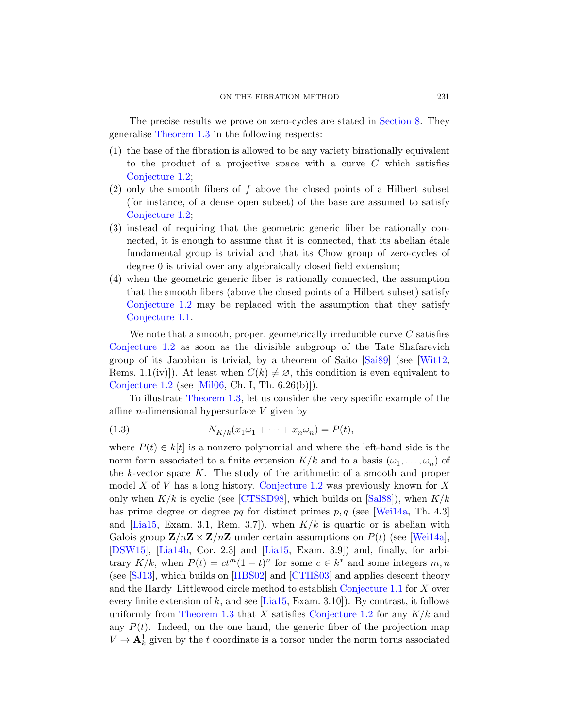The precise results we prove on zero-cycles are stated in Section 8. They generalise Theorem 1.3 in the following respects:

- (1) the base of the fibration is allowed to be any variety birationally equivalent to the product of a projective space with a curve  $C$  which satisfies Conjecture 1.2;
- $(2)$  only the smooth fibers of f above the closed points of a Hilbert subset (for instance, of a dense open subset) of the base are assumed to satisfy Conjecture 1.2;
- (3) instead of requiring that the geometric generic fiber be rationally connected, it is enough to assume that it is connected, that its abelian étale fundamental group is trivial and that its Chow group of zero-cycles of degree 0 is trivial over any algebraically closed field extension;
- (4) when the geometric generic fib[er is r](#page-64-0)ationa[lly con](#page-66-0)nected, the assumption that the smooth fibers (above the closed points of a Hilbert subset) satisfy Conjecture 1.2 may be replaced with the assumption that they satisfy [Con](#page-1-1)jecture 1.1.

<span id="page-2-0"></span>We note that a smooth, proper, geometrically irreducible curve  $C$  satisfies Conjecture 1.2 as soon as the divisible subgroup of the Tate–Shafarevich group of its Jacobian is trivial, by a theorem of Saito [Sai89] (see [Wit12, Rems. 1.1(iv)]). At least when  $C(k) \neq \emptyset$ , this condition is even equivalent to Conjecture 1.2 (see [Mil06, Ch. I, Th. 6.26(b)]).

To illustrate Theorem 1.3, let us consider the very specific example of the affine *n*[-di](#page-60-1)[mensional hyper](#page-1-0)surface  $V$  [given](#page-64-1) by

$$
(1.3) \t\t N_{K/k}(x_1\omega_1 + \dots + x_n\omega_n) = P(t),
$$

where  $P(t) \in k[t]$  is a nonzero polynomial and where the left-hand side is the norm form associated to a finite extension  $K/k$  [and t](#page-66-1)o a basis  $(\omega_1, \ldots, \omega_n)$  of the  $k$ -vecto[r space](#page-63-1)  $K$ . The study of the arithmetic of a smooth and proper model X of V has a long history. Conjecture 1.2 was previously known for  $X$ only [when](#page-62-1)  $K/k$  is [cyclic \(se](#page-60-2)e [CTSSD98], which builds on [Sal88]), when  $K/k$ has prime degree or degree pq [for distinct p](#page-0-0)rimes p, q (see [Wei14a, Th. 4.3] and  $[Lia15, Exam. 3.1, Rem. 3.7]$  $[Lia15, Exam. 3.1, Rem. 3.7]$  $[Lia15, Exam. 3.1, Rem. 3.7]$ , when  $K/k$  is quartic or is abelian with [Galois](#page-1-1) group  $\mathbf{Z}/n\mathbf{Z} \times \mathbf{Z}/n\mathbf{Z}$  [under cer](#page-1-0)tain assumptions on  $P(t)$  (see [Wei14a], [DSW15], [Lia14b, Cor. 2.3] and [Lia15, Exam. 3.9]) and, finally, for arbitrary  $K/k$ , when  $P(t) = ct^m(1-t)^n$  for some  $c \in k^*$  and some integers  $m, n$ (see [SJ13], which builds on [HBS02] and [CTHS03] and applies descent theory and the Hardy–Littlewood circle method to establish Conjecture 1.1 for X over every finite extension of k, and see [Lia15, Exam. 3.10]). By contrast, it follows uniformly from Theorem 1.3 that X satisfies Conjecture 1.2 for any  $K/k$  and any  $P(t)$ . Indeed, on the one hand, the generic fiber of the projection map  $V \to \mathbf{A}^1_k$  given by the t coordinate is a torsor under the norm torus associated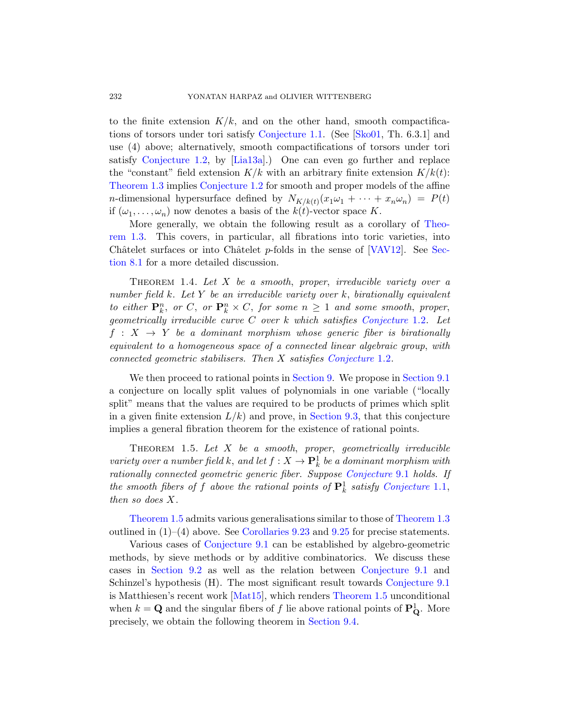to the finite extension  $K/k$ , and on the other hand, smooth compactifications of torsors under tori satisfy Conjecture 1.1. (See [Sko01, Th. 6.3.1] and use (4) above; alternatively, smooth compactifi[cations](#page-1-1) of torsors under tori satisfy Conjecture 1.2, by [Lia13a].) One can even go further and replace the "constant" field extension  $K/k$  [with an](#page-66-2) arbitr[ary fi](#page-30-0)nite extension  $K/k(t)$ : Theorem 1.3 implies Conjecture 1.2 for smooth and proper models of the affine *n*-dimensional hypersurface defined by  $N_{K/k(t)}(x_1\omega_1 + \cdots + x_n\omega_n) = P(t)$ if  $(\omega_1, \ldots, \omega_n)$  now denotes a basis of the  $k(t)$ -vector space K.

More generally, we obtain the following result as a corollary of Theorem 1.3. This covers, in partic[ular, all fibratio](#page-1-0)ns into toric varieties, into Châtelet surfaces or into Châtelet  $p$ -folds in the sense of [VAV12]. See Section 8.1 for a more detailed discussion.

THEOREM 1.4. Let  $X$  [be a smooth](#page-1-0), proper, irreducible variety over a number field k. Let Y [be an](#page-37-0) irreducible var[iety over](#page-37-1) k, birationally equivalent to either  $\mathbf{P}_k^n$ , or  $C$ , or  $\mathbf{P}_k^n \times C$ , for some  $n \geq 1$  and some smooth, proper, geometrically irreducible curve  $C$  over  $k$  which satisfies Conjecture 1.2. Let  $f: X \rightarrow Y$  be a d[ominant mo](#page-48-0)rphism whose generic fiber is birationally equivalent to a homogeneous space of a connected linear algebraic group, with connected geometric stabilisers. Then X satisfies Conjecture 1.2.

<span id="page-3-0"></span>We then proceed to rational points in Section 9. We propose in Section 9.1 a conjecture on locally split [values of polyno](#page-38-0)mials in one variable ("locally split" means that the values are requir[ed to be produc](#page-0-0)ts of primes which split in a given finite extension  $L/k$ ) and prove, in Section 9.3, that this conjecture implies a general fibration theorem for th[e existence of](#page-1-1) rational points.

THEOREM 1.5. Let  $X$  [be](#page-55-0) a smooth, proper, geometrically irreducible [variety over a](#page-38-0) number field k, and let  $f: X \to \mathbf{P}^1_k$  be a dominant morphism with rationally connected geometric generic fiber. Suppose Conjecture 9.1 holds. If the smooth fibers of f above the r[ational points of](#page-38-0)  $\mathbf{P}^1_k$  satisfy Conjecture 1.1, then so does X.

[Theorem](#page-64-2) 1.5 admits va[rious generalis](#page-3-0)ations similar to those of Theorem 1.3 outlined in  $(1)$ – $(4)$  above. See Corollaries 9.23 and 9.25 for precise statements.

Various cases of [Conjecture 9](#page-57-0).1 can be established by algebro-geometric methods, by sieve methods or by additive combinatorics. We discuss these cases in Section 9.2 as well as the relation between Conjecture 9.1 and Schinzel's hypothesis (H). The most significant result towards Conjecture 9.1 is Matthiesen's recent work [Mat15], which renders Theorem 1.5 unconditional when  $k = \mathbf{Q}$  and the singular fibers of f lie above rational points of  $\mathbf{P}_{\mathbf{Q}}^1$ . More precisely, we obtain the following theorem in Section 9.4.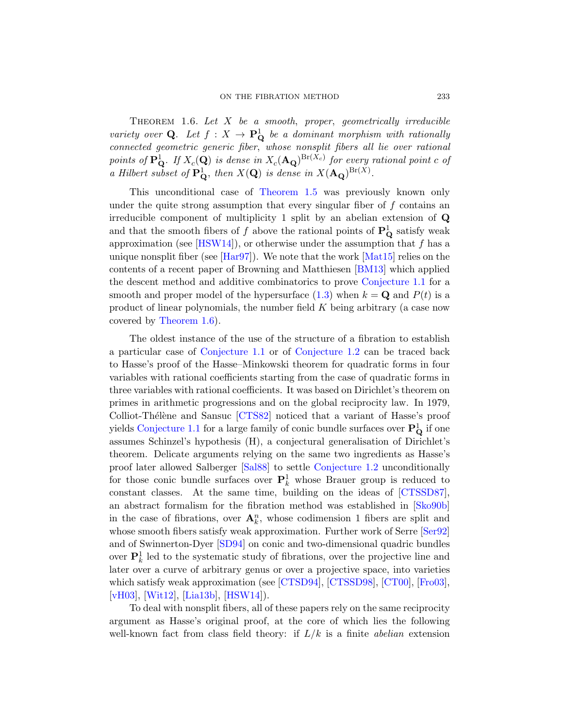<span id="page-4-0"></span>THEOREM 1.6. Let  $X$  be a smooth, proper, geometrically irreducible variety over Q. Let  $f: X \to \mathbf{P}_{\mathbf{Q}}^1$  be a dominant morphism with rationally connected geometric generic fiber, whose nonsplit fibers all lie over rational [points](#page-62-2) of  $\mathbf{P}_{\mathbf{Q}}^{1}$ . If  $X_c(\mathbf{Q})$  is dense in  $X_c(\mathbf{A}_{\mathbf{Q}})^{\text{Br}(X_c)}$  for every rational point c of a [Hilbert](#page-62-3) subset of  $\mathbf{P}_{\mathbf{Q}}^1$ , then  $X(\mathbf{Q})$  [is dens](#page-64-2)e in  $X(\mathbf{A}_{\mathbf{Q}})^{Br(X)}$ .

This unconditional case of [Theor](#page-59-1)em 1.5 was previously known only under the quite strong assumptio[n that every sin](#page-0-0)gular fiber of  $f$  contains an irreducible component [of m](#page-2-0)ultiplicity 1 split by an abelian extension of Q and that the smooth fibers of f above the rational points of  $\mathbf{P}_{\mathbf{Q}}^{1}$  satisfy weak [a](#page-4-0)pproximation (see [HSW14]), or otherwise under the assumption that  $f$  has a unique nonsplit fiber (see [Har97]). We note that the work [Mat15] relies on the [contents of a](#page-0-0) recen[t paper of Brow](#page-1-0)ning and Matthiesen [BM13] which applied the descent method and additive combinatorics to prove Conjecture 1.1 for a smooth and proper model of the hypersurface  $(1.3)$  when  $k = \mathbf{Q}$  and  $P(t)$  is a product of linear polynomials, the number field  $K$  being arbitrary (a case now covered by Theorem 1.6).

T[he oldes](#page-60-3)t instance of the use of the structure of a fibration to establish a particular case of Conjecture 1.1 or of Conjecture 1.2 can be traced back to Hasse's proof of the Hasse–Minkowski theorem for quadratic forms in four variables with rational coefficients starting from the case of quadratic forms in three v[ariable](#page-64-1)s with rati[onal coefficients](#page-1-0). It was based on Dirichlet's theorem on primes in arithmetic progressions and on the global reciprocity law. In 1979, Colliot-Thélène and Sansuc [CTS82] notic[ed that a v](#page-60-4)ariant of Hasse's proof yields Conjecture 1.1 for a large family of coni[c bundle](#page-65-3) surfaces over  $\mathbf{P}_\mathbf{Q}^1$  if one assumes Schinzel's hypothesis (H), a conjectural generalisation of Dirichlet's theorem. Delicate arguments relying on the sa[me two](#page-65-4) ingredients as Hasse's p[roof la](#page-66-3)ter allowed Salberger [Sal88] to settle Conjecture 1.2 unconditionally for those conic bundle surfaces over  $P_k^1$  whose Brauer group is reduced to constant classes. At the same time, building on the ideas of [CTSSD87], an abstract for[malism fo](#page-61-0)r [the fibrati](#page-60-1)o[n meth](#page-59-2)o[d was](#page-61-1) established in [Sko90b] [in](#page-63-2) [the case](#page-62-2) of fibrations, over  $\mathbf{A}_k^n$ , whose codimension 1 fibers are split and whose smooth fibers satisfy weak approximation. Further work of Serre [Ser92] and of Swinnerton-Dyer [SD94] on conic and two-dimensional quadric bundles over  $\mathbf{P}_k^1$  led to the systematic study of fibrations, over the projective line and later over a curve of arbitrary genus or over a projective space, into varieties which satisfy weak approximation (see [CTSD94], [CTSSD98], [CT00], [Fro03], [vH03], [Wit12], [Lia13b], [HSW14]).

To deal with nonsplit fibers, all of these papers rely on the same reciprocity argument as Hasse's original proof, at the core of which lies the following well-known fact from class field theory: if  $L/k$  is a finite *abelian* extension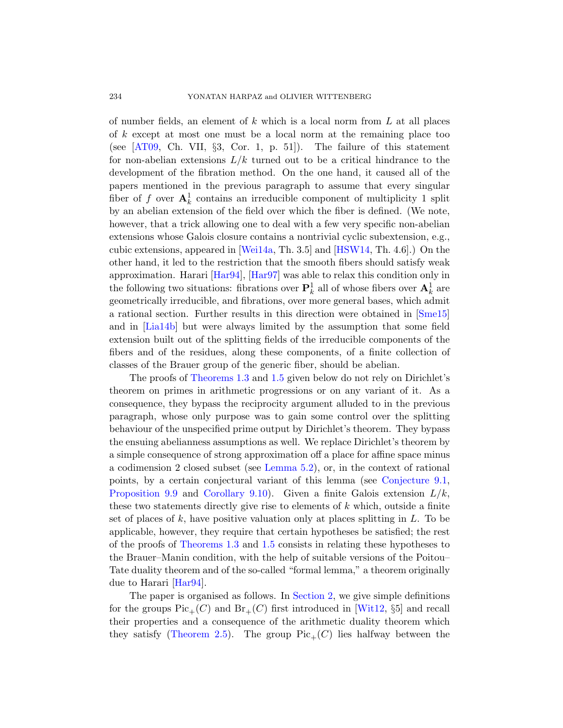of number fields, an element of  $k$  which is a local norm from  $L$  at all places of k except at most one must be a local norm at the remaining place too (see  $[AT09, Ch. VII, §3, Cor. 1, p. 51]$ ). The failure of this statement for non-abelian extensions  $L/k$  turned out to be a critical hindrance to the develo[pment o](#page-66-1)f the fibratio[n method](#page-62-2). On the one hand, it caused all of the papers mentioned in the previous paragraph to assume that every singular [fiber of](#page-62-4) f [over](#page-62-3)  $A_k^1$  contains an irreducible component of multiplicity 1 split by an abelian extension of the field over which the fiber is defined. (We note, however, that a trick allowing one to deal with a few very specific non-abelian extensions whose Galois closure contains a non[trivial c](#page-65-5)yclic subextension, e.g., cubic extensions, appeared in [Wei14a, Th. 3.5] and [HSW14, Th. 4.6].) On the other hand, it led to the restriction that the smooth fibers should satisfy weak approximation. Harari [Har94], [Har97] was able to relax this condition only in the following two situations: fibrations over  $\mathbf{P}^1_k$  all of whose fibers over  $\mathbf{A}^1_k$  are [geometric](#page-1-1)ally [irre](#page-3-0)ducible, and fibrations, over more general bases, which admit a rational section. Further results in this direction were obtained in [Sme15] and in [Lia14b] but were always limited by the assumption that some field extension built out of the splitting fields of the irreducible components of the fibers and of the residues, along these components, of a finite collection of classes of the Brauer group of the generic fiber, should be abelian.

The proofs of Theorems 1.3 and 1.5 given below do not rely on Dirichlet's theorem on [primes in a](#page-16-0)rithmetic progressions or on any variant of it. As a consequence, they bypass the reciproci[ty argument all](#page-38-0)uded to in the previous [paragraph, w](#page-43-0)hose only purpose was to gain some control over the splitting behaviour of the unspecified prime output by Dirichlet's theorem. They bypass the ensuing abelianness assumptions as well. We replace Dirichlet's theorem by a simple consequence of strong approximation off a place for affine space minus [a codim](#page-1-1)ens[ion](#page-3-0) 2 closed subset (see Lemma 5.2), or, in the context of rational points, by a certain conjectural variant of this lemma (see Conjecture 9.1, Proposition 9.9 and Corollary 9.10). Given a finite Galois extension  $L/k$ , these two statements directly give rise to elements of  $k$  which, outside a finite set of places of k, [have posit](#page-9-0)ive valuation only at places splitting in  $L$ . To be applicable, however, they require [that ce](#page-66-0)rtain hypotheses be satisfied; the rest of the proofs of Theorems 1.3 and 1.5 consists in relating these hypotheses to [the B](#page-12-0)rauer–Manin condition, with the help of suitable versions of the Poitou– Tate duality theorem and of the so-called "formal lemma," a theorem originally due to Harari [Har94].

The paper is organised as follows. In Section 2, we give simple definitions for the groups  $Pic_+(C)$  and  $Br_+(C)$  first introduced in [Wit12, §5] and recall their properties and a consequence of the arithmetic duality theorem which they satisfy (Theorem 2.5). The group  $Pic_+(C)$  lies halfway between the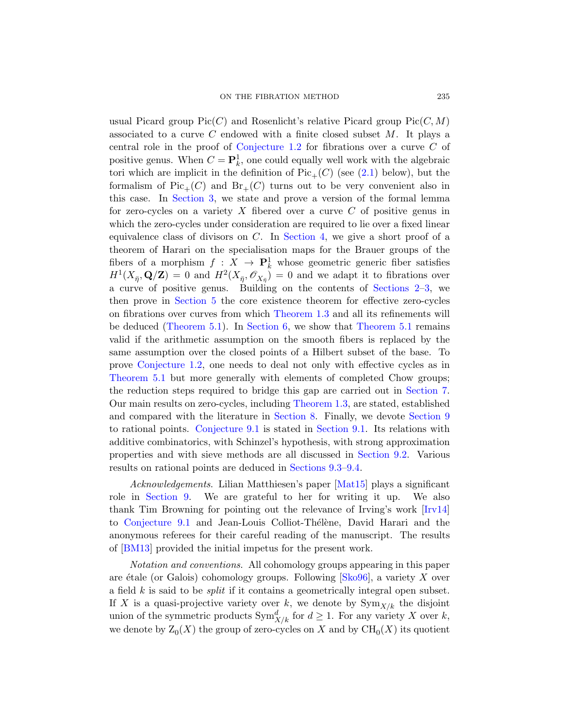[u](#page-12-1)sual Picard group  $Pic(C)$  and Rosenlicht's relative Picard group  $Pic(C, M)$ associated to a curve C endowed with a finite closed subset  $M$ . It plays a central role in the proof of Conjecture 1.2 for fibrations over a curve C of positive genus. [When](#page-14-0)  $C = \mathbf{P}_k^1$ , one could equally well work with the algebraic tori which are implicit in the definition of  $Pic_+(C)$  (see (2.1) below), but the formalism of  $Pic_+(C)$  and  $Br_+(C)$  turns out to be very convenient also in this case. In Section 3, we state and prove a version of the formal lemma for zero-cycles on a variety  $X$  fibe[red over a](#page-9-0) [cu](#page-12-1)rve  $C$  of positive genus in [w](#page-15-0)hich the zero-cycles under consideration are required to lie over a fixed linear equivalence cl[ass of divisor](#page-1-1)s on  $C$ . In Section 4, we give a short proof of a [the](#page-15-1)orem [of Harar](#page-24-0)i on the speci[alisation maps](#page-15-1) for the Brauer groups of the fibers of a morphism  $f: X \to \mathbf{P}_k^1$  whose geometric generic fiber satisfies  $H^1(X_{\bar{\eta}}, \mathbf{Q}/\mathbf{Z}) = 0$  and  $H^2(X_{\bar{\eta}}, \mathscr{O}_{X_{\bar{\eta}}}) = 0$  and we adapt it to fibrations over a curve of positive genus. Building on the contents of Sections 2–3, we then prove in Section 5 the core existence theorem for effective zero-cycles on fibrations over curves from which Theore[m 1.3](#page-25-0) and all its refinements will be deduced (Theo[rem 5.1\). In](#page-1-1) Section 6, we show that Theorem 5.1 remains valid if the a[rithmetic a](#page-29-0)ssumption on thes[mooth fib](#page-37-0)ers is replaced by the [same assum](#page-38-0)ption over [the closed p](#page-37-1)oints of a Hilbert subset of the base. To prove Conjecture 1.2, one needs to deal not only with effective cycles as in Theorem 5.1 but more generall[y with eleme](#page-39-0)nts of completed Chow groups; the reduction ste[ps required t](#page-48-0)[o br](#page-57-0)idge this gap are carried out in Section 7. Our main results on zero-cyc[les, incl](#page-64-2)uding Theorem 1.3, are stated, established and compared with the literature in Section 8. Finally, we devote Section 9 to rational points. Conjecture 9.1 is stated in S[ection](#page-62-5) 9.1. Its relations with additive combinatorics, with Schinzel's hypothesis, with strong approximation properties and with sieve methods are all discussed in Section 9.2. Various results on rational points are deduced in Sections 9.3–9.4.

Acknowledgements. Lilian Matthiesen's paper [Mat15] plays a significant role in Section 9. We are [gratef](#page-65-6)ul to her for writing it up. We also thank Tim Browning for pointing out the relevance of Irving's work [Irv14] to Conjecture 9.1 and Jean-Louis Colliot-Thélène, David Harari and the anonymous referees for their careful reading of the manuscript. The results of [BM13] provided the initial impetus for the present work.

Notation and conventions. All cohomology groups appearing in this paper are étale (or Galois) cohomology groups. Following  $[Sk_096]$ , a variety X over a field  $k$  is said to be *split* if it contains a geometrically integral open subset. If X is a quasi-projective variety over k, we denote by  $\text{Sym}_{X/k}$  the disjoint union of the symmetric products  $\text{Sym}^d_{X/k}$  for  $d \geq 1$ . For any variety X over k, we denote by  $\mathcal{Z}_0(X)$  the group of zero-cycles on X and by  $\operatorname{CH}_0(X)$  its quotient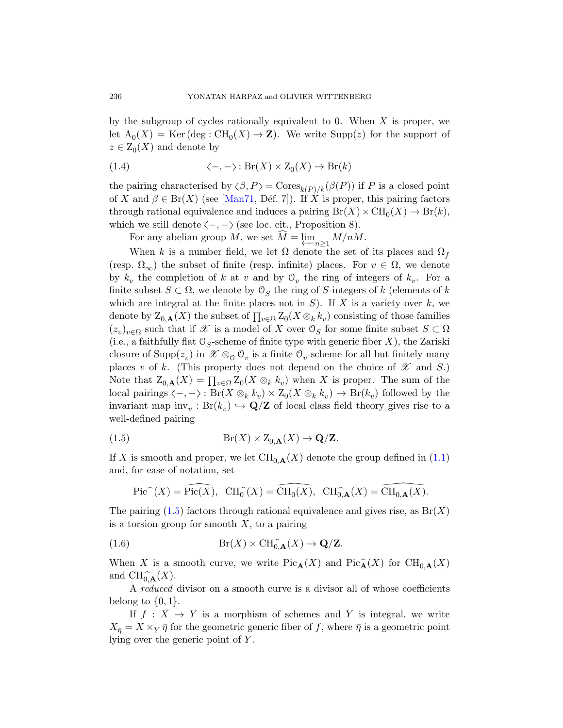by [the sub](#page-64-3)group of cycles rationally equivalent to 0. When  $X$  is proper, we let  $A_0(X) = \text{Ker}(\text{deg}: \text{CH}_0(X) \to \mathbb{Z})$ . We write  $\text{Supp}(z)$  for the support of  $z \in Z_0(X)$  and denote by

(1.4) 
$$
\langle -, - \rangle : Br(X) \times Z_0(X) \to Br(k)
$$

the pairing characterised by  $\langle \beta, P \rangle = \text{Cores}_{k(P)/k}(\beta(P))$  if P is a closed point of X and  $\beta \in Br(X)$  (see [Man71, Déf. 7]). If X is proper, this pairing factors through rational equivalence and induces a pairing  $Br(X) \times CH_0(X) \to Br(k)$ , which we still denote  $\langle -, - \rangle$  (see loc. cit., Proposition 8).

For any abelian group  $M$ , we set  $M = \varprojlim_{n \geq 1} M/nM$ .

When k is a number field, we let  $\Omega$  denote the set of its places and  $\Omega_f$ (resp.  $\Omega_{\infty}$ ) the subset of finite (resp. infinite) places. For  $v \in \Omega$ , we denote by  $k_v$  the completion of k at v and by  $\mathcal{O}_v$  the ring of integers of  $k_v$ . For a finite subset  $S \subset \Omega$ , we denote by  $\mathcal{O}_S$  the ring of S-integers of k (elements of k which are integral at the finite places not in  $S$ ). If X is a variety over  $k$ , we denote by  $\mathcal{Z}_{0,\mathbf{A}}(X)$  the subset of  $\prod_{v\in\Omega}\mathcal{Z}_0(X\otimes_kk_v)$  consisting of those families  $(z_v)_{v \in \Omega}$  such that if X is a model of X over  $\mathcal{O}_S$  for some finite subset  $S \subset \Omega$ (i.e., a faithfully flat  $\mathcal{O}_S$ -scheme of finite type with generic fiber X), the Zariski closure of  $\text{Supp}(z_v)$  in  $\mathscr{X} \otimes_0 \mathcal{O}_v$  is a finite  $\mathcal{O}_v$ -scheme for all but finitely many places v of k. (This property does not depend on the choice of  $\mathscr X$  and S.) Note that  $Z_{0,\mathbf{A}}(X) = \prod_{v \in \Omega} Z_0(X \otimes_k k_v)$  when X [is p](#page-1-2)roper. The sum of the local pairings  $\langle -, - \rangle$ :  $Br(X \otimes_k k_v) \times Z_0(X \otimes_k k_v) \to Br(k_v)$  followed by the invariant map  $inv_v : Br(k_v) \hookrightarrow \mathbf{Q}/\mathbf{Z}$  of local class field theory gives rise to a well-defined pairing

<span id="page-7-0"></span>(1.5) 
$$
Br(X) \times Z_{0,\mathbf{A}}(X) \to \mathbf{Q}/\mathbf{Z}.
$$

<span id="page-7-1"></span>If X is smooth and proper, we let  $\text{CH}_{0,\mathbf{A}}(X)$  denote the group defined in (1.1) and, for ease of notation, set

$$
\operatorname{Pic}^{\sim}(X) = \operatorname{Pic}(\overline{X}), \ \ \operatorname{CH}_{0}^{\sim}(X) = \operatorname{CH}_{0}(X), \ \ \operatorname{CH}_{0,\mathbf{A}}^{\sim}(X) = \operatorname{CH}_{0,\mathbf{A}}(X).
$$

The pairing  $(1.5)$  factors through rational equivalence and gives rise, as  $Br(X)$ is a torsion group for smooth  $X$ , to a pairing

(1.6) 
$$
Br(X) \times CH_{0,\mathbf{A}}^{\widehat{\phantom{a}}}(X) \to \mathbf{Q}/\mathbf{Z}.
$$

When X is a smooth curve, we write  $Pic_{\mathbf{A}}(X)$  and  $Pic_{\mathbf{A}}(X)$  for  $CH_{0,\mathbf{A}}(X)$ and  $\text{CH}^{\frown}_{0,\mathbf{A}}(X)$ .

A reduced divisor on a smooth curve is a divisor all of whose coefficients belong to  $\{0,1\}.$ 

If  $f: X \to Y$  is a morphism of schemes and Y is integral, we write  $X_{\bar{\eta}} = X \times_Y \bar{\eta}$  for the geometric generic fiber of f, where  $\bar{\eta}$  is a geometric point lying over the generic point of Y .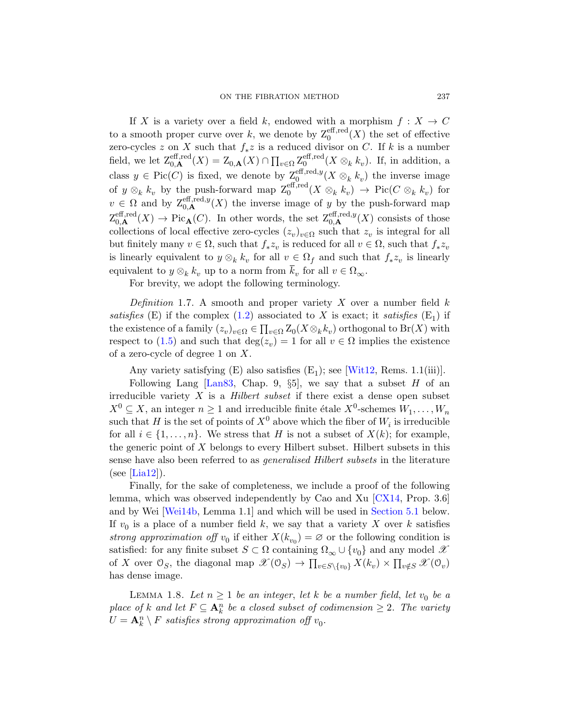If X is a variety over a field k, endowed with a morphism  $f: X \to C$ to a smooth proper curve over k, we denote by  $Z_0^{\text{eff,red}}(X)$  the set of effective zero-cycles z on X such that  $f_* z$  is a reduced divisor on C. If k is a number field, we let  $Z_{0,\mathbf{A}}^{\text{eff,red}}(X) = Z_{0,\mathbf{A}}(X) \cap \prod_{v \in \Omega} Z_0^{\text{eff,red}}$  $_0^{\text{ent,red}}(X \otimes_k k_v)$ . If, in addition, a class  $y \in Pic(C)$  is fixed, we denote by  $\mathbb{Z}_0^{\text{eff},\text{red},y}(X \otimes_k k_v)$  the inverse image of  $y \otimes_k k_v$  by the push-forward map  $\mathbb{Z}_0^{\text{eff,red}}(X \otimes_k k_v) \to \text{Pic}(C \otimes_k k_v)$  for  $v \in \Omega$  and by  $\mathcal{Z}_{0,\mathbf{A}}^{\text{eff},\text{red},y}(X)$  the inverse image of y by the push-forward map  $Z_{0,\mathbf{A}}^{\text{eff},\text{red}}(X) \to \text{Pic}_{\mathbf{A}}(C)$ . In other words, the set  $Z_{0,\mathbf{A}}^{\text{eff},\text{red},y}(X)$  consists of those collec[tion](#page-1-3)s of local effective zero-cycles  $(z_v)_{v \in \Omega}$  such that  $z_v$  is integral for all but finitely many  $v \in \Omega$ , such that  $f_* z_v$  is reduced for all  $v \in \Omega$ , such that  $f_* z_v$ is linearly equivalent to  $y \otimes_k k_v$  for all  $v \in \Omega_f$  and such that  $f_* z_v$  is linearly equivalent to  $y \otimes_k k_v$  up to a norm from  $k_v$  for all  $v \in \Omega_{\infty}$ .

For brevity, we adopt the [followin](#page-66-0)g terminology.

[D](#page-63-3)efinition 1.7. A smooth and proper variety  $X$  over a number field  $k$ satisfies (E) if the complex (1.2) associated to X is exact; it satisfies  $(E_1)$  if the existence of a family  $(z_v)_{v \in \Omega} \in \prod_{v \in \Omega} Z_0(X \otimes_k k_v)$  orthogonal to  $\text{Br}(X)$  with respect to (1.5) and such that  $deg(z_v) = 1$  for all  $v \in \Omega$  implies the existence of a zero-cycle of degree  $1$  on  $X$ .

Any variety satisfying  $(E)$  also satisfies  $(E_1)$ ; see [Wit12, Rems. 1.1(iii)].

Following Lang  $\left[\text{Lan}83, \text{ Chap. }9, \S5\right]$ , we say that a subset H of an irreducible variety  $X$  is a *Hilbert subset* if there exist a dense open subset  $X^0 \subseteq X$ , an integer  $n \ge 1$  and irreducible finite étale  $X^0$ -schemes  $W_1, \ldots, W_n$ such that H is the set of points of  $X^0$  [above](#page-59-3) which the fiber of  $W_i$  is irreducible for all  $i \in \{1, \ldots, n\}$ . We stress that H [is not a](#page-16-1) subset of  $X(k)$ ; for example, the generic point of  $X$  belongs to every Hilbert subset. Hilbert subsets in this sense have also been referred to as *generalised Hilbert subsets* in the literature  $(see [Lia12]).$ 

<span id="page-8-0"></span>Finally, for the sake of completeness, we include a proof of the following lemma, which was observed independently by Cao and Xu [CX14, Prop. 3.6] and by Wei [Wei14b, Lemma 1.1] and which will be used in Section 5.1 below. If  $v_0$  is a place of a number field k, we say that a variety X over k satisfies strong approximation of  $y_0$  if either  $X(k_{v_0}) = \emptyset$  or the following condition is satisfied: for any finite subset  $S \subset \Omega$  containing  $\Omega_{\infty} \cup \{v_0\}$  and any model  $\mathscr X$ of X over  $\mathcal{O}_S$ , the diagonal map  $\mathscr{X}(\mathcal{O}_S) \to \prod_{v \in S \setminus \{v_0\}} X(k_v) \times \prod_{v \notin S} \mathscr{X}(\mathcal{O}_v)$ has dense image.

LEMMA 1.8. Let  $n \geq 1$  be an integer, let k be a number field, let  $v_0$  be a place of k and let  $F \subseteq \mathbf{A}_k^n$  be a closed subset of codimension  $\geq 2$ . The variety  $U = \mathbf{A}_k^n \setminus F$  satisfies strong approximation off  $v_0$ .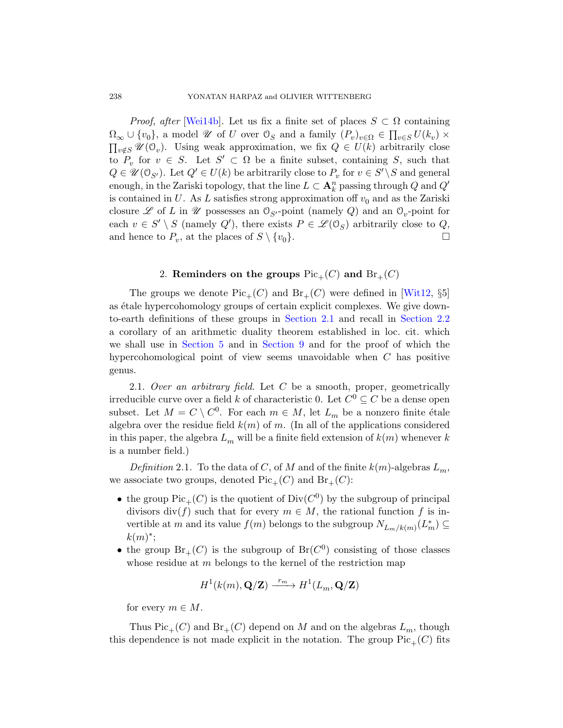<span id="page-9-0"></span>*Proof, after* [Wei14b]. Let us fix a finite set of places  $S \subset \Omega$  containing  $\Omega_{\infty} \cup \{v_0\}$ , a model  $\mathscr U$  of U over  $\mathcal O_S$  and a family  $(P_v)_{v \in \Omega} \in \prod_{v \in S} U(k_v) \times$  $\prod_{v \notin S} \mathscr{U}(\mathbb{O}_v)$ . Using weak approximation, we fix  $Q \in U(k)$  arbitrarily close to  $P_v$  for  $v \in S$ . Let  $S' \subset \Omega$  be a finite subset, containing S, such that  $Q \in \mathscr{U}(\mathbb{O}_{S'})$ . Let  $Q' \in U(k)$  be arbitrarily close to  $P_v$  for  $v \in S' \backslash S$  and general enough, in the Zariski topology, that the line  $L \subset \mathbf{A}_k^n$  passing through  $Q$  and  $Q'$ is contained in U. As L satisfies strong approximation of  $v_0$  and as the Zariski closure  $\mathscr L$  of L in  $\mathscr U$  possesses an  $\mathcal O_{S'}$ -poin[t \(name](#page-66-0)ly Q) and an  $\mathcal O_v$ -point for each  $v \in S' \setminus S$  (namely  $Q'$ ), there exists  $P \in \mathcal{L}(\mathcal{O}_S)$  arbitrarily close to  $Q$ , and hence to  $P_v$ , [at the place](#page-9-1)s of  $S \setminus \{v_0\}.$ 

# 2. [Remin](#page-37-0)ders on the groups  $Pic_+(C)$  and  $Br_+(C)$

<span id="page-9-1"></span>The groups we denote  $Pic_+(C)$  and  $Br_+(C)$  were defined in [Wit12, §5] as étale hypercohomology groups of certain explicit complexes. We give downto-earth definitions of these groups in Section 2.1 and recall in Section 2.2 a corollary of an arithmetic duality theorem established in loc. cit. which we shall use in Section 5 and in Section 9 and for the proof of which the hypercohomological point of view seems unavoidable when  $C$  has positive genus.

<span id="page-9-2"></span>2.1. Over an arbitrary field. Let  $C$  be a smooth, proper, geometrically irreducible curve over a field k of characteristic 0. Let  $C^0 \subseteq C$  be a dense open subset. Let  $M = C \setminus C^0$ . For each  $m \in M$ , let  $L_m$  be a nonzero finite étale algebra over the residue field  $k(m)$  of m. (In all of the applications considered in this paper, the algebra  $L_m$  will be a finite field extension of  $k(m)$  whenever k is a number field.)

Definition 2.1. To the data of C, of M and of the finite  $k(m)$ -algebras  $L_m$ , we associate two groups, denoted  $Pic_+(C)$  and  $Br_+(C)$ :

- the group  $Pic_+(C)$  is the quotient of  $Div(C^0)$  by the subgroup of principal divisors div(f) such that for every  $m \in M$ , the rational function f is invertible at m and its value  $f(m)$  belongs to the subgroup  $N_{L_m/k(m)}(L_m^*) \subseteq$  $k(m)^*$ ;
- the group  $Br_+(C)$  is the subgroup of  $Br(C^0)$  consisting of those classes whose residue at  $m$  belongs to the kernel of the restriction map

$$
H^1(k(m), \mathbf{Q}/\mathbf{Z}) \xrightarrow{r_m} H^1(L_m, \mathbf{Q}/\mathbf{Z})
$$

for every  $m \in M$ .

Thus  $Pic_+(C)$  and  $Br_+(C)$  depend on M and on the algebras  $L_m$ , though this dependence is not made explicit in the notation. The group  $Pic_+(C)$  fits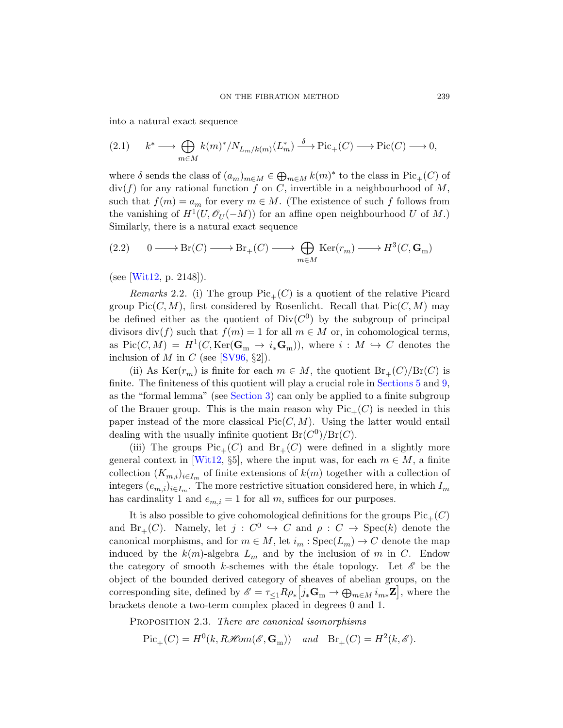<span id="page-10-0"></span>into a natural exact sequence

$$
(2.1) \qquad k^* \longrightarrow \bigoplus_{m \in M} k(m)^*/N_{L_m/k(m)}(L_m^*) \stackrel{\delta}{\longrightarrow} \text{Pic}_+(C) \longrightarrow \text{Pic}(C) \longrightarrow 0,
$$

<span id="page-10-2"></span>where  $\delta$  sends the class of  $(a_m)_{m \in M} \in \bigoplus_{m \in M} k(m)^*$  to the class in  $Pic_+(C)$  of  $div(f)$  for any rational function f on C, invertible in a neighbourhood of M, such that  $f(m) = a_m$  for every  $m \in M$ . (The existence of such f follows from the vanishing of  $H^1(U, \mathcal{O}_U(-M))$  for an affine open neighbourhood U of M.) Similarly, there is a natural exact sequence

(2.2) 
$$
0 \longrightarrow Br(C) \longrightarrow Br_{+}(C) \longrightarrow \bigoplus_{m \in M} \text{Ker}(r_{m}) \longrightarrow H^{3}(C, \mathbf{G}_{m})
$$

(s[ee \[Wit](#page-65-7)12, p. 2148]).

*Remarks* 2.2. (i) The group  $Pic_+(C)$  is a quotient of the relative Picard group  $Pic(C, M)$ , first considered by [Rosenlicht.](#page-15-0) R[eca](#page-37-0)ll that  $Pic(C, M)$  may be [defined eit](#page-12-1)her as the quotient of  $Div(C^0)$  by the subgroup of principal divisors div(f) such that  $f(m) = 1$  for all  $m \in M$  or, in cohomological terms, as Pic(C, M) =  $H^1(C, \text{Ker}(\mathbf{G}_m \to i_*\mathbf{G}_m))$ , where  $i : M \hookrightarrow C$  denotes the inclusion of M in C (see [SV96,  $\S2$ ]).

(ii) As  $\text{Ker}(r_m)$  is finite for each  $m \in M$ , the quotient  $\text{Br}_+(C)/\text{Br}(C)$  is [fini](#page-66-0)te. The finiteness of this quotient will play a crucial role in Sections 5 and 9, as the "formal lemma" (see Section 3) can only be applied to a finite subgroup of the Brauer group. This is the main reason why  $Pic_+(C)$  is needed in this paper instead of the more classical  $Pic(C, M)$ . Using the latter would entail dealing with the usually infinite quotient  $Br(C^0)/Br(C)$ .

(iii) The groups  $Pic_+(C)$  and  $Br_+(C)$  were defined in a slightly more general context in [Wit12, §5], where the input was, for each  $m \in M$ , a finite collection  $(K_{m,i})_{i\in I_m}$  of finite extensions of  $k(m)$  together with a collection of integers  $(e_{m,i})_{i\in I_m}$ . The more restrictive situation considered here, in which  $I_m$ has cardinality 1 and  $e_{m,i} = 1$  for all m, suffices for our purposes.

<span id="page-10-1"></span>It is also possible to give cohomological definitions for the groups  $Pic_+(C)$ and  $\text{Br}_{+}(C)$ . Namely, let  $j: C^{0} \hookrightarrow C$  and  $\rho: C \to \text{Spec}(k)$  denote the canonical morphisms, and for  $m \in M$ , let  $i_m : \text{Spec}(L_m) \to C$  denote the map induced by the  $k(m)$ -algebra  $L_m$  and by the inclusion of m in C. Endow the category of smooth k-schemes with the étale topology. Let  $\mathscr E$  be the object of the bounded derived category of sheaves of abelian groups, on the corresponding site, defined by  $\mathscr{E} = \tau_{\leq 1} R \rho_* \left[ j_* \mathbf{G}_m \to \bigoplus_{m \in M} i_{m*} \mathbf{Z} \right]$ , where the brackets denote a two-term complex placed in degrees 0 and 1.

PROPOSITION 2.3. There are canonical isomorphisms

 $Pic_+(C) = H^0(k, R\mathcal{H}om(\mathcal{E}, \mathbf{G}_m))$  and  $Br_+(C) = H^2(k, \mathcal{E}).$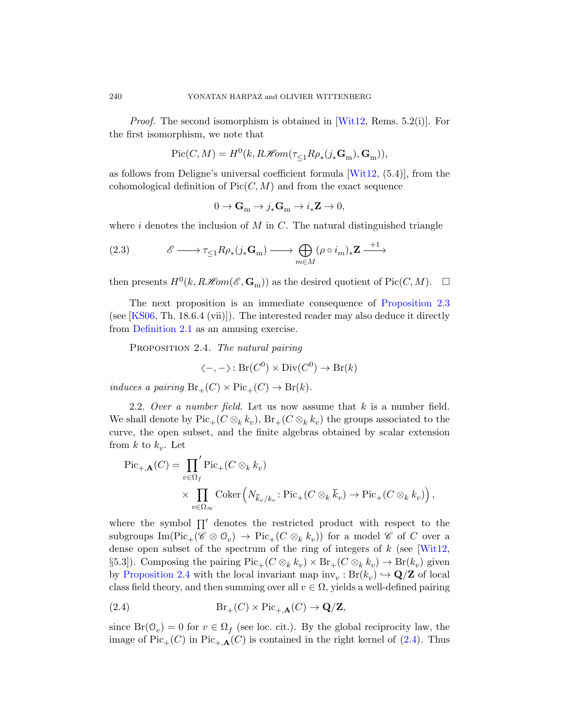*Proof.* The second isomorphism is obtained in  $[Witt12, Rems. 5.2(i)]$ . For the first isomorphism, we note that

$$
\mathrm{Pic}(C,M)=H^0(k,R\mathscr{H}\!om(\tau_{\leq 1}R\rho_*(j_*\mathbf{G}_m),\mathbf{G}_m)),
$$

as follows from Deligne's universal coefficient formula  $[Wit12, (5.4)]$ , from the cohomological definition of  $Pic(C, M)$  and from the exact sequence

$$
0 \to \mathbf{G}_{\mathrm{m}} \to j_*\mathbf{G}_{\mathrm{m}} \to i_*\mathbf{Z} \to 0,
$$

where i denotes the inclusion of M in C[. The natural d](#page-10-1)istinguished triangle

(2.3) 
$$
\mathscr{E} \longrightarrow \tau_{\leq 1} R \rho_*(j_* \mathbf{G}_m) \longrightarrow \bigoplus_{m \in M} (\rho \circ i_m)_* \mathbf{Z} \xrightarrow{+1}
$$

then presents  $H^0(k, R\mathcal{H}om(\mathcal{E}, \mathbf{G}_m))$  as the desired quotient of  $Pic(C, M)$ .  $\Box$ 

The next proposition is an immediate consequence of Proposition 2.3 (see [KS06, Th. 18.6.4 (vii)]). The interested reader may also deduce it directly from Definition 2.1 as an amusing exercise.

PROPOSITION 2.4. The natural pairing

$$
\langle -, -\rangle \colon \text{Br}(C^0) \times \text{Div}(C^0) \to \text{Br}(k)
$$

induces a pairing  $Br_+(C) \times Pic_+(C) \to Br(k)$ .

2.2. Over a number field. Let us now assume that  $k$  is a number field. We shall denote by  $\operatorname{Pic}_+(C\otimes_k k_v)$ ,  $\operatorname{Br}_+(C\otimes_k k_v)$  the groups associated to the curve, the open subset, and the finite algebras obtained by scalar extension from  $k$  to  $k_v$ . Let

$$
\begin{split} \mathrm{Pic}_{+, \mathbf{A}}(C) &= \prod_{v \in \Omega_f} \mathrm{Pic}_+(C \otimes_k k_v) \\ &\times \prod_{v \in \Omega_{\infty}} \mathrm{Coker}\left(N_{\overline{k}_v/k_v} : \mathrm{Pic}_+(C \otimes_k \overline{k}_v) \to \mathrm{Pic}_+(C \otimes_k k_v)\right), \end{split}
$$

<span id="page-11-0"></span>where the symbol  $\prod'$  denotes the restricted product with respect to the subgroups  $\text{Im}(\text{Pic}_+(\mathscr{C}\otimes\mathbb{O}_v)\to \text{Pic}_+(C\otimes_kk_v))$  for a model  $\mathscr{C}$  of C over a dense open subset of the spectrum of the ring of integers of  $k$  (see [Wit12, §5.3]). Composing the pairing  $Pic_+(C\otimes_k k_v) \times Br_+(C\otimes_k k_v) \to Br(k_v)$  given by Proposition 2.4 with the local invariant map  $\text{inv}_v : \text{Br}(k_v) \hookrightarrow \mathbf{Q}/\mathbf{Z}$  of local class field theory, and then summing over all  $v \in \Omega$ , yields a well-defined pairing

(2.4) 
$$
Br_{+}(C) \times Pic_{+,\mathbf{A}}(C) \to \mathbf{Q}/\mathbf{Z},
$$

since  $\text{Br}(\mathcal{O}_v) = 0$  for  $v \in \Omega_f$  (see loc. cit.). By the global reciprocity law, the image of  $Pic_+(C)$  in  $Pic_{+\mathbf{A}}(C)$  is contained in the right kernel of (2.4). Thus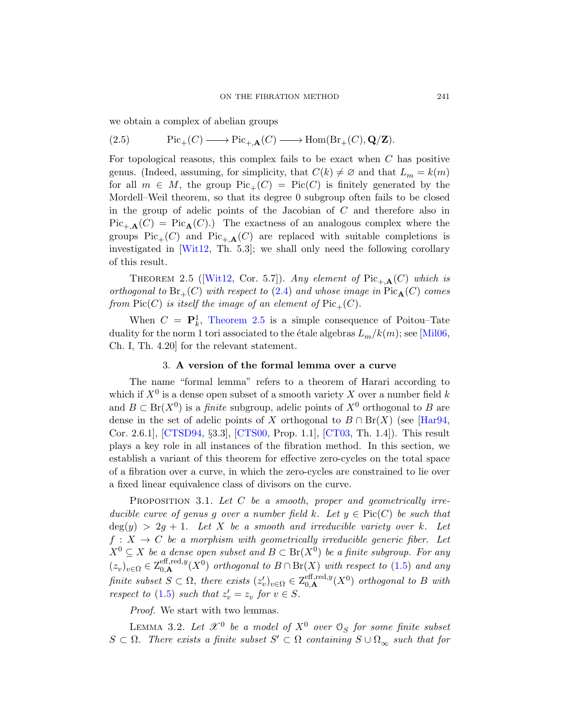we obtain a complex of abelian groups

(2.5) 
$$
\mathrm{Pic}_+(C) \longrightarrow \mathrm{Pic}_{+,A}(C) \longrightarrow \mathrm{Hom}(\mathrm{Br}_+(C), \mathbf{Q}/\mathbf{Z}).
$$

<span id="page-12-0"></span>For topological reasons, this complex fails to be exact when  $C$  has positive genus. (Indeed, assuming, for simplicity, that  $C(k) \neq \emptyset$  and that  $L_m = k(m)$ for all  $m \in M$ , the group  $Pic_+(C) = Pic(C)$  is finitely generated by the [Mord](#page-66-0)ell–Weil theorem, so that its degree 0 subgroup often fails to be closed in the group [of a](#page-11-0)delic points of the Jacobian of C and therefore also in  $Pic_{+,\mathbf{A}}(C) = Pic_{\mathbf{A}}(C).$  The exactness of an analogous complex where the groups  $Pic_+(C)$  and  $Pic_{+\mathbf{A}}(C)$  are replaced with suitable completions is investigated in [Wit12, Th. 5.3]; we shall only [need](#page-64-4) the following corollary of this result.

<span id="page-12-1"></span>THEOREM 2.5 ([Wit12, Cor. 5.7]). Any element of  $Pic_{+,\mathbf{A}}(C)$  which is orthogonal to  $Br_+(C)$  with respect to (2.4) and whose image in  $Pic_{\mathbf{A}}(C)$  comes from  $Pic(C)$  is itself the image of an element of  $Pic_+(C)$ .

When  $C = \mathbf{P}_k^1$ , Theorem 2.5 is a simple consequence of Poitou-Tate duality for the norm 1 tori associated to the étale [algebra](#page-62-4)s  $L_m/k(m)$ ; see [Mil06, Ch. I, [Th. 4.2](#page-60-5)0] for the re[levant](#page-59-0) statement.

# 3. A version of the formal lemma over a curve

<span id="page-12-3"></span>The name "formal lemma" refers to a theorem of Harari according to which if  $X^0$  is a dense open subset of a smooth variety X over a number field k and  $B \subset \text{Br}(X^0)$  is a *finite* subgroup, adelic points of  $X^0$  orthogonal to B are dense in the set of adelic points of X orthogonal to  $B \cap Br(X)$  (see [Har94, Cor. 2.6.1], [CTSD94, §3.3], [CTS00, Prop. 1.1], [CT03, Th. 1.4]). This result plays a key role in all instances of the fibration method. In this section, we establish a variant of this theorem for effective zero-cycles on the total space of a fibration over a curve, in which the zero-cycles are constrained to lie over a fixed linear equivalence class of divisors [on](#page-7-0) the curve.

<span id="page-12-2"></span>PROPOSITION 3.1. Let  $C$  be a smooth, proper and geometrically irreducible curve of genus g over a number field k. Let  $y \in Pic(C)$  be such that  $deg(y) > 2g + 1$ . Let X be a smooth and irreducible variety over k. Let  $f: X \to C$  be a morphism with geometrically irreducible generic fiber. Let  $X^0 \subseteq X$  be a dense open subset and  $B \subset \text{Br}(X^0)$  be a finite subgroup. For any  $(z_v)_{v \in \Omega} \in \mathcal{Z}_{0,\mathbf{A}}^{\text{eff},\text{red},y}(X^0)$  orthogonal to  $B \cap \text{Br}(X)$  with respect to  $(1.5)$  and any finite subset  $S \subset \Omega$ , there exists  $(z'_v)_{v \in \Omega} \in Z_{0,\mathbf{A}}^{\text{eff},\text{red},y}(X^0)$  orthogonal to B with respect to (1.5) such that  $z'_v = z_v$  for  $v \in S$ .

Proof. We start with two lemmas.

LEMMA 3.2. Let  $\mathscr{X}^0$  be a model of  $X^0$  over  $\mathcal{O}_S$  for some finite subset  $S \subset \Omega$ . There exists a finite subset  $S' \subset \Omega$  containing  $S \cup \Omega_{\infty}$  such that for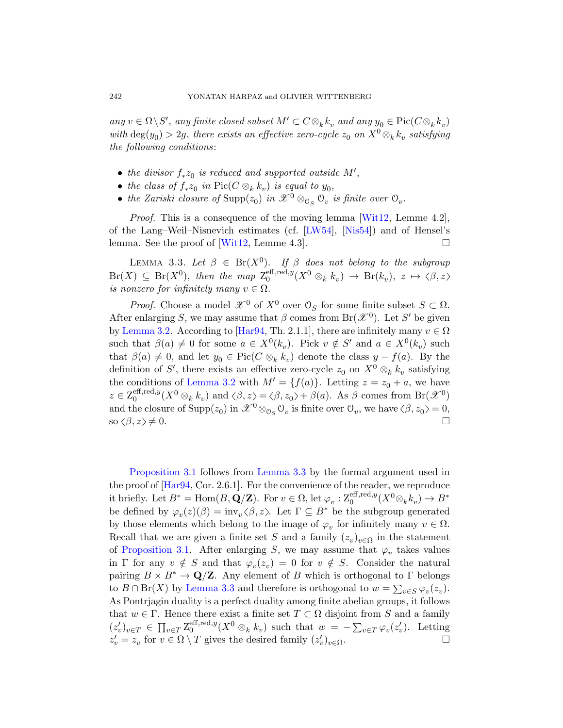any  $v \in \Omega \backslash S'$ , any finite closed subset  $M' \subset C \otimes_k k_v$  and any  $y_0 \in \text{Pic}(C \otimes_k k_v)$ with  $\deg(y_0) > 2g$ , there exists an [effective](#page-66-0) zero-cycle  $z_0$  on  $X^0 \otimes_k k_v$  satisfying the following conditio[ns](#page-63-4):

- the divisor  $f_* z_0$  is reduced and supported outside  $M'$ ,
- the class of  $f_*z_0$  in  $Pic(C \otimes_k k_v)$  is equal to  $y_0$ ,
- the Zariski closure of  $\text{Supp}(z_0)$  in  $\mathscr{X}^0 \otimes_{\mathcal{O}_S} \mathcal{O}_v$  is finite over  $\mathcal{O}_v$ .

<span id="page-13-0"></span>Proof. This is a consequence of the moving lemma [Wit12, Lemme 4.2], of the Lang–Weil–Nisnevich estimates (cf. [LW54], [Nis54]) and of Hensel's lemm[a. See t](#page-62-4)he proof of [Wit12, Lemme 4.3].  $\Box$ 

LEMMA 3.3. Let  $\beta \in \text{Br}(X^0)$ . If  $\beta$  does not belong to the subgroup  $Br(X) \subseteq Br(X^0)$ , then the map  $\mathbb{Z}_0^{\text{eff}, \text{red}, y}$  $\frac{\text{eff}, \text{red}, y}{0}(X^0 \otimes_k k_v) \rightarrow \text{Br}(k_v), \ z \mapsto \langle \beta, z \rangle$ is nonzero for infinitely many  $v \in \Omega$ .

*[P](#page-12-2)roof.* Choose a model  $\mathcal{X}^0$  of  $X^0$  over  $\mathcal{O}_S$  for some finite subset  $S \subset \Omega$ . After enlarging S, we may assume that  $\beta$  comes from Br( $\mathscr{X}^0$ ). Let S' be given by Lemma 3.2. According to [Har94, Th. 2.1.1], there are infinitely many  $v \in \Omega$ such that  $\beta(a) \neq 0$  for some  $a \in X^0(k_v)$ . Pick  $v \notin S'$  and  $a \in X^0(k_v)$  such that  $\beta(a) \neq 0$ , and let  $y_0 \in Pic(C \otimes_k k_v)$  denote the class  $y - f(a)$ . By the definition of S', there exists an effective zero-cycle  $z_0$  on  $X^0 \otimes_k k_v$  satisfying the conditions of Lemma 3.2 with  $M' = {f(a)}$ . Letting  $z = z_0 + a$ , we have  $z \in \mathsf{Z}_0^{\mathrm{eff}, \mathrm{red}, y}$  $\mathcal{L}_0^{\text{eff}, \text{red}, y}(X^0 \otimes_k k_v)$  $\mathcal{L}_0^{\text{eff}, \text{red}, y}(X^0 \otimes_k k_v)$  $\mathcal{L}_0^{\text{eff}, \text{red}, y}(X^0 \otimes_k k_v)$  and  $\langle \beta, z \rangle = \langle \beta, z_0 \rangle + \beta(a)$ . As  $\beta$  comes from  $\text{Br}(\mathscr{X}^0)$ and the closure of  $\text{Supp}(z_0)$  in  $\mathscr{X}^0 \otimes_{\mathcal{O}_S} \mathcal{O}_v$  is finite over  $\mathcal{O}_v$ , we have  $\langle \beta, z_0 \rangle = 0$ , so  $\langle \beta, z \rangle \neq 0$ .

Proposition 3.1 follows from Lemma 3.3 by the formal argument used in the proof of [Har94, Cor. 2.6.1]. For the convenience of the reader, we reproduce it briefly. Let  $B^* = \text{Hom}(B, \mathbf{Q}/\mathbf{Z})$ . For  $v \in \Omega$ , let  $\varphi_v : \mathbb{Z}_0^{\text{eff}, \text{red}, y}(X^0 \otimes_k k_v) \to B^*$ [be defi](#page-13-0)ned by  $\varphi_v(z)(\beta) = inv_v \langle \beta, z \rangle$ . Let  $\Gamma \subseteq B^*$  be the subgroup generated by those elements which belong to the image of  $\varphi_v$  for infinitely many  $v \in \Omega$ . Recall that we are given a finite set S and a family  $(z_v)_{v \in \Omega}$  in the statement of Proposition 3.1. After enlarging S, we may assume that  $\varphi_v$  takes values in  $\Gamma$  for any  $v \notin S$  and that  $\varphi_v(z_v) = 0$  for  $v \notin S$ . Consider the natural pairing  $B \times B^* \to \mathbf{Q}/\mathbf{Z}$ . Any element of B which is orthogonal to  $\Gamma$  belongs to  $B \cap Br(X)$  by Lemma 3.3 and therefore is orthogonal to  $w = \sum_{v \in S} \varphi_v(z_v)$ . As Pontrjagin duality is a perfect duality among finite abelian groups, it follows that  $w \in \Gamma$ . Hence there exist a finite set  $T \subset \Omega$  disjoint from S and a family  $(z'_v)_{v \in T} \in \prod_{v \in T} \mathbb{Z}_0^{\text{eff,red},y}$  $\int_0^{\text{eff}, \text{red}, y} (X^0 \otimes_k k_v)$  such that  $w = -\sum_{v \in T} \varphi_v(z'_v)$ . Letting  $z'_v = z_v$  for  $v \in \Omega \setminus T$  gives the desired family  $(z'_v)_{v \in \Omega}$ .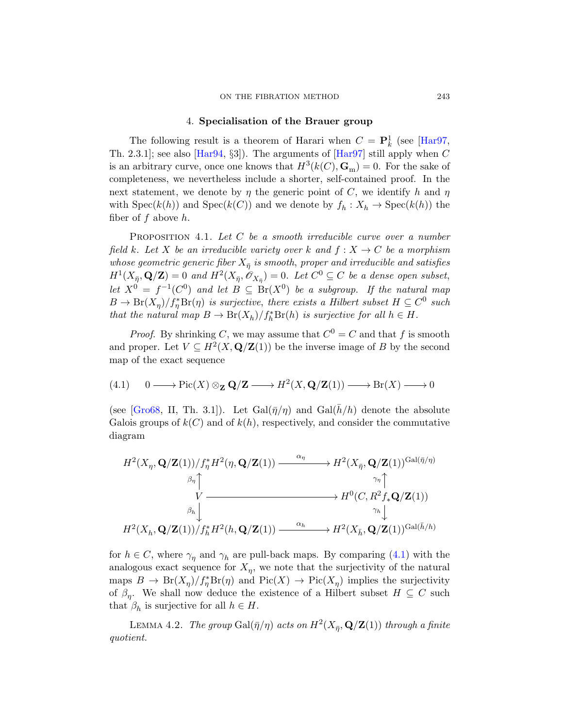#### 4. Specialisation of the Brauer group

<span id="page-14-2"></span><span id="page-14-0"></span>The following result is a theorem of Harari when  $C = \mathbf{P}_k^1$  (see [Har97, Th. 2.3.1]; see also [Har94, §3]). The arguments of [Har97] still apply when  $C$ is an arbitrary curve, once one knows that  $H^3(k(C), \mathbf{G}_m) = 0$ . For the sake of completeness, we nevertheless include a shorter, self-contained proof. In the next statement, we denote by  $\eta$  the generic point of C, we identify h and  $\eta$ with  $Spec(k(h))$  and  $Spec(k(C))$  and we denote by  $f_h: X_h \to Spec(k(h))$  the fiber of  $f$  above  $h$ .

PROPOSITION 4.1. Let  $C$  be a smooth irreducible curve over a number field k. Let X be an irreducible variety over k and  $f: X \to C$  be a morphism whose geometric generic fiber  $X_{\bar{\eta}}$  is smooth, proper and irreducible and satisfies  $H^1(X_{\bar{\eta}}, \mathbf{Q}/\mathbf{Z}) = 0$  and  $H^2(X_{\bar{\eta}}, \mathscr{O}_{X_{\bar{\eta}}}) = 0$ . Let  $C^0 \subseteq C$  be a dense open subset, let  $X^0 = f^{-1}(C^0)$  and let  $B \subseteq \text{Br}(X^0)$  be a subgroup. If the natural map  $B \to Br(X_{\eta})/f_{\eta}^{*}Br(\eta)$  is surjective, there exists a Hilbert subset  $H \subseteq C^{0}$  such that the natural map  $B \to Br(X_h)/f_h^*Br(h)$  is surjective for all  $h \in H$ .

*Proof.* By shrinking C, we may assume that  $C^0 = C$  and that f is smooth and proper. Let  $V \subseteq H^2(X, \mathbf{Q}/\mathbf{Z}(1))$  be the inverse image of B by the second map of the exact sequence

(4.1) 
$$
0 \longrightarrow Pic(X) \otimes_{\mathbf{Z}} \mathbf{Q}/\mathbf{Z} \longrightarrow H^2(X, \mathbf{Q}/\mathbf{Z}(1)) \longrightarrow Br(X) \longrightarrow 0
$$

(see [Gro68, II, Th. 3.1]). Let  $Gal(\bar{n}/n)$  and  $Gal(\bar{h}/h)$  denote the absolute Galois groups of  $k(C)$  and of  $k(h)$ , respectively, and consider the commutative diagram

$$
\begin{CD} H^2(X_\eta,\mathbf{Q}/\mathbf{Z}(1))/f_\eta^*H^2(\eta,\mathbf{Q}/\mathbf{Z}(1)) @>{\alpha_\eta}>> H^2(X_{\bar\eta},\mathbf{Q}/\mathbf{Z}(1))^{\mathrm{Gal}(\bar\eta/\eta)}\\ \beta_\eta\uparrow @VV\\ V @>> H^0(C,R^2f_*\mathbf{Q}/\mathbf{Z}(1))\\ \beta_h\downarrow @VV\\ H^2(X_h,\mathbf{Q}/\mathbf{Z}(1))/f_h^*H^2(h,\mathbf{Q}/\mathbf{Z}(1)) @>{\alpha_h}>> H^2(X_{\bar h},\mathbf{Q}/\mathbf{Z}(1))^{\mathrm{Gal}(\bar h/h)}\\ \end{CD}
$$

<span id="page-14-1"></span>for  $h \in C$ , where  $\gamma_{\eta}$  and  $\gamma_{h}$  are pull-back maps. By comparing (4.1) with the analogous exact sequence for  $X_{\eta}$ , we note that the surjectivity of the natural maps  $B \to Br(X_{\eta})/f_{\eta}^{*}Br(\eta)$  and  $Pic(X) \to Pic(X_{\eta})$  implies the surjectivity of  $\beta_{\eta}$ . We shall now deduce the existence of a Hilbert subset  $H \subseteq C$  such that  $\beta_h$  is surjective for all  $h \in H$ .

LEMMA 4.2. The group  $\text{Gal}(\bar{\eta}/\eta)$  acts on  $H^2(X_{\bar{\eta}}, \mathbf{Q}/\mathbf{Z}(1))$  through a finite quotient.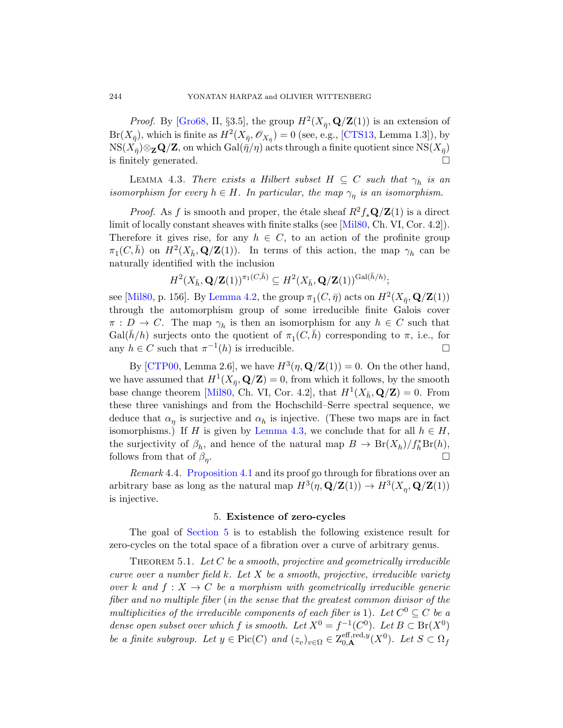<span id="page-15-2"></span>*Proof.* By [Gro68, II, §3.5], the group  $H^2(X_{\bar{\eta}}, \mathbf{Q}/\mathbf{Z}(1))$  is an extension of  $Br(X_{\bar{\eta}}),$  which is finite as  $H^2(X_{\bar{\eta}}, \mathscr{O}_{X_{\bar{\eta}}}) = 0$  (see, e.g., [CTS13, Lemma 1.3]), by  ${\rm NS}(X_{\bar\eta})\otimes_{\bf Z}{\bf Q}/{\bf Z},$  on which  ${\rm Gal}(\bar\eta/\eta)$  acts through a finite quotient since  ${\rm NS}(X_{\bar\eta})$ is finitely generated.

LEMMA 4.3. There exists a Hilbert subset  $H \subseteq C$  such that  $\gamma_h$  is an isomorphism for every  $h \in H$ . In particular, the map  $\gamma_{\eta}$  is an isomorphism.

*Proof.* As f is smooth and proper, the étale sheaf  $R^2f_*\mathbf{Q}/\mathbf{Z}(1)$  is a direct [limit of loca](#page-14-1)lly constant sheaves with finite stalks (see [Mil80, Ch. VI, Cor. 4.2]). Therefore it gives rise, for any  $h \in C$ , to an action of the profinite group  $\pi_1(C, \bar{h})$  on  $H^2(X_{\bar{h}}, \mathbf{Q}/\mathbf{Z}(1))$ . In terms of this action, the map  $\gamma_h$  can be naturally identified with the inclusion

$$
H^2(X_{\bar{h}},\mathbf{Q}/\mathbf{Z}(1))^{\pi_1(C,\bar{h})}\subseteq H^2(X_{\bar{h}},\mathbf{Q}/\mathbf{Z}(1))^{\mathrm{Gal}(\bar{h}/h)};
$$

see [Mil80, p. 156]. By Lemma 4.2, the group  $\pi_1(C, \bar{\eta})$  acts on  $H^2(X_{\bar{\eta}}, \mathbf{Q}/\mathbf{Z}(1))$ [throu](#page-64-5)gh the automorphism group of some irreducible finite Galois cover  $\pi : D \to C$ . The map  $\gamma_h$  is then an isomorphism for any  $h \in C$  such that  $Gal(\bar{h}/h)$  surjects onto the quotient of  $\pi_1(C, \bar{h})$  corresponding to  $\pi$ , i.e., for any  $h \in C$  [such that](#page-15-2)  $\pi^{-1}(h)$  is irreducible.

By [CTP00, Lemma 2.6], we have  $H^3(\eta, \mathbf{Q}/\mathbf{Z}(1)) = 0$ . On the other hand, we have assumed that  $H^1(X_{\bar{\eta}}, \mathbf{Q}/\mathbf{Z}) = 0$ , from which it follows, by the smooth [base chang](#page-14-2)e theorem [Mil80, Ch. VI, Cor. 4.2], that  $H^1(X_{\bar{h}}, \mathbf{Q}/\mathbf{Z}) = 0$ . From these three vanishings and from the Hochschild–Serre spectral sequence, we deduce that  $\alpha_{\eta}$  is surjective and  $\alpha_{h}$  is injective. (These two maps are in fact isomorphisms.) If H is given by Lemma 4.3, we conclude that for all  $h \in H$ , the surjectivity of  $\beta_h$ , and hence of the natural map  $B \to Br(X_h)/f_h^*Br(h)$ , [follow](#page-15-0)s from that of  $\beta_n$ . . В последните поставите на селото на селото на селото на селото на селото на селото на селото на селото на се<br>Селото на селото на селото на селото на селото на селото на селото на селото на селото на селото на селото на

<span id="page-15-1"></span><span id="page-15-0"></span>Remark 4.4. Proposition 4.1 and its proof go through for fibrations over an arbitrary base as long as the natural map  $H^3(\eta, \mathbf{Q}/\mathbf{Z}(1)) \to H^3(X_{\eta}, \mathbf{Q}/\mathbf{Z}(1))$ is injective.

#### 5. Existence of zero-cycles

The goal of Section 5 is to establish the following existence result for zero-cycles on the total space of a fibration over a curve of arbitrary genus.

THEOREM 5.1. Let  $C$  be a smooth, projective and geometrically irreducible curve over a number field  $k$ . Let  $X$  be a smooth, projective, irreducible variety over k and  $f: X \to C$  be a morphism with geometrically irreducible generic fiber and no multiple fiber (in the sense that the greatest common divisor of the multiplicities of the irreducible components of each fiber is 1). Let  $C^0 \subseteq C$  be a dense open subset over which f is smooth. Let  $X^0 = f^{-1}(C^0)$ . Let  $B \subset Br(X^0)$ be a finite subgroup. Let  $y \in Pic(C)$  and  $(z_v)_{v \in \Omega} \in Z_{0,\mathbf{A}}^{\text{eff},\text{red},y}(X^0)$ . Let  $S \subset \Omega_f$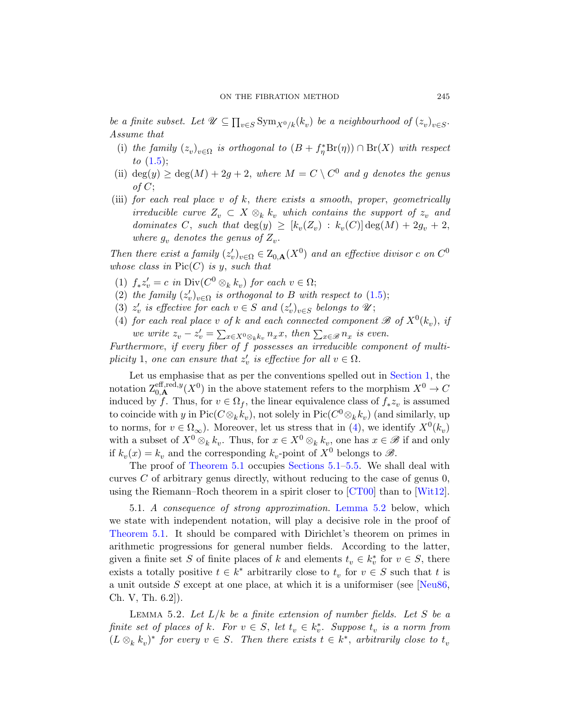be a finite subset. Let  $\mathcal{U} \subseteq \prod_{v \in S} \text{Sym}_{X^0/k}(k_v)$  be a neighbourhood of  $(z_v)_{v \in S}$ . Assume that

- (i) the family  $(z_v)_{v \in \Omega}$  is orthogonal to  $(B + f_{\eta}^* Br(\eta)) \cap Br(X)$  with respect to  $(1.5);$
- (ii) deg(y)  $\geq$  deg(M) + 2g + 2, where  $M = C \setminus C^0$  and g denotes the genus of C;
- (iii) for each real place v of  $k$ , there exists a smooth, proper, geometrically irreducible curve  $Z_v \subset X \otimes_k k_v$  $Z_v \subset X \otimes_k k_v$  $Z_v \subset X \otimes_k k_v$  which contains the support of  $z_v$  and dominates C, such that  $deg(y) \geq [k_v(Z_v) : k_v(C)] deg(M) + 2g_v + 2$ , where  $g_v$  denotes the genus of  $Z_v$ .

<span id="page-16-2"></span>Then there exist a family  $(z'_v)_{v \in \Omega} \in Z_{0,\mathbf{A}}(X^0)$  and an effective divisor c on  $C^0$ whose class in  $Pic(C)$  is y, such that

- (1)  $f_* z'_v = c$  in  $\text{Div}(C^0 \otimes_k k_v)$  for each  $v \in \Omega$ ;
- (2) the family  $(z'_v)_{v \in \Omega}$  is orthogonal to B [with res](#page-0-1)pect to (1.5);
- (3)  $z'_v$  is effective for each  $v \in S$  and  $(z'_v)_{v \in S}$  belongs to  $\mathscr{U}$ ;
- (4) for each real place v of k and each connected component  $\mathscr{B}$  of  $X^0(k_v)$ , if we write  $z_v - z'_v = \sum_{x \in X^0 \otimes_k k_v} n_x x$ , then  $\sum_{x \in \mathscr{B}} n_x$  is even.

Furthermore, if every fiber of f [p](#page-16-2)ossesses an irreducible component of multiplicity 1, one can ensure that  $z'_{v}$  is effective for all  $v \in \Omega$ .

Let us emphasise that as per the conventions spelled out in Section 1, the [notation](#page-15-1)  $\mathcal{Z}_{0,\mathbf{A}}^{\text{eff},\text{red},y}(X^0)$  in the a[bove](#page-21-0) statement refers to the morphism  $X^0 \to C$ induced by f. Thus, for  $v \in \Omega_f$ , the linear equivalence class of  $f_* z_v$  is assumed to coincide with y in  $\text{Pic}(C \otimes_k k_v)$ , not solely in  $\text{Pic}(C^0 \otimes_k k_v)$  (and similarly, up to norms, for  $v \in \Omega_{\infty}$ ). Mor[eover, let us](#page-16-0) stress that in (4), we identify  $X^{0}(k_v)$ with a subset of  $X^0 \otimes_k k_v$ . Thus, for  $x \in X^0 \otimes_k k_v$ , one has  $x \in \mathscr{B}$  if and only if  $k_v(x) = k_v$  and the corresponding  $k_v$ -point of  $X^0$  belongs to  $\mathscr{B}$ .

<span id="page-16-1"></span>The proof of Theorem 5.1 occupies Sections 5.1–5.5. We shall deal with curves  $C$  of arbitrary genus directly, without reducing to the case of genus  $0$ , using the Riemann–Roch theorem in a spirit closer to  $\lbrack \text{CT00} \rbrack$  than to  $\lbrack \text{Wit12} \rbrack$ .

<span id="page-16-0"></span>5.1. A consequence of strong approximation. [Lem](#page-64-6)ma 5.2 below, which we state with independent notation, will play a decisive role in the proof of Theorem 5.1. It should be compared with Dirichlet's theorem on primes in arithmetic progressions for general number fields. According to the latter, given a finite set S of finite places of k and elements  $t_v \in k_v^*$  for  $v \in S$ , there exists a totally positive  $t \in k^*$  arbitrarily close to  $t_v$  for  $v \in S$  such that t is a unit outside S except at one place, at which it is a uniformiser (see [Neu86, Ch. V, Th. 6.2]).

LEMMA 5.2. Let  $L/k$  be a finite extension of number fields. Let S be a finite set of places of k. For  $v \in S$ , let  $t_v \in k_v^*$ . Suppose  $t_v$  is a norm from  $(L \otimes_k k_v)^*$  for every  $v \in S$ . Then there exists  $t \in k^*$ , arbitrarily close to  $t_v$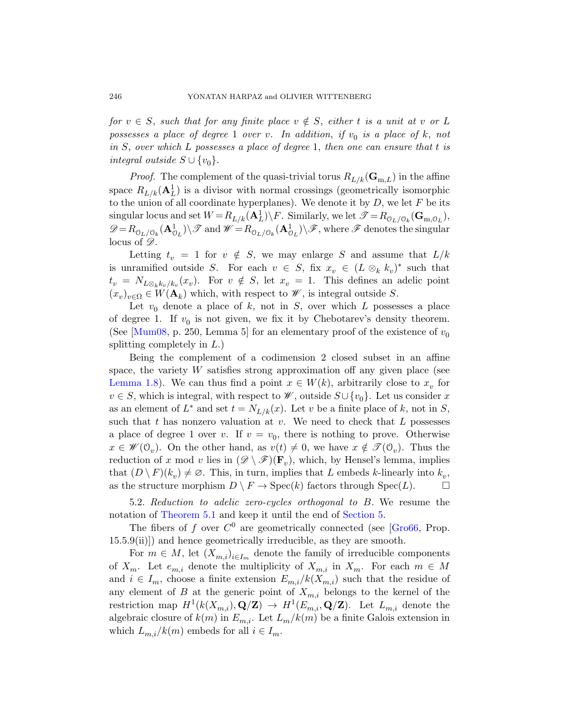for  $v \in S$ , such that for any finite place  $v \notin S$ , either t is a unit at v or L possesses a place of degree 1 over v. In addition, if  $v_0$  is a place of k, not in  $S$ , over which  $L$  possesses a place of degree 1, then one can ensure that  $t$  is integral outside  $S \cup \{v_0\}.$ 

*Proof.* The complement of the quasi-trivial torus  $R_{L/k}(\mathbf{G}_{m,L})$  in the affine space  $R_{L/k}(\mathbf{A}_L^1)$  is a divisor with normal crossings (geometrically isomorphic to the union of all coordinate hyperplanes). We denote it by  $D$ , we let  $F$  be its singular locus and set  $W = R_{L/k}(\mathbf{A}_L^1) \backslash F$ . Similarly, we let  $\mathscr{T} = R_{\mathcal{O}_L/\mathcal{O}_k}(\mathbf{G}_{\mathbf{m},\mathcal{O}_L})$ ,  $\mathscr{D} = R_{\mathbb{O}_L/\mathbb{O}_k}(\mathbf{A}^1_{\mathbb{O}_L}) \setminus \mathscr{T}$  and  $\mathscr{W} = R_{\mathbb{O}_L/\mathbb{O}_k}(\mathbf{A}^1_{\mathbb{O}_L}) \setminus \mathscr{F}$ , where  $\mathscr{F}$  denotes the singular locus of  $\mathscr{D}$ .

Letting  $t_v = 1$  for  $v \notin S$ , we may enlarge S and assume that  $L/k$ is unramified outside S. For each  $v \in S$ , fix  $x_v \in (L \otimes_k k_v)^*$  such that  $t_v = N_{L\otimes_k k_v/k_v}(x_v)$ . For  $v \notin S$ , let  $x_v = 1$ . This defines an adelic point  $(x_v)_{v \in \Omega} \in W(\mathbf{A}_k)$  which, with respect to  $\mathscr{W}$ , is integral outside S.

Let  $v_0$  denote a place of k, not in S, over which L possesses a place of degree 1. If  $v_0$  is not given, we fix it by Chebotarev's density theorem. (See [Mum08, p. 250, Lemma 5] for an elementary proof of the existence of  $v_0$ splitting completely in  $L$ .)

<span id="page-17-0"></span>Being the complement of a codimension 2 closed subset in an affine space, the variety  $W$  satisfies strong approximation off any given place (see Lemma 1.8). We can thus find a point  $x \in W(k)$ , arbitrarily close to  $x_v$  for  $v \in S$ , which is integral, with respect to  $\mathscr{W}$ , outside  $S \cup \{v_0\}$ . Let us consider x as an element of  $L^*$  and set  $t = N_{L/k}(x)$ . Let v be a finite place of k, not in S, such that  $t$  has nonzero valuation at  $v$ . We need to check that  $L$  possesses [a](#page-15-1) place of degree 1 over v. If  $v = v_0$  $v = v_0$  $v = v_0$ , there is nothing to prove. Otherwise  $x \in \mathscr{W}(\mathbb{O}_v)$ . On the other hand, as  $v(t) \neq 0$ , we have  $x \notin \mathscr{T}(\mathbb{O}_v)$ . Thus the reduction of x mod v lies in  $(\mathscr{D} \setminus \mathscr{F})(\mathbf{F}_v)$ , which, by Hensel's lemma, implies that  $(D \setminus F)(k_v) \neq \emptyset$ . This, in turn, implies that L embeds k-linearly into  $k_v$ , as the structure morphism  $D \setminus F \to \text{Spec}(k)$  factors through  $\text{Spec}(L)$ .  $\Box$ 

5.2. Reduction to adelic zero-cycles orthogonal to B. We resume the notation of Theorem 5.1 and keep it until the end of Section 5.

The fibers of f over  $C^0$  are geometrically connected (see [Gro66, Prop. 15.5.9(ii)]) and hence geometrically irreducible, as they are smooth.

For  $m \in M$ , let  $(X_{m,i})_{i \in I_m}$  denote the family of irreducible components of  $X_m$ . Let  $e_{m,i}$  denote the multiplicity of  $X_{m,i}$  in  $X_m$ . For each  $m \in M$ and  $i \in I_m$ , choose a finite extension  $E_{m,i}/k(X_{m,i})$  such that the residue of any element of B at the generic point of  $X_{m,i}$  belongs to the kernel of the restriction map  $H^1(k(X_{m,i}),\mathbf{Q}/\mathbf{Z}) \to H^1(E_{m,i},\mathbf{Q}/\mathbf{Z})$ . Let  $L_{m,i}$  denote the algebraic closure of  $k(m)$  in  $E_{m,i}$ . Let  $L_m/k(m)$  be a finite Galois extension in which  $L_{m,i}/k(m)$  embeds for all  $i \in I_m$ .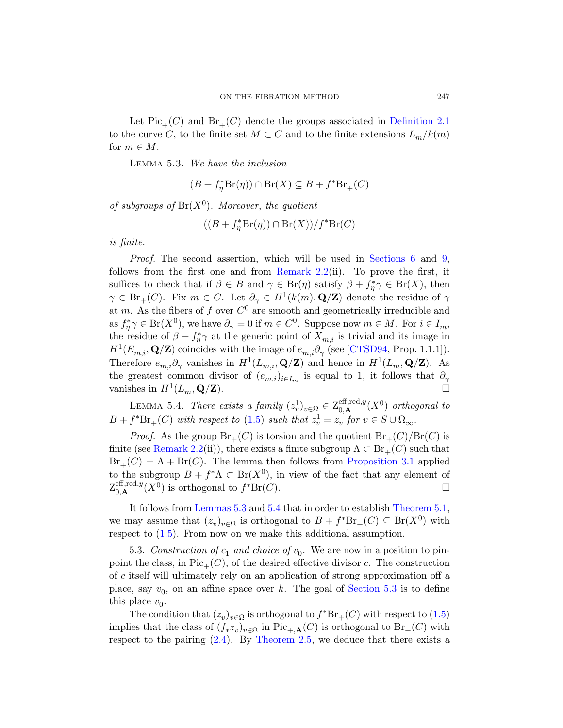<span id="page-18-0"></span>Let  $Pic_+(C)$  and  $Br_+(C)$  denote the groups associated in Definition 2.1 to the curve C, to the finite set  $M \subset C$  and to the finite extensions  $L_m/k(m)$ for  $m \in M$ .

Lemma 5.3. We have the inclusion

$$
(B + f_{\eta}^* \text{Br}(\eta)) \cap \text{Br}(X) \subseteq B + f^* \text{Br}_+(C)
$$

of subgroups of  $Br(X^0)$ . Moreover, the quotient

$$
((B + f_{\eta}^* \operatorname{Br}(\eta)) \cap \operatorname{Br}(X)) / f^* \operatorname{Br}(C)
$$

is finite.

<span id="page-18-1"></span>Proof. The second assertion, which will be used in Sections 6 and 9, follows from the first one and [from](#page-61-0) Remark 2.2(ii). To prove the first, it suffices to check that if  $\beta \in B$  and  $\gamma \in Br(\eta)$  satisfy  $\beta + f_{\eta}^* \gamma \in Br(X)$ , then  $\gamma \in \text{Br}_+(C)$ . Fix  $m \in C$ . Let  $\partial_{\gamma} \in H^1(k(m), \mathbf{Q}/\mathbf{Z})$  denote the residue of  $\gamma$ at m. As the fibers of f over  $C^0$  are smooth and geometrically irreducible and as  $f_{\eta}^*\gamma \in Br(X^0)$ , we have  $\partial_{\gamma} = 0$  if  $m \in C^0$ . Suppose now  $m \in M$ . For  $i \in I_m$ , the resi[due](#page-7-0) of  $\beta + f_{\eta}^* \gamma$  at the generic point of  $X_{m,i}$  is trivial and its image in  $H^1(E_{m,i}, \mathbf{Q}/\mathbf{Z})$  coincides with the image of  $e_{m,i}\partial_\gamma$  (see [CTSD94, Prop. 1.1.1]). Therefore  $e_{m,i}\partial_\gamma$  vanishes in  $H^1(L_{m,i}, \mathbf{Q}/\mathbf{Z})$  and hence in  $H^1(L_m, \mathbf{Q}/\mathbf{Z})$ . As the greatest common divisor of  $(e_{m,i})_{i\in I_m}$  is equal to 1, it follows that  $\partial_\gamma$ vanishes in  $H^1(L_m, \mathbf{Q}/\mathbf{Z})$ .

LEMMA 5.4. There exists a family  $(z_v^1)_{v \in \Omega} \in Z_{0,\mathbf{A}}^{\text{eff},\text{red},y}(X^0)$  orthogonal to  $B + f^*Br_+(C)$  with respect to (1.5) such that  $z_v^1 = z_v$  for  $v \in S \cup \Omega_{\infty}$ .

<span id="page-18-2"></span>*[Proo](#page-18-0)f.* [As th](#page-18-1)e group  $Br_+(C)$  is torsi[on and the qu](#page-15-1)otient  $Br_+(C)/Br(C)$  is finite (see Remark 2.2(ii)), there exists a finite subgroup  $\Lambda \subset \text{Br}_{+}(C)$  such that  $Br_{+}(C) = \Lambda + Br(C)$ . The lemma then follows from Proposition 3.1 applied to the subgroup  $B + f^*\Lambda \subset \text{Br}(X^0)$ , in view of the fact that any element of  $Z_{0,\mathbf{A}}^{\text{eff},\text{red},y}(X^0)$  is orthogonal to  $f^*Br(C)$ .

It follows from Lemmas 5.3 [and](#page-18-2) 5.4 that in order to establish Theorem 5.1, we may assume that  $(z_v)_{v \in \Omega}$  is orthogonal to  $B + f^*Br_+(C) \subseteq Br(X^0)$  with respect to (1.5). From now on we make this additi[ona](#page-7-0)l assumption.

5.3. Construction of  $c_1$  and choice of  $v_0$ . We are now in a position to pin[poin](#page-11-0)t the class, in  $Pic_+(C)$ , of the desired effective divisor c. The construction of c itself will ultimately rely on an application of strong approximation off a place, say  $v_0$ , on an affine space over k. The goal of Section 5.3 is to define this place  $v_0$ .

The condition that  $(z_v)_{v \in \Omega}$  is orthogonal to  $f^*Br_+(C)$  with respect to  $(1.5)$ implies that the class of  $(f_* z_v)_{v \in \Omega}$  in Pic<sub>+,A</sub>(C) is orthogonal to Br<sub>+</sub>(C) with respect to the pairing  $(2.4)$ . By Theorem 2.5, we deduce that there exists a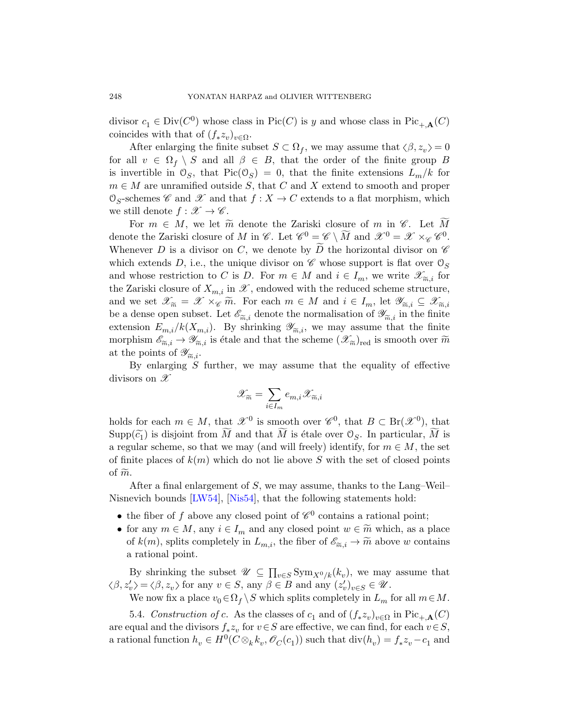divisor  $c_1 \in Div(C^0)$  whose class in Pic $(C)$  is y and whose class in Pic<sub>+,A</sub> $(C)$ coincides with that of  $(f_* z_v)_{v \in \Omega}$ .

After enlarging the finite subset  $S \subset \Omega_f$ , we may assume that  $\langle \beta, z_v \rangle = 0$ for all  $v \in \Omega_f \setminus S$  and all  $\beta \in B$ , that the order of the finite group B is invertible in  $\mathcal{O}_S$ , that  $Pic(\mathcal{O}_S) = 0$ , that the finite extensions  $L_m/k$  for  $m \in M$  are unramified outside S, that C and X extend to smooth and proper  $\mathcal{O}_S$ -schemes  $\mathscr C$  and  $\mathscr X$  and that  $f: X \to C$  extends to a flat morphism, which we still denote  $f : \mathscr{X} \to \mathscr{C}$ .

For  $m \in M$ , we let  $\widetilde{m}$  denote the Zariski closure of m in  $\mathscr{C}$ . Let  $M$ denote the Zariski closure of M in  $\mathscr{C}$ . Let  $\mathscr{C}^0 = \mathscr{C} \setminus \widetilde{M}$  and  $\mathscr{X}^0 = \mathscr{X} \times_{\mathscr{C}} \mathscr{C}^0$ . Whenever D is a divisor on C, we denote by D the horizontal divisor on  $\mathscr C$ which extends D, i.e., the unique divisor on  $\mathscr C$  whose support is flat over  $\mathcal O_S$ and whose restriction to C is D. For  $m \in M$  and  $i \in I_m$ , we write  $\mathscr{X}_{\widetilde{m},i}$  for the Zariski closure of  $X_{m,i}$  in  $\mathscr{X}$ , endowed with the reduced scheme structure. the Zariski closure of  $X_{m,i}$  in  $\mathscr X$ , endowed with the reduced scheme structure, and we set  $\mathscr{X}_{\widetilde{m}} = \mathscr{X} \times_{\mathscr{C}} \widetilde{m}$ . For each  $m \in M$  and  $i \in I_m$ , let  $\mathscr{Y}_{\widetilde{m},i} \subseteq \mathscr{X}_{\widetilde{m},i}$ <br>be a dense open subset. Let  $\mathscr{E}_{\widetilde{\infty},i}$  denote the normalisation of  $\mathscr{Y}_{\widetilde{\infty},i}$  in the f be a dense open subset. Let  $\mathscr{E}_{\tilde{m},i}$  denote the normalisation of  $\mathscr{Y}_{\tilde{m},i}$  in the finite extension  $E_{m,i}/k(X_{m,i})$ . By shrinking  $\mathscr{Y}_{\tilde{\infty},i}$ , we may assume that the finite extension  $E_{m,i}/k(X_{m,i})$ . By shrinking  $\mathscr{Y}_{\widetilde{m},i}$ , we may assume that the finite morphism  $\mathscr{E}_{\widetilde{\infty},i} \to \mathscr{Y}_{\widetilde{\infty},i}$  is étale and that the scheme  $(\mathscr{X}_{\widetilde{\infty}})_{\text{red}}$  is smooth over  $\widetilde{m}$ morphism  $\mathscr{E}_{\widetilde{m},i} \to \mathscr{Y}_{\widetilde{m},i}$  is étale and that the scheme  $(\mathscr{X}_{\widetilde{m}})_{\text{red}}$  is smooth over  $\widetilde{m}$  at the points of  $\mathscr{Y}_{\sim i}$ . at the points of  $\mathscr{Y}_{\widetilde{m},i}$ .<br>By enlarging S

By enlarging  $S$  further, we may assume that the equality of effective divisors on  $\mathscr X$ 

$$
\mathscr{X}_{\widetilde{m}}=\sum_{i\in I_m} e_{m,i}\mathscr{X}_{\widetilde{m},i}
$$

[ho](#page-63-4)l[ds for e](#page-64-7)ach  $m \in M$ , that  $\mathscr{X}^0$  is smooth over  $\mathscr{C}^0$ , that  $B \subset \text{Br}(\mathscr{X}^0)$ , that  $\text{Supp}(\widetilde{c}_1)$  is disjoint from M and that M is étale over  $\mathcal{O}_S$ . In particular, M is a regular scheme, so that we may (and will freely) identify, for  $m \in M$ , the set of finite places of  $k(m)$  which do not lie above S with the set of closed points of  $\widetilde{m}$ .

After a final enlargement of  $S$ , we may assume, thanks to the Lang–Weil– Nisnevich bounds [LW54], [Nis54], that the following statements hold:

- the fiber of f above any closed point of  $\mathscr{C}^0$  contains a rational point;
- <span id="page-19-0"></span>• for any  $m \in M$ , any  $i \in I_m$  and any closed point  $w \in \widetilde{m}$  which, as a place of  $k(m)$ , splits completely in  $L_{m,i}$ , the fiber of  $\mathscr{E}_{\widetilde{m},i} \to \widetilde{m}$  above w contains a rational point. a rational point.

By shrinking the subset  $\mathscr{U} \subseteq \prod_{v \in S} \text{Sym}_{X^0/k}(k_v)$ , we may assume that  $\beta, z_v' \rangle = \langle \beta, z_v \rangle$  for any  $v \in S$ , any  $\beta \in B$  and any  $(z_v')_{v \in S} \in \mathcal{U}$ .

We now fix a place  $v_0 \in \Omega_f \setminus S$  which splits completely in  $L_m$  for all  $m \in M$ .

5.4. Construction of c. As the classes of  $c_1$  and of  $(f_* z_v)_{v \in \Omega}$  in  $Pic_{+,A}(C)$ are equal and the divisors  $f_* z_v$  for  $v \in S$  are effective, we can find, for each  $v \in S$ , a rational function  $h_v \in H^0(C \otimes_k k_v, \mathscr{O}_C(c_1))$  such that  $\text{div}(h_v) = f_* z_v - c_1$  and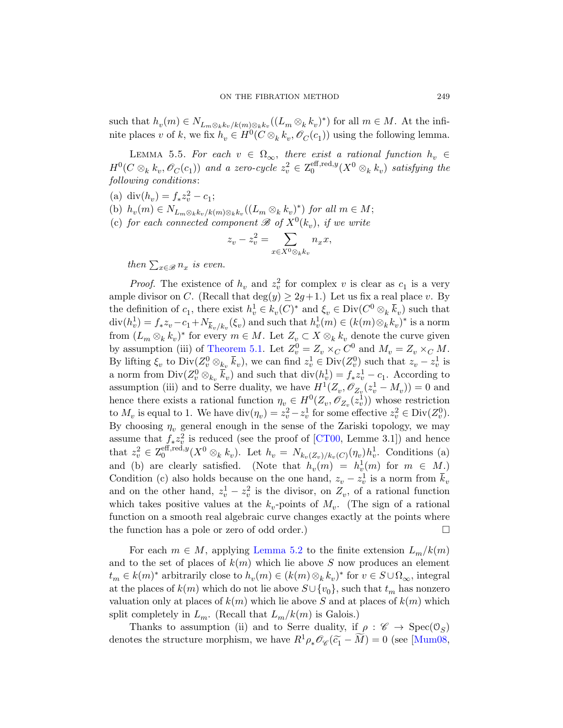such that  $h_v(m) \in N_{L_m \otimes_k k_v/k(m) \otimes_k k_v}((L_m \otimes_k k_v)^*)$  for all  $m \in M$ . At the infinite places v of k, we fix  $h_v \in H^0(C \otimes_k k_v, \mathscr{O}_C(c_1))$  using the following lemma.

LEMMA 5.5. For each  $v \in \Omega_{\infty}$ , there exist a rational function  $h_v \in$  $H^0(C\otimes_k k_v, \mathscr{O}_C(c_1))$  and a zero-cycle  $z_v^2\in Z_0^{\text{eff},\text{red},y}$  $_{0}^{\mathrm{eff},\mathrm{red},y}(X^{0}\otimes_{k}k_{v})$  satisfying the following conditions:

- (a) div( $h_v$ ) =  $f_* z_v^2 c_1$ ;
- (b)  $h_v(m) \in N_{L_m \otimes_k k_v/k(m) \otimes_k k_v}((L_m \otimes_k k_v)^*)$  for all  $m \in M$ ;
- (c) for each connected component  $\mathscr{B}$  of  $X^0(k_v)$ , if we write

$$
z_v - z_v^2 = \sum_{x \in X^0 \otimes_k k_v} n_x x,
$$

[then](#page-15-1)  $\sum_{x \in \mathscr{B}} n_x$  is even.

*Proof.* The existence of  $h_v$  and  $z_v^2$  for complex v is clear as  $c_1$  is a very ample divisor on C. (Recall that  $deg(y) \geq 2g+1$ .) Let us fix a real place v. By the definition of  $c_1$ , there exist  $h_v^1 \in k_v(C)^*$  and  $\xi_v \in \text{Div}(C^0 \otimes_k \overline{k}_v)$  such that  $\mathrm{div}(h_v^1) = f_* z_v - c_1 + N_{\overline{k}_v/k_v}(\xi_v)$  and such that  $h_v^1(m) \in (k(m) \otimes_k k_v)^*$  is a norm from  $(L_m \otimes_k k_v)^*$  for every  $m \in M$ . Let  $Z_v \subset X \otimes_k k_v$  denote the curve given by assumption (iii) of Theorem 5.1. Let  $Z_v^0 = Z_v \times_C C^0$  and  $M_v = Z_v \times_C M$ . By lifting  $\xi_v$  to  $\text{Div}(Z_v^0 \otimes_{k_v} \overline{k}_v)$ , we can find  $z_v^1 \in \text{Div}(Z_v^0)$  such that  $z_v - z_v^1$  is a norm from  $\text{Div}(Z_v^0 \otimes_{k_v} \overline{k}_v)$  and such that  $\text{div}(h_v^1) = f_* z_v^1 - c_1$ . According to assumption (iii) and to Serre duality, we have  $H^1(Z_v, \mathscr{O}_{Z_v}(z_v^1 - M_v)) = 0$  and hence there exists a rational function  $\eta_v \in H^0(Z_v, \mathscr{O}_{Z_v}(z_v^1))$  whose restriction to  $M_v$  is equal to 1. We have  $\text{div}(\eta_v) = z_v^2 - z_v^1$  for some effective  $z_v^2 \in \text{Div}(Z_v^0)$ . By choosing  $\eta_v$  general enough in the sense of the Zariski topology, we may assume that  $f_* z_v^2$  is reduced (see the proof of [CT00, Lemme 3.1]) and hence that  $z_v^2 \in \mathsf{Z}_0^{\text{eff,red},y}$  $\int_0^{\text{eff},\text{red},y}(X^0\otimes_k k_v)$ . Let  $h_v = N_{k_v(Z_v)/k_v(C)}(\eta_v)h_v^1$ . Conditions (a) and (b) [are clearly](#page-16-0) satisfied. (Note that  $h_v(m) = h_v^1(m)$  for  $m \in M$ .) Condition (c) also holds because on the one hand,  $z_v - z_v^1$  is a norm from  $\bar{k}_v$ and on the other hand,  $z_v^1 - z_v^2$  is the divisor, on  $Z_v$ , of a rational function which takes positive values at the  $k_v$ -points of  $M_v$ . (The sign of a rational function on a smooth real algebraic curve changes exactly at the points where the function has a pole or zero of odd order.)  $\Box$ 

For each  $m \in M$ , applying Lemma 5.2 to the finite extension  $L_m/k(m)$ and to the set of places of  $k(m)$  which lie ab[ove](#page-64-8) S now produces an element  $t_m \in k(m)^*$  arbitrarily close to  $h_v(m) \in (k(m) \otimes_k k_v)^*$  for  $v \in S \cup \Omega_{\infty}$ , integral at the places of  $k(m)$  which do not lie above  $S\cup \{v_0\}$ , such that  $t_m$  has nonzero valuation only at places of  $k(m)$  which lie above S and at places of  $k(m)$  which split completely in  $L_m$ . (Recall that  $L_m/k(m)$  is Galois.)

Thanks to assumption (ii) and to Serre duality, if  $\rho : \mathscr{C} \to \text{Spec}(\mathcal{O}_S)$ denotes the structure morphism, we have  $R^1 \rho_* \mathcal{O}_{\mathscr{C}}(\widetilde{c}_1 - \widetilde{M}) = 0$  (see [Mum08,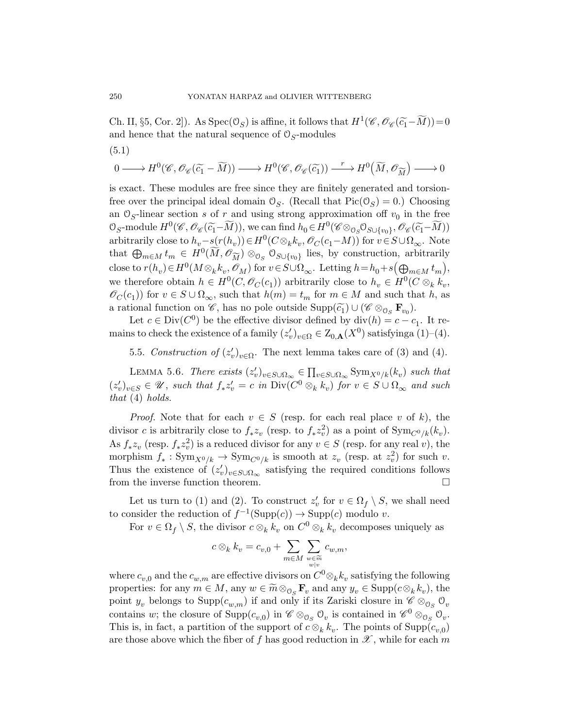<span id="page-21-1"></span>Ch. II, §5, Cor. 2]). As  $Spec(\mathcal{O}_S)$  is affine, it follows that  $H^1(\mathscr{C}, \mathscr{O}_{\mathscr{C}}(\widetilde{c}_1 - \widetilde{M})) = 0$ and hence that the natural sequence of  $\mathcal{O}_{S}\text{-modules}$ (5.1)

$$
0 \longrightarrow H^{0}(\mathscr{C}, \mathscr{O}_{\mathscr{C}}(\widetilde{c_{1}} - \widetilde{M})) \longrightarrow H^{0}(\mathscr{C}, \mathscr{O}_{\mathscr{C}}(\widetilde{c_{1}})) \xrightarrow{r} H^{0}(\widetilde{M}, \mathscr{O}_{\widetilde{M}}) \longrightarrow 0
$$

is exact. These modules are free since they are finitely generated and torsionfree over the principal ideal domain  $\mathcal{O}_S$ . (Recall that  $Pic(\mathcal{O}_S) = 0$ .) Choosing an  $\mathcal{O}_S$ -linear section s of r and using strong approximation of  $v_0$  in the free  $\mathcal{O}_S$ -module  $H^0(\mathscr{C}, \mathscr{O}_{\mathscr{C}}(\widetilde{c}_1 - \widetilde{M}))$ , we can find  $h_0 \in H^0(\mathscr{C} \otimes_{\mathcal{O}_S} \mathcal{O}_{S \cup \{v_0\}}, \mathscr{O}_{\mathscr{C}}(\widetilde{c}_1 - \widetilde{M}))$ arbitrarily close to  $h_v - s(r(h_v)) \in H^0(C \otimes_k k_v, \mathscr{O}_C(c_1 - M))$  for  $v \in S \cup \Omega_{\infty}$ . Note that  $\bigoplus_{m\in M} t_m \in H^0(\widetilde{M}, \mathscr{O}_{\widetilde{M}}) \otimes_{\mathbb{O}_S} \mathbb{O}_{S\cup \{v_0\}}$  lies, by construction, arbitrarily also to  $n(k_n) \in H^0(M \otimes k_n \mathscr{O}_{\mathbb{C}})$  for  $n \in S \cup \Omega$ . Letting  $k = k_n \cup \Omega(\Omega)$ close to  $r(h_v) \in H^0(M \otimes_k k_v, \mathscr{O}_M)$  for  $v \in S \cup \Omega_{\infty}$ . Letting  $h = h_0 + s(\bigoplus_{m \in M} t_m)$ , we therefore obtain  $h \in H^0(C, \mathscr{O}_C(c_1))$  arbitrarily close to  $h_v \in H^0(C \otimes_k k_v,$  $\mathscr{O}_C(c_1)$  for  $v \in S \cup \Omega_{\infty}$ , such that  $h(m) = t_m$  for  $m \in M$  and such that h, as a rational function on  $\mathscr{C}$ , has no pole outside  $\text{Supp}(\widetilde{\epsilon}_1) \cup (\mathscr{C} \otimes_{\mathcal{O}_S} \mathbf{F}_{v_0}).$ 

Let  $c \in Div(C^0)$  be the effective divisor defined by  $div(h) = c - c_1$ . It remains to check the existence of a family  $(z'_v)_{v \in \Omega} \in Z_{0,\mathbf{A}}(X^0)$  satisfyinga  $(1)$ – $(4)$ .

<span id="page-21-0"></span>5.5. Construction of  $(z'_v)_{v \in \Omega}$ . The next lemma takes care of (3) and (4).

LEMMA 5.6. There exists  $(z'_v)_{v \in S \cup \Omega_\infty} \in \prod_{v \in S \cup \Omega_\infty} \text{Sym}_{X^0/k}(k_v)$  such that  $(z'_v)_{v \in S} \in \mathcal{U}$ , such that  $f_* z'_v = c$  in  $\text{Div}(C^0 \otimes_k k_v)$  for  $v \in S \cup \Omega_{\infty}$  and such that (4) holds.

*Proof.* Note that for each  $v \in S$  (resp. for each real place v of k), the divisor c is arbitrarily close to  $f_* z_v$  (resp. to  $f_* z_v^2$ ) as a point of  $\text{Sym}_{C^0/k}(k_v)$ . As  $f_* z_v$  (resp.  $f_* z_v^2$ ) is a reduced divisor for any  $v \in S$  (resp. for any real v), the morphism  $f_* : \text{Sym}_{X^0/k} \to \text{Sym}_{C^0/k}$  is smooth at  $z_v$  (resp. at  $z_v^2$ ) for such v. Thus the existence of  $(z'_v)_{v \in S \cup \Omega_{\infty}}$  satisfying the required conditions follows from the inverse function theorem.

Let us turn to (1) and (2). To construct  $z'_{v}$  for  $v \in \Omega_f \setminus S$ , we shall need to consider the reduction of  $f^{-1}(\text{Supp}(c)) \to \text{Supp}(c)$  modulo v.

For  $v \in \Omega_f \setminus S$ , the divisor  $c \otimes_k k_v$  on  $C^0 \otimes_k k_v$  decomposes uniquely as

$$
c\otimes_k k_v = c_{v,0} + \sum_{m\in M} \sum_{\substack{w\in \widetilde{m}\\w|v}} c_{w,m},
$$

where  $c_{v,0}$  and the  $c_{w,m}$  are effective divisors on  $C^0 \otimes_k k_v$  satisfying the following properties: for any  $m \in M$ , any  $w \in \widetilde{m} \otimes_{\mathcal{O}_S} \mathbf{F}_v$  and any  $y_v \in \text{Supp}(c \otimes_k k_v)$ , the point  $y_v$  belongs to  $\text{Supp}(c_{w,m})$  if and only if its Zariski closure in  $\mathscr{C}\otimes_{{\cal O}_S}{\cal O}_v$ contains w; the closure of  $\text{Supp}(c_{v,0})$  in  $\mathscr{C} \otimes_{\mathcal{O}_S} \mathcal{O}_v$  is contained in  $\mathscr{C}^0 \otimes_{\mathcal{O}_S} \mathcal{O}_v$ . This is, in fact, a partition of the support of  $c \otimes_k k_v$ . The points of  $\text{Supp}(c_{v,0})$ are those above which the fiber of f has good reduction in  $\mathscr X$ , while for each m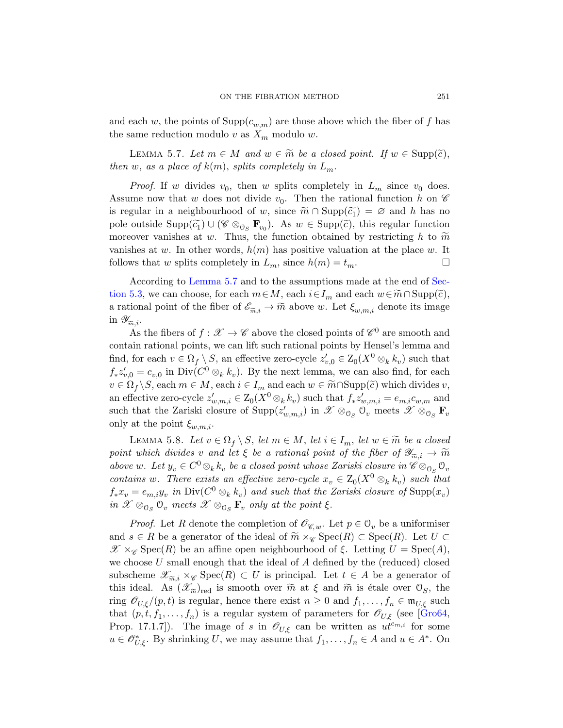<span id="page-22-0"></span>and each w, the points of  $\text{Supp}(c_{w,m})$  are those above which the fiber of f has the same reduction modulo v as  $X_m$  modulo w.

LEMMA 5.7. Let  $m \in M$  and  $w \in \widetilde{m}$  be a closed point. If  $w \in \text{Supp}(\widetilde{c})$ , then w, as a place of  $k(m)$ , splits completely in  $L_m$ .

*Proof.* If w divides  $v_0$ , then w splits completely in  $L_m$  since  $v_0$  does. [Assum](#page-22-0)e now that w does not divide  $v_0$ . Then t[he rat](#page-18-2)ional function h on  $\mathscr C$ is regular in a neighbourhood of w, since  $\widetilde{m} \cap \text{Supp}(\widetilde{c}_1) = \emptyset$  and h has no pole outside  $\text{Supp}(\widetilde{c}_1) \cup (\mathscr{C} \otimes_{\mathcal{O}_S} \mathbf{F}_{v_0})$ . As  $w \in \text{Supp}(\widetilde{c})$ , this regular function moreover vanishes at w. Thus, the function obtained by restricting h to  $\widetilde{m}$ vanishes at w. In other words,  $h(m)$  has positive valuation at the place w. It follows that w splits completely in  $L_m$ , since  $h(m) = t_m$ .

According to Lemma 5.7 and to the assumptions made at the end of Section 5.3, we can choose, for each  $m \in M$ , each  $i \in I_m$  and each  $w \in \widetilde{m} \cap \text{Supp}(\widetilde{c})$ , a rational point of the fiber of  $\mathscr{E}_{\widetilde{m},i} \to \widetilde{m}$  above w. Let  $\xi_{w,m,i}$  denote its image<br>in  $\mathscr{Y}_{\widetilde{\infty},i}$ . in  $\mathscr{Y}_{\widetilde{m},i}$ .<br>As

As the fibers of  $f: \mathscr{X} \to \mathscr{C}$  above the closed points of  $\mathscr{C}^0$  are smooth and contain rational points, we can lift such rational points by Hensel's lemma and find, for each  $v \in \Omega_f \setminus S$ , an effective zero-cycle  $z'_{v,0} \in Z_0(X^0 \otimes_k k_v)$  such that  $f_* z'_{v,0} = c_{v,0}$  in Div( $C^0 \otimes_k k_v$ ). By the next lemma, we can also find, for each  $v \in \Omega_f \backslash S$ , each  $m \in M$ , each  $i \in I_m$  and each  $w \in \widetilde{m} \cap \text{Supp}(\widetilde{c})$  which divides  $v$ , an effective zero-cycle  $z'_{w,m,i} \in Z_0(X^0 \otimes_k k_v)$  such that  $f_* z'_{w,m,i} = e_{m,i} c_{w,m}$  and such that the Zariski closure of  $\text{Supp}(z'_{w,m,i})$  in  $\mathscr{X} \otimes_{\mathbb{O}_S} \mathbb{O}_v$  meets  $\mathscr{X} \otimes_{\mathbb{O}_S} \mathbf{F}_v$ only at the point  $\xi_{w,m,i}$ .

LEMMA 5.8. Let  $v \in \Omega_f \setminus S$ , let  $m \in M$ , let  $i \in I_m$ , let  $w \in \widetilde{m}$  be a closed point which divides v and let  $\xi$  be a rational point of the fiber of  $\mathscr{Y}_{\widetilde{m},i} \to \widetilde{m}$ <br>above w. Let  $u_{\cdot} \in C^0 \otimes_{\cdot} k_{\cdot}$ , be a closed point whose Zariski closure in  $\mathscr{C} \otimes_{\cdot} \mathscr{O}_{\cdot}$ . above w. Let  $y_v \in C^0 \otimes_k k_v$  be a closed point whose Zariski closure in  $\mathscr{C} \otimes_{\mathfrak{O}_S} \mathfrak{O}_v$ contains w. There exists an effective zero-cycle  $x_v \in Z_0(X^0 \otimes_k k_v)$  such that  $f_*x_v = e_{m,i}y_v$  in  $Div(C^0 \otimes_k k_v)$  and such that the Zariski closure of  $Supp(x_v)$ in  $\mathscr{X} \otimes_{\mathcal{O}_S} \mathcal{O}_v$  meets  $\mathscr{X} \otimes_{\mathcal{O}_S} \mathbf{F}_v$  only at the point  $\xi$ .

*Proof.* Let R denote the completion of  $\mathscr{O}_{\mathscr{C},w}$ . Let  $p \in \mathcal{O}_v$  be a uniformiser and  $s \in R$  be a generator of the ideal of  $\widetilde{m} \times_{\mathscr{C}} \operatorname{Spec}(R) \subset \operatorname{Spec}(R)$ . Let  $U \subset \mathscr{C}$  $\mathscr{X} \times_{\mathscr{C}} \operatorname{Spec}(R)$  be an affine open neighbourhood of  $\xi$ . Letting  $U = \operatorname{Spec}(A)$ , we choose  $U$  small enough that the ideal of  $A$  defined by the (reduced) closed subscheme  $\mathscr{X}_{\widetilde{m},i} \times_{\mathscr{C}} \operatorname{Spec}(R) \subset U$  is principal. Let  $t \in A$  be a generator of this ideal. As  $(\mathscr{X}_{\widetilde{\infty}})_{\text{red}}$  is smooth over  $\widetilde{m}$  at  $\xi$  and  $\widetilde{m}$  is étale over  $\mathcal{O}_{\infty}$ , the this ideal. As  $(\mathscr{X}_{\widetilde{m}})_{\text{red}}$  is smooth over  $\widetilde{m}$  at  $\xi$  and  $\widetilde{m}$  is étale over  $\mathcal{O}_S$ , the ring  $\mathscr{O}_{U,\xi}/(p,t)$  is regular, hence there exist  $n \geq 0$  and  $f_1,\ldots,f_n \in \mathfrak{m}_{U,\xi}$  such that  $(p, t, f_1, \ldots, f_n)$  is a regular system of parameters for  $\mathscr{O}_{U,\xi}$  (see [Gro64, Prop. 17.1.7]). The image of s in  $\mathcal{O}_{U,\xi}$  can be written as  $ut^{e_{m,i}}$  for some  $u \in \mathscr{O}_{U,\xi}^*$ . By shrinking U, we may assume that  $f_1, \ldots, f_n \in A$  and  $u \in A^*$ . On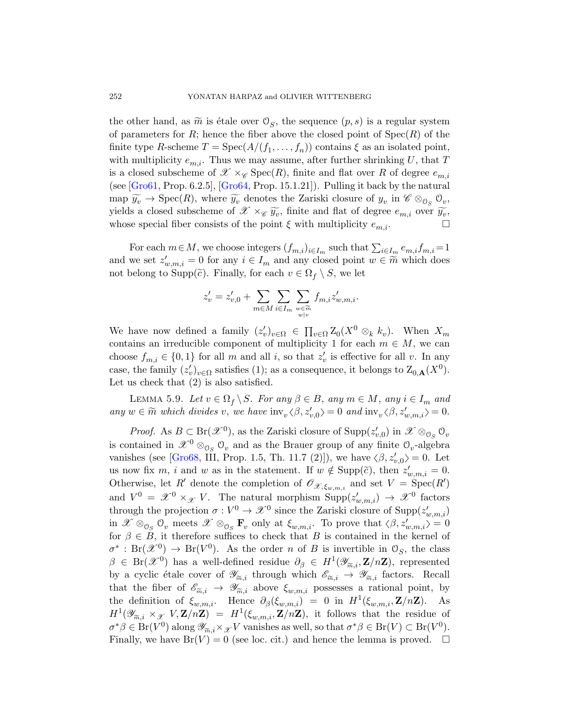the other hand, as  $\widetilde{m}$  is étale over  $\mathcal{O}_S$ , the sequence  $(p, s)$  is a regular system of parameters for R; hence the fiber above the closed point of  $Spec(R)$  of the finite type R-scheme  $T = \text{Spec}(A/(f_1, \ldots, f_n))$  contains  $\xi$  as an isolated point, with multiplicity  $e_{m,i}$ . Thus we may assume, after further shrinking U, that T is a closed subscheme of  $\mathscr{X} \times_{\mathscr{C}} \operatorname{Spec}(R)$ , finite and flat over R of degree  $e_{m,i}$ (see  $[Gro61, Prop. 6.2.5], [Gro64, Prop. 15.1.21]$ ). Pulling it back by the natural  $\text{map } \widetilde{y_v} \to \text{Spec}(R)$ , where  $\widetilde{y_v}$  denotes the Zariski closure of  $y_v$  in  $\mathscr{C} \otimes_{\mathfrak{S}_S} \mathfrak{S}_v$ , yields a closed subscheme of  $\mathscr{X} \times_{\mathscr{C}} \widetilde{y_v}$ , finite and flat of degree  $e_{m,i}$  over  $\widetilde{y_v}$ , whose special fiber consists of the point  $\xi$  with multiplicity  $e_{m,i}$ .

For each  $m \in M$ , we choose integers  $(f_{m,i})_{i \in I_m}$  such that  $\sum_{i \in I_m} e_{m,i} f_{m,i} = 1$ and we set  $z'_{w,m,i} = 0$  for any  $i \in I_m$  and any closed point  $w \in \widetilde{m}$  which does not belong to Supp( $\tilde{c}$ ). Finally, for each  $v \in \Omega_f \setminus S$ , we let

$$
z'_{v} = z'_{v,0} + \sum_{m \in M} \sum_{i \in I_m} \sum_{\substack{w \in \widetilde{m} \\ w | v}} f_{m,i} z'_{w,m,i}.
$$

<span id="page-23-0"></span>We have now defined a family  $(z'_v)_{v \in \Omega} \in \prod_{v \in \Omega} Z_0(X^0 \otimes_k k_v)$ . When  $X_m$ contains an irreducible component of multiplicity 1 for each  $m \in M$ , we can choose  $f_{m,i} \in \{0,1\}$  for all m and all i, so that  $z'_{v}$  is effective for all v. In any case, the family  $(z'_v)_{v \in \Omega}$  satisfies (1); as a consequence, it belongs to  $Z_{0,\mathbf{A}}(X^0)$ . Let us check that  $(2)$  is also satisfied.

LEMMA 5.9. Let  $v \in \Omega_f \setminus S$ . For any  $\beta \in B$ , any  $m \in M$ , any  $i \in I_m$  and any  $w \in \widetilde{m}$  which divides v, we have  $\text{inv}_{v} \langle \beta, z'_{v,0} \rangle = 0$  and  $\text{inv}_{v} \langle \beta, z'_{w,m,i} \rangle = 0$ .

*Proof.* As  $B \subset \text{Br}(\mathscr{X}^0)$ , as the Zariski closure of  $\text{Supp}(z'_{v,0})$  in  $\mathscr{X} \otimes_{\mathcal{O}_S} \mathcal{O}_v$ is contained in  $\mathscr{X}^0 \otimes_{\mathfrak{S}_S} \mathfrak{O}_v$  and as the Brauer group of any finite  $\mathfrak{O}_v$ -algebra vanishes (see [Gro68, III, Prop. 1.5, Th. 11.7 (2)]), we have  $\langle \beta, z'_{v,0} \rangle = 0$ . Let us now fix m, i and w as in the statement. If  $w \notin \text{Supp}(\tilde{c})$ , then  $z'_{w,m,i} = 0$ . Otherwise, let R' denote the completion of  $\mathscr{O}_{\mathscr{X}, \xi_{w,m,i}}$  and set  $V = \text{Spec}(R')$ and  $V^0 = \mathscr{X}^0 \times_{\mathscr{X}} V$ . The natural morphism  $\text{Supp}(z'_{w,m,i}) \to \mathscr{X}^0$  factors through the projection  $\sigma: V^0 \to \mathcal{X}^0$  since the Zariski closure of  $\text{Supp}(z'_{w,m,i})$ in  $\mathscr{X} \otimes_{\mathcal{O}_S} \mathcal{O}_v$  meets  $\mathscr{X} \otimes_{\mathcal{O}_S} \mathbf{F}_v$  only at  $\xi_{w,m,i}$ . To prove that  $\langle \beta, z'_{w,m,i} \rangle = 0$ for  $\beta \in B$ , it therefore suffices to check that B is contained in the kernel of  $\sigma^*$ : Br $(\mathscr{X}^0) \to \text{Br}(V^0)$ . As the order *n* of *B* is invertible in  $\mathcal{O}_S$ , the class  $\beta \in \text{Br}(\mathscr{X}^0)$  has a well-defined residue  $\partial_\beta \in H^1(\mathscr{Y}_{\widetilde{m},i}, \mathbf{Z}/n\mathbf{Z})$ , represented<br>by a cyclic étale cover of  $\mathscr{Y}_{\sim i}$  through which  $\mathscr{E}_{\sim i} \to \mathscr{Y}_{\sim i}$  factors. Recall by a cyclic étale cover of  $\mathscr{Y}_{\widetilde{m},i}$  through which  $\mathscr{E}_{\widetilde{m},i} \to \mathscr{Y}_{\widetilde{m},i}$  factors. Recall that the fiber of  $\mathscr{E}_{\widetilde{m},i} \to \mathscr{Y}_{\widetilde{m},i}$  above  $\xi_{m,m,i}$  possesses a rational point, by that the fiber of  $\mathscr{E}_{\widetilde{m},i} \to \mathscr{Y}_{\widetilde{m},i}$  above  $\xi_{w,m,i}$  possesses a rational point, by<br>the definition of  $\xi_{w,m,i}$ . Hence  $\partial_{\alpha}(\xi_{w,m,i}) = 0$  in  $H^1(\xi_{w,m,i}, \mathbf{Z}/n\mathbf{Z})$ . As the definition of  $\xi_{w,m,i}$ . Hence  $\partial_{\beta}(\xi_{w,m,i}) = 0$  in  $H^1(\xi_{w,m,i}, \mathbf{Z}/n\mathbf{Z})$ . As  $H^1(\mathscr{Y}_{\widetilde{m},i} \times_{\mathscr{X}} V, \mathbf{Z}/n\mathbf{Z}) = H^1(\xi_{w,m,i}, \mathbf{Z}/n\mathbf{Z})$ , it follows that the residue of  $\sigma^* \beta \in \text{Br}(V^0)$  along  $\mathscr{Y}_{\sim i} \times_{\mathscr{X}} V$  vanishes as well, so that  $\sigma^* \beta \in \text{Br}(V) \subset \text{Br}(V^0)$ .  $\sigma^* \beta \in \text{Br}(V^0)$  along  $\mathscr{Y}_{\widetilde{m},i} \times_{\mathscr{X}} V$  vanishes as well, so that  $\sigma^* \beta \in \text{Br}(V) \subset \text{Br}(V^0)$ .<br>Finally, we have  $\text{Br}(V) = 0$  (see loc. cit.) and hence the lemma is proved.  $\square$ Finally, we have  $Br(V) = 0$  (see loc. cit.) and hence the lemma is proved.  $\Box$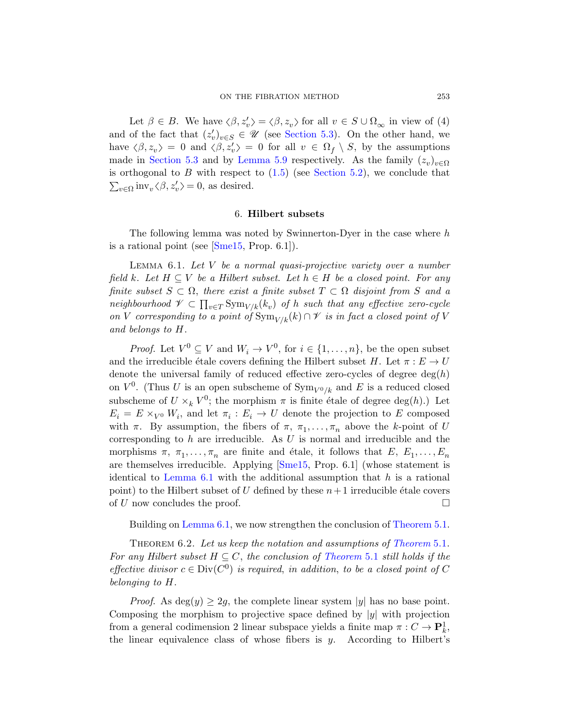<span id="page-24-0"></span>Let  $\beta \in B$ . We have  $\langle \beta, z'_v \rangle = \langle \beta, z_v \rangle$  for all  $v \in S \cup \Omega_{\infty}$  in view of (4) and of the fact that  $(z'_v)_{v \in S} \in \mathcal{U}$  (see Section 5.3). On the other hand, we have  $\langle \beta, z_v \rangle = 0$  and  $\langle \beta, z_v' \rangle = 0$  for all  $v \in \Omega_f \setminus S$ , by the assumptions [made in](#page-65-5) Section 5.3 and by Lemma 5.9 respectively. As the family  $(z_v)_{v \in \Omega}$ is orthogonal to B with respect to  $(1.5)$  (see Section 5.2), we conclude that  $\sum_{v \in \Omega} \text{inv}_{v} \langle \beta, z'_{v} \rangle = 0$ , as desired.

#### 6. Hilbert subsets

<span id="page-24-1"></span>The following lemma was noted by Swinnerton-Dyer in the case where  $h$ is a rational point (see [Sme15, Prop. 6.1]).

Lemma 6.1. Let V be a normal quasi-projective variety over a number field k. Let  $H \subseteq V$  be a Hilbert subset. Let  $h \in H$  be a closed point. For any finite subset  $S \subset \Omega$ , there exist a finite subset  $T \subset \Omega$  disjoint from S and a neighbourhood  $\mathscr{V} \subset \prod_{v \in T} \text{Sym}_{V/k}(k_v)$  of h such that any effective zero-cycle on V corresponding to a point of  $\text{Sym}_{V/k}(k) \cap \mathscr{V}$  is in fact a closed point of V and belongs to H.

*Proof.* Let  $V^0 \subseteq V$  and  $W_i \to V^0$ , for  $i \in \{1, ..., n\}$ , be the open subset and the irreducible étale covers defining the Hilbert subset H. Let  $\pi : E \to U$ denote the universal family of reduced effective zero-cycles of degree  $deg(h)$ on  $V^0$ . (Thus U [is an](#page-65-5) open subscheme of  $\text{Sym}_{V^0/k}$  and E is a reduced closed [s](#page-24-1)ubscheme of  $U \times_k V^0$ ; the morphism  $\pi$  is finite étale of degree  $deg(h)$ .) Let  $E_i = E \times_{V^0} W_i$ , and let  $\pi_i : E_i \to U$  denote the projection to E composed with  $\pi$ . By assumption, the fibers of  $\pi$ ,  $\pi_1, \ldots, \pi_n$  above the k-point of U [corre](#page-24-1)sponding to  $h$  are irreducible. As  $U$  [is normal a](#page-15-1)nd irreducible and the morphisms  $\pi$ ,  $\pi_1, \ldots, \pi_n$  are finite and étale, it follows that  $E, E_1, \ldots, E_n$ are themselves irreducible. Applying  $[\text{Sme15}, \text{Prop. 6.1}]$  (whose statement is identical to Lemma 6.1 [with the addi](#page-15-1)tional assumption that  $h$  is a rational point) to the Hilbert subset of U defined by these  $n+1$  irreducible étale covers of U now concludes the proof.  $\Box$ 

Building on Lemma 6.1, we now strengthen the conclusion of Theorem 5.1.

THEOREM 6.2. Let us keep the notation and assumptions of Theorem 5.1. For any Hilbert subset  $H \subseteq C$ , the conclusion of Theorem 5.1 still holds if the effective divisor  $c \in Div(C^0)$  is required, in addition, to be a closed point of C belonging to H.

*Proof.* As  $deg(y) \geq 2g$ , the complete linear system |y| has no base point. Composing the morphism to projective space defined by  $|y|$  with projection from a general codimension 2 linear subspace yields a finite map  $\pi: C \to \mathbf{P}^1_k$ , the linear equivalence class of whose fibers is  $y$ . According to Hilbert's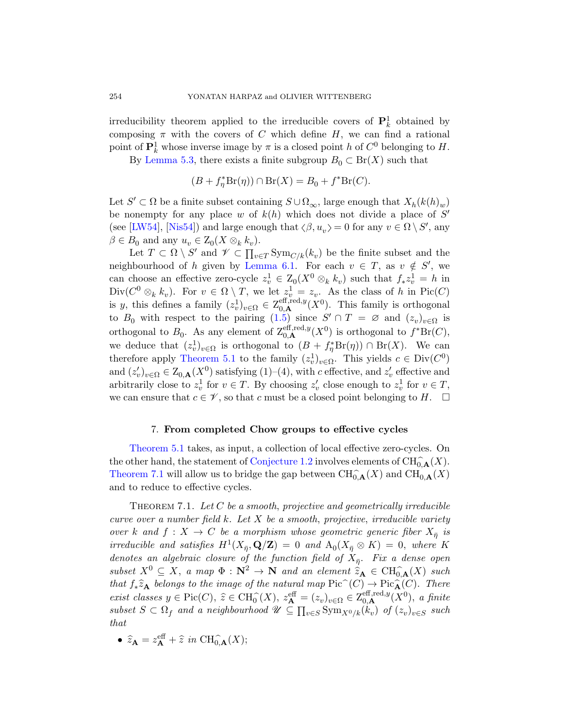irreducibility theorem applied to the irreducible covers of  $\mathbf{P}_k^1$  obtained by composing  $\pi$  with the covers of C which define H, we can find a rational point of  $\mathbf{P}_k^1$  whose inverse image by  $\pi$  is a closed point h of  $C^0$  belonging to H.

By Lemma 5.3, there exists a finite subgroup  $B_0 \subset \text{Br}(X)$  such that

$$
(B + f_{\eta}^* \operatorname{Br}(\eta)) \cap \operatorname{Br}(X) = B_0 + f^* \operatorname{Br}(C).
$$

Let  $S' \subset \Omega$  be a finite subset containing  $S \cup \Omega_{\infty}$ , large enough that  $X_h(k(h)_w)$ be nonempty for any place w of  $k(h)$  which does not divide a place of  $S'$ (see [LW54], [Nis54]) and large enough that  $\langle \beta, u_v \rangle = 0$  for any  $v \in \Omega \setminus S'$ , any  $\beta \in B_0$  and a[ny](#page-7-0)  $u_v \in Z_0(X \otimes_k k_v)$ .

<span id="page-25-0"></span>Let  $T \subset \Omega \setminus S'$  and  $\mathscr{V} \subset \prod_{v \in T} \text{Sym}_{C/k}(k_v)$  be the finite subset and the neighbourhood of h given by Lemma 6.1. For each  $v \in T$ , as  $v \notin S'$ , we [can ch](#page-15-1)oose an effective zero-cycle  $z_v^1 \in Z_0(X^0 \otimes_k k_v)$  such that  $f_* z_v^1 = h$  in  $Div(C^0 \otimes_k k_v)$ . For  $v \in \Omega \setminus T$ , we let  $z_v^1 = z_v$ . As the class of h in Pic $(C)$ is y, this defines a family  $(z_v^1)_{v \in \Omega} \in Z_{0,\mathbf{A}}^{\text{eff},\text{red},y}(X^0)$ . This family is orthogonal to  $B_0$  with respect to the pairing  $(1.5)$  since  $S' \cap T = \emptyset$  and  $(z_v)_{v \in \Omega}$  is orthogonal to  $B_0$ . As any element of  $\mathcal{Z}_{0,\mathbf{A}}^{\text{eff,red},y}(X^0)$  is orthogonal to  $f^*Br(C)$ , we deduce that  $(z_v^1)_{v \in \Omega}$  is orthogonal to  $(B + f^*_{\eta} Br(\eta)) \cap Br(X)$ . We can therefore apply Theorem 5.1 to the family  $(z_v^1)_{v \in \Omega}$ . This yields  $c \in Div(C^0)$ and  $(z'_v)_{v \in \Omega} \in Z_{0,\mathbf{A}}(X^0)$  satisfying  $(1)$ – $(4)$ , with c effective, and  $z'_v$  effective and arbitrari[ly close to](#page-1-0)  $z_v^1$  for  $v \in T$ . By choosing  $z_v'$  close enough to  $z_v^1$  for  $v \in T$ , we can ensure that  $c \in \mathscr{V}$ , so that c must be a closed point belonging to H.  $\Box$ 

# 7. From completed Chow groups to effective cycles

<span id="page-25-1"></span>Theorem 5.1 takes, as input, a collection of local effective zero-cycles. On the other hand, the statement of Conjecture 1.2 involves elements of  $\text{CH}^{\frown}_{0,\mathbf{A}}(X)$ . Theorem 7.1 will allow us to bridge the gap between  $\text{CH}_{0,\mathbf{A}}^{\wedge}(X)$  and  $\text{CH}_{0,\mathbf{A}}^{\wedge}(X)$ and to reduce to effective cycles.

THEOREM 7.1. Let  $C$  be a smooth, projective and geometrically irreducible curve over a number field  $k$ . Let  $X$  be a smooth, projective, irreducible variety over k and  $f: X \to C$  be a morphism whose geometric generic fiber  $X_{\overline{\eta}}$  is irreducible and satisfies  $H^1(X_{\bar{\eta}}, \mathbf{Q}/\mathbf{Z}) = 0$  and  $A_0(X_{\bar{\eta}} \otimes K) = 0$ , where K denotes an algebraic closure of the function field of  $X_{\overline{p}}$ . Fix a dense open subset  $X^0 \subseteq X$ , a map  $\Phi : \mathbb{N}^2 \to \mathbb{N}$  and an element  $\widehat{z}_A \in \text{CH}_{0,A}(\widehat{X})$  such that  $f_*\hat{z}_\mathbf{A}$  belongs to the image of the natural map  $\text{Pic}^{\sim}(C) \to \text{Pic}^{\sim}_{\mathbf{A}}(C)$ . There exist classes  $y \in \text{Pic}(C)$ ,  $\hat{z} \in \text{CH}_{0}^{\hat{}}(X)$ ,  $z_{\mathbf{A}}^{\text{eff}} = (z_{v})_{v \in \Omega} \in \mathbb{Z}_{0,\mathbf{A}}^{\text{eff},\text{red},y}(X^{0})$ , a finite subset  $S \subset \Omega_f$  and a neighbourhood  $\mathscr{U} \subseteq \prod_{v \in S} \text{Sym}_{X^0/k}(k_v)$  of  $(z_v)_{v \in S}$  such that

• 
$$
\hat{z}_{\mathbf{A}} = z_{\mathbf{A}}^{\text{eff}} + \hat{z} \text{ in } \text{CH}_{0,\mathbf{A}}^{\sim}(X);
$$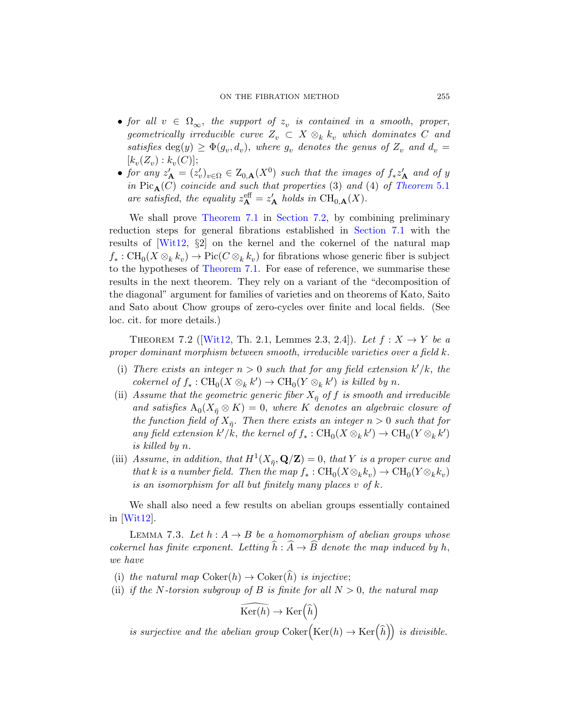#### ON THE FIBRATI[ON METHOD](#page-15-1) 255

- for all  $v \in \Omega_{\infty}$ , the support of  $z_v$  is contained in a smooth, proper, [geometr](#page-25-1)ica[lly irreducib](#page-29-1)le curve  $Z_v \subset X \otimes_k k_v$  which dominates C and satisfies  $deg(y) \geq \Phi(g_v, d_v)$ , [where](#page-27-0)  $g_v$  denotes the genus of  $Z_v$  and  $d_v =$  $[k_v(Z_v) : k_v(C)];$
- for any  $z'_{\mathbf{A}} = (z'_{v})_{v \in \Omega} \in Z_{0,\mathbf{A}}(X^{0})$  such that the images of  $f_{*}z'_{\mathbf{A}}$  and of y in  $Pic_{\mathbf{A}}(C)$  $Pic_{\mathbf{A}}(C)$  coincide and such that properties (3) and (4) of Theorem 5.1 are satisfied, the equality  $z_{\mathbf{A}}^{\text{eff}} = z_{\mathbf{A}}'$  holds in  $\text{CH}_{0,\mathbf{A}}(X)$ .

<span id="page-26-0"></span>We shall prove Theorem 7.1 in Section 7.2, by combining preliminary reduction steps for general fibrations established in Section 7.1 with the results of [Wit12, §2] on the kernel and the cokernel of the natural map  $f_*: \text{CH}_0(X \otimes_k k_v) \to \text{Pic}(C \otimes_k k_v)$  for fibrations whose generic fiber is subject to the hypotheses of Theorem 7.1. For ease of reference, we summarise these results in the next theorem. They rely on a variant of the "decomposition of the diagonal" argument for families of varieties and on theorems of Kato, Saito and Sato about Chow groups of zero-cycles over finite and local fields. (See loc. cit. for more details.)

THEOREM 7.2 ([Wit12, Th. 2.1, Lemmes 2.3, 2.4]). Let  $f: X \rightarrow Y$  be a proper dominant morphism between smooth, irreducible varieties over a field k.

- (i) There exists an integer  $n > 0$  such that for any field extension  $k'/k$ , the cokernel of  $f_*: \text{CH}_0(X \otimes_k k') \to \text{CH}_0(Y \otimes_k k')$  is killed by n.
- (ii) Assume that the geometric generic fiber  $X_{\overline{n}}$  of f is smooth and irreducible and satisfies  $A_0(X_{\overline{\eta}} \otimes K) = 0$ , where K denotes an algebraic closure of the function field of  $X_{\bar{\eta}}$ . Then there exists an integer  $n > 0$  such that for any field extension  $k'/k$ , the kernel of  $f_* : \text{CH}_0(X \otimes_k k') \to \text{CH}_0(Y \otimes_k k')$ is killed by n.
- <span id="page-26-1"></span>(iii) Assume, in addition, that  $H^1(X_{\bar{\eta}}, \mathbf{Q}/\mathbf{Z}) = 0$ , that Y is a proper curve and that k is a number field. Then the map  $f_* : \text{CH}_0(X \otimes_k k_v) \to \text{CH}_0(Y \otimes_k k_v)$ is an isomorphism for all but finitely many places v of k.

We shall also need a few results on abelian groups essentially contained in [Wit12].

LEMMA 7.3. Let  $h: A \rightarrow B$  be a homomorphism of abelian groups whose cokernel has finite exponent. Letting  $\widehat{h} : \widehat{A} \to \widehat{B}$  denote the map induced by h, we have

- (i) the natural map  $Coker(h) \rightarrow Coker(\hat{h})$  is injective;
- (ii) if the N-torsion subgroup of B is finite for all  $N > 0$ , the natural map

$$
\widehat{\mathrm{Ker}(h)} \to \mathrm{Ker}\left(\widehat{h}\right)
$$

is surjective and the abelian group  $Coker(Ker(h) \to Ker(\widehat{h}))$  is divisible.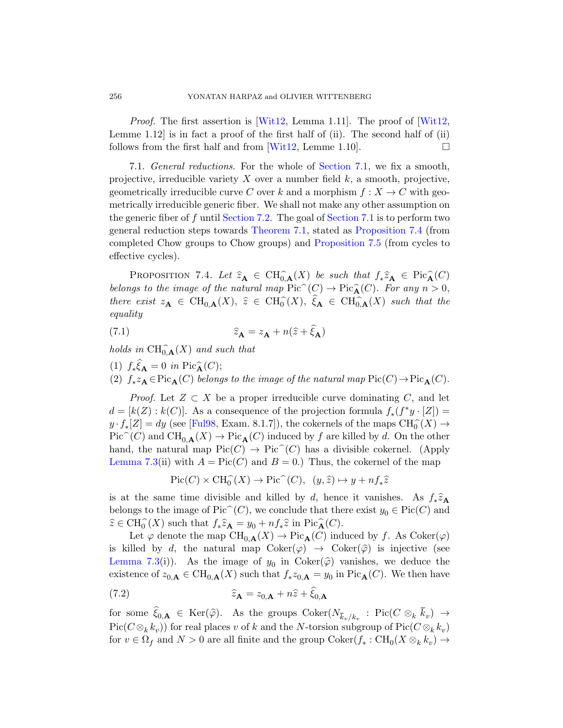Proof. The first assertion is [Wit12, Lemma 1.11]. The proof of [Wit12, Lemme 1.12 is in fact a [proof of the](#page-27-0) first half of  $(ii)$ . The second half of  $(ii)$ follows f[rom the first h](#page-25-1)alf and from  $[Wit12, Lemme 1.10]$ .

<span id="page-27-1"></span>7.1. General reductions[. For the w](#page-28-0)hole of Section 7.1, we fix a smooth, projective, irreducible variety  $X$  over a number field  $k$ , a smooth, projective, geometrically irreducible curve C over k and a morphism  $f: X \to C$  with geometrically irreducible generic fiber. We shall not make any other assumption on the generic fiber of f until Section 7.2. The goal of Section 7.1 is to perform two general reduction steps towards Theorem 7.1, stated as Proposition 7.4 (from completed Chow groups to Chow groups) and Proposition 7.5 (from cycles to effective cycles).

PROPOSITION 7.4. Let  $\widehat{z}_A \in CH_{0,A}^{\widehat{\sigma}}(X)$  be such that  $f_*\widehat{z}_A \in Pic_A^{\widehat{\sigma}}(C)$ belongs to the image of the natural map  $Pic^{\sim}(C) \to Pic^{\sim}_{\mathbf{A}}(C)$ . For any  $n > 0$ , there exist  $z_{\mathbf{A}} \in \text{CH}_{0,\mathbf{A}}(X), \ \hat{z} \in \text{CH}_{0}^{\hat{}}(X), \ \xi_{\mathbf{A}} \in \text{CH}_{0,\mathbf{A}}^{\hat{}}(X)$  such that the equality

(7.1) 
$$
\widehat{z}_{\mathbf{A}} = z_{\mathbf{A}} + n(\widehat{z} + \xi_{\mathbf{A}})
$$

[ho](#page-61-3)lds in  $\text{CH}^{\sim}_{0,\mathbf{A}}(X)$  and such that

(1)  $f_* \xi_{\mathbf{A}} = 0$  in Pic $\widehat{\mathbf{A}}(C)$ ;

(2)  $f_* z_{\mathbf{A}} \in \text{Pic}_{\mathbf{A}}(C)$  belongs to the image of the natural map  $\text{Pic}(C) \to \text{Pic}_{\mathbf{A}}(C)$ .

*Proof.* Let  $Z \subset X$  be a proper irreducible curve dominating C, and let  $d = [k(Z) : k(C)]$ . As a consequence of the projection formula  $f_*(f^*y \cdot [Z]) =$  $y \cdot f_*[Z] = dy$  (see [Ful98, Exam. 8.1.7]), the cokernels of the maps  $CH_0^{\sim}(X) \rightarrow$  $Pic^{\sim}(C)$  and  $CH_{0,\mathbf{A}}(X) \to Pic_{\mathbf{A}}(C)$  induced by f are killed by d. On the other hand, the natural map  $Pic(C) \to Pic^{\sim}(C)$  has a divisible cokernel. (Apply Lemma 7.3(ii) with  $A = Pic(C)$  and  $B = 0$ .) Thus, the cokernel of the map

$$
\text{Pic}(C) \times \text{CH}_0^{\widehat{\ }}(X) \to \text{Pic}^{\widehat{\ }}(C), \ \ (y, \hat{z}) \mapsto y + n f_* \hat{z}
$$

is at the same time divisible and killed by d, hence it vanishes. As  $f_*\hat{z}_A$ belongs to the image of Pic<sup> $\hat{C}(C)$ </sup>, we conclude that there exist  $y_0 \in Pic(C)$  and  $\widehat{z} \in \text{CH}_{0}^{\widehat{\ }}(X)$  such that  $f_* \widehat{z}_{\mathbf{A}} = y_0 + n f_* \widehat{z}$  in Pic $\widehat{A}(C)$ .

Let  $\varphi$  denote the map  $\text{CH}_{0,\mathbf{A}}(X) \to \text{Pic}_{\mathbf{A}}(C)$  induced by f. As  $\text{Coker}(\varphi)$ is killed by d, the natural map  $Coker(\varphi) \rightarrow Coker(\widehat{\varphi})$  is injective (see Lemma 7.3(i)). As the image of  $y_0$  in Coker( $\widehat{\varphi}$ ) vanishes, we deduce the existence of  $z_{0,\mathbf{A}} \in CH_{0,\mathbf{A}}(X)$  such that  $f_* z_{0,\mathbf{A}} = y_0$  in  $Pic_{\mathbf{A}}(C)$ . We then have

(7.2) 
$$
\widehat{z}_{\mathbf{A}} = z_{0,\mathbf{A}} + n\widehat{z} + \widehat{\xi}_{0,\mathbf{A}}
$$

for some  $\xi_{0,\mathbf{A}} \in \text{Ker}(\widehat{\varphi})$ . As the groups  $\text{Coker}(N_{\overline{k}_v/k_v} : \text{Pic}(C \otimes_k \overline{k}_v) \to$  $\operatorname{Pic}(C\otimes_k k_v))$  for real places v of k and the N-torsion subgroup of  $\operatorname{Pic}(C\otimes_k k_v)$ for  $v \in \Omega_f$  and  $N > 0$  are all finite and the group  $\text{Coker}(f_* : \text{CH}_0(X \otimes_k k_v) \to$ 

<span id="page-27-0"></span>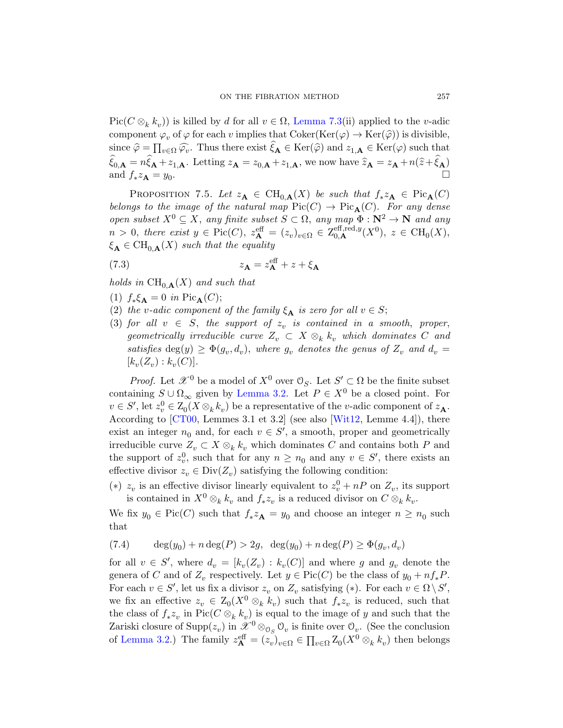<span id="page-28-0"></span>Pic( $C \otimes_k k_v$ )) is killed by d for all  $v \in \Omega$ , Lemma 7.3(ii) applied to the v-adic component  $\varphi_v$  of  $\varphi$  for each v implies that Coker(Ker( $\varphi$ )  $\rightarrow$  Ker( $\widehat{\varphi}$ )) is divisible, since  $\hat{\varphi} = \prod_{v \in \Omega} \widehat{\varphi_v}$ . Thus there exist  $\xi_{\mathbf{A}} \in \text{Ker}(\hat{\varphi})$  and  $z_{1,\mathbf{A}} \in \text{Ker}(\varphi)$  such that  $\xi_{0,\mathbf{A}} = n\xi_{\mathbf{A}} + z_{1,\mathbf{A}}$ . Letting  $z_{\mathbf{A}} = z_{0,\mathbf{A}} + z_{1,\mathbf{A}}$ , we now have  $\hat{z}_{\mathbf{A}} = z_{\mathbf{A}} + n(\hat{z} + \xi_{\mathbf{A}})$ and  $f_* z_{\mathbf{A}} = y_0$ .

PROPOSITION 7.5. Let  $z_{\mathbf{A}} \in CH_{0,\mathbf{A}}(X)$  be such that  $f_* z_{\mathbf{A}} \in Pic_{\mathbf{A}}(C)$ belongs to the image of the natural map  $Pic(C) \to Pic_{\mathbf{A}}(C)$ . For any dense open subset  $X^0 \subseteq X$ , any finite subset  $S \subset \Omega$ , any map  $\Phi : \mathbb{N}^2 \to \mathbb{N}$  and any  $n > 0$ , there exist  $y \in Pic(C)$ ,  $z_{\mathbf{A}}^{\text{eff}} = (z_v)_{v \in \Omega} \in \mathbb{Z}_{0,\mathbf{A}}^{\text{eff},\text{red},y}(X^0)$ ,  $z \in \text{CH}_0(X)$ ,  $\xi_{\mathbf{A}} \in CH_{0,\mathbf{A}}(X)$  such that the equality

(7.3) 
$$
z_{\mathbf{A}} = z_{\mathbf{A}}^{\text{eff}} + z + \xi_{\mathbf{A}}
$$

holds in  $\text{CH}_{0,\mathbf{A}}(X)$  and such that

- (1)  $f_*\xi_{\mathbf{A}} = 0$  in Pic<sub>A</sub>(C);
- (2) the v[-adic com](#page-12-2)ponent of the family  $\xi_{\mathbf{A}}$  is zero for all  $v \in S$ ;
- (3) for all  $v \in S$ , the support of  $z_v$  is contained in a smooth, proper, geometrically irreducibl[e curve](#page-66-0)  $Z_v \subset X \otimes_k k_v$  which dominates C and satisfies  $deg(y) \geq \Phi(g_v, d_v)$ , where  $g_v$  denotes the genus of  $Z_v$  and  $d_v =$  $[k_v(Z_v) : k_v(C)].$

*Proof.* Let  $\mathcal{X}^0$  be a model of  $X^0$  over  $\mathcal{O}_S$ . Let  $S' \subset \Omega$  be the finite subset containing  $S \cup \Omega_{\infty}$  given by Lemma 3.2. Let  $P \in X^0$  be a closed point. For  $v \in S'$ , let  $z_v^0 \in Z_0(X \otimes_k k_v)$  be a representative of the *v*-adic component of  $z_{\mathbf{A}}$ . According to [CT00, Lemmes 3.1 et 3.2] (see also [Wit12, Lemme 4.4]), there exist an integer  $n_0$  and, for each  $v \in S'$ , a smooth, proper and geometrically irreducible curve  $Z_v \subset X \otimes_k k_v$  which dominates C and contains both P and the support of  $z_v^0$ , such that for any  $n \geq n_0$  and any  $v \in S'$ , there exists an effective divisor  $z_v \in Div(Z_v)$  satisfying the following condition:

(\*)  $z_v$  is an effective divisor linearly equivalent to  $z_v^0 + nP$  on  $Z_v$ , its support is contained in  $X^0 \otimes_k k_v$  and  $f_* z_v$  is a reduced divisor on  $C \otimes_k k_v$ .

We fix  $y_0 \in Pic(C)$  such that  $f_* z_{\mathbf{A}} = y_0$  and choose an integer  $n \geq n_0$  such that

(7.4)  $\deg(y_0) + n \deg(P) > 2g$ ,  $\deg(y_0) + n \deg(P) \ge \Phi(g_v, d_v)$ 

for all  $v \in S'$ , where  $d_v = [k_v(Z_v) : k_v(C)]$  and where g and  $g_v$  denote the genera of C and of  $Z_v$  respectively. Let  $y \in Pic(C)$  be the class of  $y_0 + nf_*P$ . For each  $v \in S'$ , let us fix a divisor  $z_v$  on  $Z_v$  satisfying  $(*)$ . For each  $v \in \Omega \setminus S'$ , we fix an effective  $z_v \in Z_0(X^0 \otimes_k k_v)$  such that  $f_* z_v$  is reduced, such that the class of  $f_* z_v$  in Pic( $C \otimes_k k_v$ ) is equal to the image of y and such that the Zariski closure of  $\text{Supp}(z_v)$  in  $\mathscr{X}^0 \otimes_{\mathfrak{S}_S} \mathfrak{O}_v$  is finite over  $\mathfrak{O}_v$ . (See the conclusion of Lemma 3.2.) The family  $z_{\mathbf{A}}^{\text{eff}} = (z_v)_{v \in \Omega} \in \prod_{v \in \Omega} Z_0(X^0 \otimes_k k_v)$  then belongs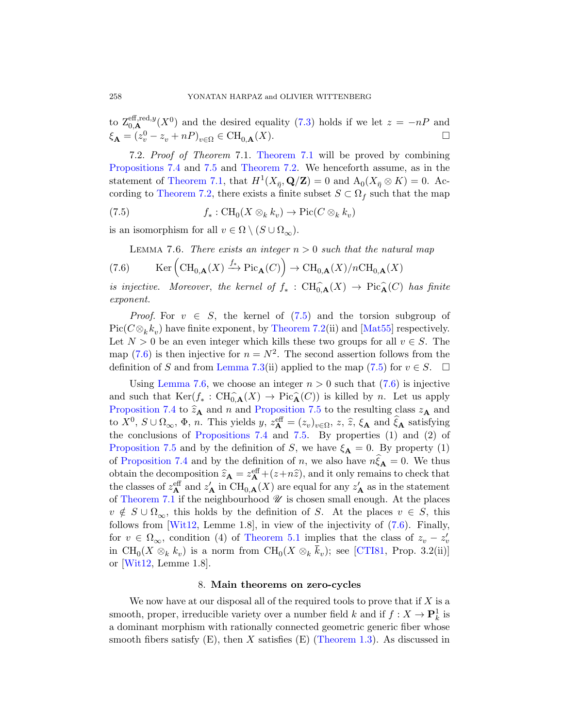<span id="page-29-2"></span><span id="page-29-1"></span>[t](#page-26-0)o  $\mathcal{Z}_{0,\mathbf{A}}^{\text{eff},\text{red},y}(X^0)$  and the desired equality (7.3) holds if we let  $z = -nP$  and  $\xi_{\mathbf{A}} = (z_v^0 - z_v + nP)_{v \in \Omega} \in \mathrm{CH}_{0,\mathbf{A}}(X).$ 

<span id="page-29-3"></span>7.2. Proof of Theorem 7.1. Theorem 7.1 will be proved by combining Propositions 7.4 and 7.5 and Theorem 7.2. We henceforth assume, as in the statement of Theorem 7.1, that  $H^1(X_{\bar{\eta}}, \mathbf{Q}/\mathbf{Z}) = 0$  and  $A_0(X_{\bar{\eta}} \otimes K) = 0$ . According to Theorem 7.2, there exists a finite subset  $S \subset \Omega_f$  such that the map

(7.5) 
$$
f_*: \text{CH}_0(X \otimes_k k_v) \to \text{Pic}(C \otimes_k k_v)
$$

is an isomorphism [for](#page-29-2) all  $v \in \Omega \setminus (S \cup \Omega_{\infty}).$ 

LEMMA 7.6. [There ex](#page-26-0)ists an [integer](#page-64-9)  $n > 0$  such that the natural map

(7.6) 
$$
\qquad \text{Ker} \left( \text{CH}_{0,\mathbf{A}}(X) \xrightarrow{f_*} \text{Pic}_{\mathbf{A}}(C) \right) \to \text{CH}_{0,\mathbf{A}}(X)/n\text{CH}_{0,\mathbf{A}}(X)
$$

i[s injective](#page-26-1). Moreover, the kernel [of](#page-29-2)  $f_* : \text{CH}_{0,\mathbf{A}}(\mathbf{X}) \to \text{Pic}_{\mathbf{A}}(\mathbf{C})$  has finite exponent.

*Proof.* For  $v \in S$ , the kernel of  $(7.5)$  and the torsion subgroup of  $Pic(C\otimes_k k_v)$  have finite exponent, by Theorem 7.2(ii) and [Mat55] respectively. Let  $N > 0$  be an even integer which kills these two groups for all  $v \in S$ . The [map \(7.6\) is t](#page-27-1)heni[njec](#page-28-0)tive for  $n = N^2$ . The second assertion follows from the definition of S and from Lemma 7.3(ii) applied to the map  $(7.5)$  for  $v \in S$ .  $\Box$ 

Using Lemma 7.6, we choose an integer  $n > 0$  such that  $(7.6)$  is injective and such that  $\text{Ker}(f^* : \text{CH}_{0,\mathbf{A}}(X) \to \text{Pic}_{\mathbf{A}}(C))$  is killed by *n*. Let us apply Proposition 7.4 to  $\hat{z}_A$  and n and Proposition 7.5 to the resulting class  $z_A$  and to  $X^0$ ,  $S \cup \Omega_{\infty}$ ,  $\Phi$ , *n*. This yields  $y$ ,  $z^{\text{eff}} = (z_v)_{v \in \Omega}$ ,  $z$ ,  $\hat{z}$ ,  $\xi_A$  and  $\hat{\xi}_A$  satisfying the conclusions of Propositions 7.4 and 7.5. By properties (1) and (2) of Proposition 7.5 and by the definition of S[, w](#page-29-3)e have  $\xi_{\mathbf{A}} = 0$ . By property (1) of Prop[osition 7.4](#page-15-1) and by the definition of n, we also have  $n\xi_{\mathbf{A}} = 0$ . We thus obtain the decomposition  $\hat{z}_A = z_A^{\text{eff}} + (z+n\hat{z})$ , and it only remains to check that the classes of  $z_{\mathbf{A}}^{\text{eff}}$  and  $z'_{\mathbf{A}}$  in  $\text{CH}_{0,\mathbf{A}}(X)$  are equal for any  $z'_{\mathbf{A}}$  as in the statement of Theorem 7.1 if the neighbourhood  $\mathscr U$  is chosen small enough. At the places  $v \notin S \cup \Omega_{\infty}$ , this holds by the definition of S. At the places  $v \in S$ , this follows from [Wit12, Lemme 1.8], in view of the injectivity of (7.6). Finally, for  $v \in \Omega_{\infty}$ , condition (4) of Theorem 5.1 implies that the class of  $z_v - z'_v$ in  $\text{CH}_0(X \otimes_k k_v)$  is a norm from  $\text{CH}_0(X \otimes_k \overline{k}_v)$ ; see [CTI81, Prop. 3.2(ii)] or [Wit12, Lemme 1.8].

#### 8. Main theorems on zero-cycles

<span id="page-29-0"></span>We now have at our disposal all of the required tools to prove that if  $X$  is a smooth, proper, irreducible variety over a number field  $k$  and if  $f: X \to \mathbf{P}_k^1$  is a dominant morphism with rationally connected geometric generic fiber whose smooth fibers satisfy  $(E)$ , then X satisfies  $(E)$  (Theorem 1.3). As discussed in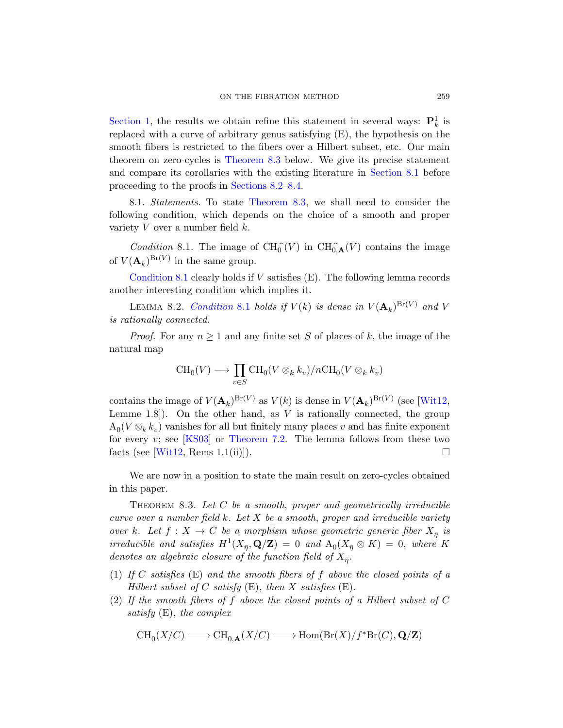<span id="page-30-0"></span>Section [1, the results](#page-30-1) we obtain refine this statement in several ways:  $\mathbf{P}_k^1$  is replaced with a curve of arbitrary genus satisfying (E), the hypothesis on the smooth fibers is restricted to the fibers over a Hilbert subset, etc. Our main theorem on zero-cycles is Theorem 8.3 below. We give its precise statement and compare its corollaries with the existing literature in Section 8.1 before proceeding to the proofs in Sections 8.2–8.4.

<span id="page-30-2"></span>8.1. Statements. To state Theorem 8.3, we shall need to consider the following condition, which depends on the choice of a smooth and proper [variety](#page-30-2)  $V$  over a number field  $k$ .

Condition 8.1. The image of  $\text{CH}_{0}^{\widehat{\ }}(V)$  in  $\text{CH}_{0,\mathbf{A}}^{\widehat{\ }}(V)$  contains the image of  $V(\mathbf{A}_k)^{Br(V)}$  in the same group.

Condition 8.1 clearly holds if  $V$  satisfies  $(E)$ . The following lemma records another interesting condition which implies it.

LEMMA 8.2. Condition 8.1 holds if  $V(k)$  is dense in  $V(\mathbf{A}_k)^{Br(V)}$  and V is rationally connected.

*Proof.* For any  $n \geq 1$  and any finite set S of places of k, the image of the nat[ural map](#page-26-0)

$$
\operatorname{CH}_0(V) \longrightarrow \prod_{v \in S} \operatorname{CH}_0(V \otimes_k k_v)/n\operatorname{CH}_0(V \otimes_k k_v)
$$

<span id="page-30-1"></span>contains the image of  $V(\mathbf{A}_k)^{Br(V)}$  as  $V(k)$  is dense in  $V(\mathbf{A}_k)^{Br(V)}$  (see [Wit12, Lemme 1.8. On the other hand, as  $V$  is rationally connected, the group  $A_0(V \otimes_k k_v)$  vanishes for all but finitely many places v and has finite exponent for every  $v$ ; see [KS03] or Theorem 7.2. The lemma follows from these two facts (see [Wit12, Rems 1.1(ii)]).

We are now in a position to state the main result on zero-cycles obtained in this paper.

THEOREM 8.3. Let  $C$  be a smooth, proper and geometrically irreducible curve over a number field  $k$ . Let  $X$  be a smooth, proper and irreducible variety over k. Let  $f: X \to C$  be a morphism whose geometric generic fiber  $X_{\overline{\eta}}$  is irreducible and satisfies  $H^1(X_{\bar{\eta}}, \mathbf{Q}/\mathbf{Z}) = 0$  and  $A_0(X_{\bar{\eta}} \otimes K) = 0$ , where K denotes an algebraic closure of the function field of  $X_{\overline{\eta}}$ .

- (1) If C satisfies  $(E)$  and the smooth fibers of f above the closed points of a Hilbert subset of C satisfy  $(E)$ , then X satisfies  $(E)$ .
- (2) If the smooth fibers of f above the closed points of a Hilbert subset of C satisfy (E), the complex

$$
\operatorname{CH}_0(X/C) \longrightarrow \operatorname{CH}_{0,\mathbf{A}}(X/C) \longrightarrow \operatorname{Hom}(\operatorname{Br}(X)/f^*\operatorname{Br}(C),\mathbf{Q}/\mathbf{Z})
$$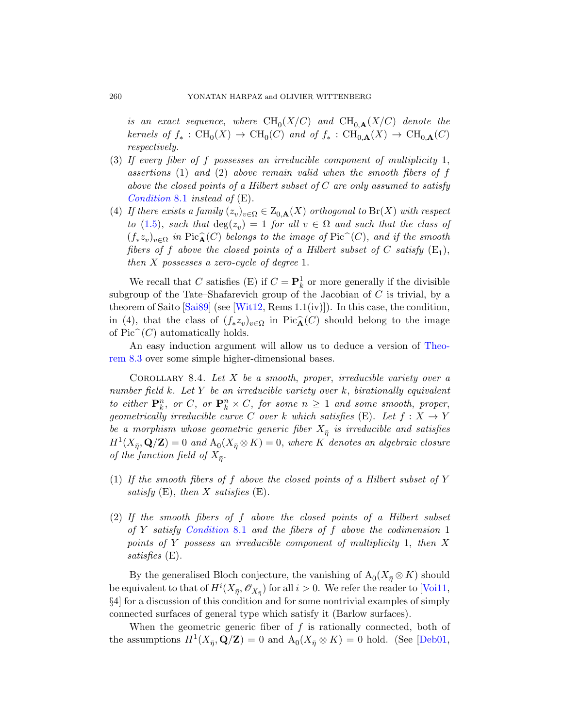is an exact sequence, where  $\operatorname{CH}_0(X/C)$  and  $\operatorname{CH}_{0,\mathbf{A}}(X/C)$  denote the kernels of  $f_* : \text{CH}_0(X) \to \text{CH}_0(C)$  and of  $f_* : \text{CH}_{0,\mathbf{A}}(X) \to \text{CH}_{0,\mathbf{A}}(C)$ respectively.

- (3) If every fiber of f possesses an irreducible component of multiplicity 1, assertions  $(1)$  and  $(2)$  above remain valid when the smooth fibers of f above the closed points of a Hilbert subset of  $C$  are only assumed to satisfy Condition 8.1 instead of (E).
- (4) If there exists a family  $(z_v)_{v \in \Omega} \in Z_{0,\mathbf{A}}(X)$  orthogonal to  $\text{Br}(X)$  with respect to [\(1.5\),](#page-66-0) such that  $deg(z_v) = 1$  for all  $v \in \Omega$  and such that the class of  $(f_* z_v)_{v \in \Omega}$  in Pic $\widehat{A}(C)$  belongs to the image of Pic $\widehat{C}(C)$ , and if the smooth fibers of f above the closed points of a Hilbert subset of C satisfy  $(E_1)$ , then X possesses a zero-cycle of degree 1.

<span id="page-31-0"></span>We recall that C satisfies (E) if  $C = \mathbf{P}_k^1$  or more generally if the divisible subgroup of the Tate–Shafarevich group of the Jacobian of  $C$  is trivial, by a theorem of Saito [Sai89] (see [Wit12, Rems 1.1(iv)]). In this case, the condition, in (4), that the class of  $(f_* z_v)_{v \in \Omega}$  in Pic $\widehat{A}(C)$  should belong to the image of  $Pic^{\sim}(C)$  automatically holds.

An easy induction argument will allow us to deduce a version of Theorem 8.3 over some simple higher-dimensional bases.

COROLLARY 8.4. Let  $X$  be a smooth, proper, irreducible variety over a number field  $k$ . Let  $Y$  be an irreducible variety over  $k$ , birationally equivalent to either  $\mathbf{P}_k^n$ , or  $C$ , or  $\mathbf{P}_k^n \times C$ , for some  $n \geq 1$  and some smooth, proper, geometrically irreducible curve C over k which satisfies (E). Let  $f: X \to Y$ be a morphism whose geometric generic fiber  $X_{\overline{\eta}}$  is irreducible and satisfies  $H^1(X_{\bar{\eta}}, \mathbf{Q}/\mathbf{Z}) = 0$  and  $A_0(X_{\bar{\eta}} \otimes K) = 0$ , where K denotes an algebraic closure [of the fun](#page-30-2)ction field of  $X_{\bar{\eta}}$ .

- (1) If the smooth fibers of f above the closed points of a Hilbert subset of Y satisfy  $(E)$ , then X satisfies  $(E)$ .
- (2) If the smooth fibers of f above the closed points of a Hilbert subset of Y satisfy Condition 8.1 and the fibers of  $f$  above the codimension 1 points of Y possess an irreducible component of multiplicity 1, then X satisfies (E).

By the generalised Bloch conjecture, the vanishing of  $\mathrm{A}_0(X_{\bar{\eta}} \otimes K)$  should be equivalent to that of  $H^i(X_{\bar{\eta}}, \mathscr{O}_{X_{\bar{\eta}}})$  for all  $i > 0$ . We refer the reader to [Voi11, §4] for a discussion of this condition and for some nontrivial examples of simply connected surfaces of general type which satisfy it (Barlow surfaces).

When the geometric generic fiber of  $f$  is rationally connected, both of the assumptions  $H^1(X_{\bar{\eta}}, \mathbf{Q}/\mathbf{Z}) = 0$  and  $A_0(X_{\bar{\eta}} \otimes K) = 0$  hold. (See [Deb01,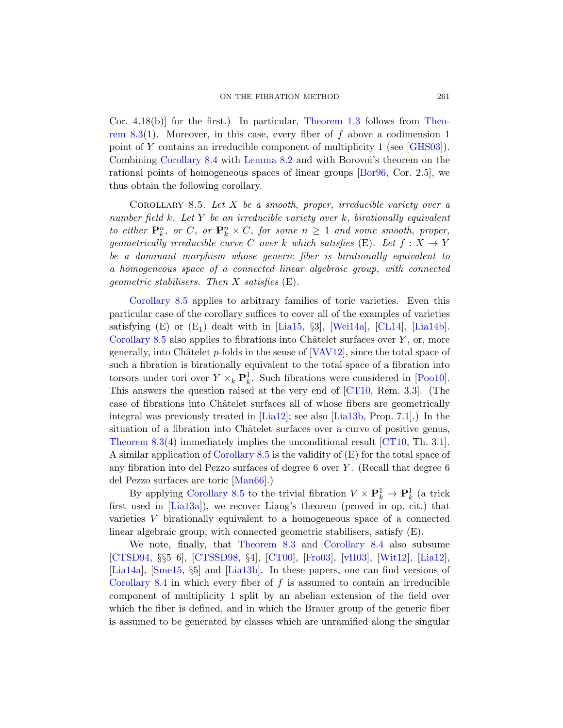<span id="page-32-0"></span>Cor. 4.18(b)] for the first.) In particular, Theorem 1.3 follows from Theorem 8.3(1). Moreover, in this case, every fiber of f above a codimension 1 point of Y contains an irreducible component of multiplicity 1 (see [GHS03]). Combining Corollary 8.4 with Lemma 8.2 and with Borovoi's theorem on the rational points of homogeneous spaces of linear groups [Bor96, Cor. 2.5], we thus obtain the following corollary.

COROLLARY 8.5. Let  $X$  be a smooth, proper, irreducible variety over a number field k. Let Y be an irreducible variety over k, birationally equivalent to either  $\mathbf{P}_k^n$ , or  $C$ , or  $\mathbf{P}_k^n \times C$ , for some  $n \geq 1$  and some smooth, proper, geometrically i[rreduci](#page-63-1)ble cu[rve](#page-66-1) C over k [wh](#page-59-5)ic[h satisfi](#page-63-5)es (E). Let  $f: X \to Y$ be a dominant morphism whose generic fiber is birationally equivalent to a homogeneous space [of a con](#page-66-2)nected linear algebraic group, with connected geometric stabilisers. Then X satisfies (E).

Corollary 8.5 applies to arbitrary familie[s of to](#page-64-10)ric varieties. Even this particular case of the corollary [suffice](#page-59-6)s to cover all of the examples of varieties satisfying  $(E)$  or  $(E_1)$  dealt with in [Lia15, §3], [Wei14a], [CL14], [Lia14b]. Corollary 8.5 [also](#page-63-6) applies to [fibratio](#page-63-2)ns into Châtelet surfaces over  $Y$ , or, more generally, into Châtelet  $p$ -folds in the sense of  $[VAV12]$ , since the total space of such a fibration is birationally equivale[nt to t](#page-59-6)he total space of a fibration into [torsors under](#page-32-0) tori over  $Y \times_k \mathbf{P}_k^1$ . Such fibrations were considered in [Poo10]. This answers the question raised at the very end of [CT10, Rem. 3.3]. (The case [of fibrat](#page-64-11)ions into Châtelet surfaces all of whose fibers are geometrically [integral](#page-32-0) was previously treated in [Lia12]; see also [Lia13b, Prop. 7.1].) In the situation of a fibration into Châtelet surfaces over a curve of positive genus, Theorem 8.3(4) immediately implies the unconditional result [CT10, Th. 3.1]. A similar application of Corollary 8.5 is the validity of (E) for the total space of any fi[bration into de](#page-30-1)l Pez[zo surfaces of d](#page-31-0)[egree](#page-66-0)6 [over](#page-63-6) Y . (Recall that degree 6 [del Pez](#page-60-1)zo su[rfaces a](#page-59-2)r[e toric](#page-61-1) [[Man66\]](#page-62-0).)

[By app](#page-63-2)lying Corollary 8.5 to the trivial fibration  $V \times \mathbf{P}_k^1 \to \mathbf{P}_k^1$  (a trick first used in [Lia13a]), we recover Liang's theorem (proved in op. cit.) that varieties V birationally equivalent to a homogeneous space of a connected linear algebraic group, with connected geometric stabilisers, satisfy (E).

We note, finally, that Theorem 8.3 and Corollary 8.4 also subsume [CTSD94, §§5–6], [CTSSD98, §4], [CT00], [Fro03], [vH03], [Wit12], [Lia12], [Lia14a], [Sme15, §5] and [Lia13b]. In these papers, one can find versions of Corollary 8.4 in which every fiber of  $f$  is assumed to contain an irreducible component of multiplicity 1 split by an abelian extension of the field over which the fiber is defined, and in which the Brauer group of the generic fiber is assumed to be generated by classes which are unramified along the singular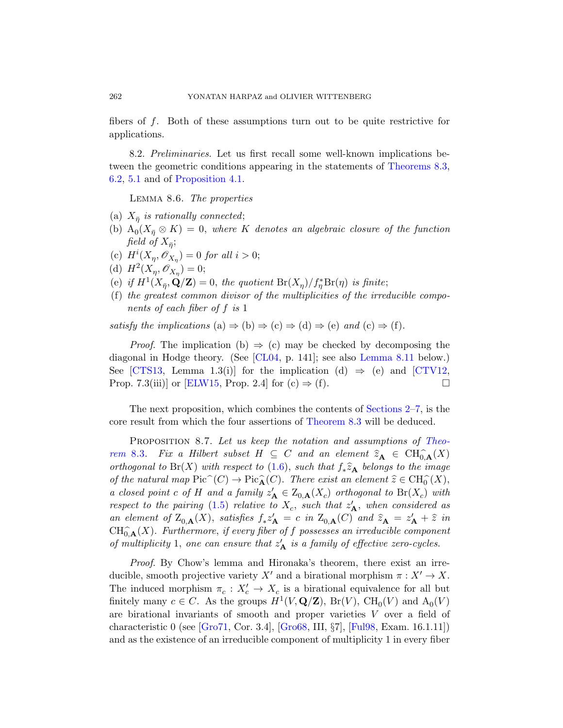<span id="page-33-1"></span>fibers of f. Both of these assumptions turn out to be quite restrictive for applications.

8.2. Preliminaries. Let us first recall some well-known implications between the geometric conditions appearing in the statements of Theorems 8.3, 6.2, 5.1 and of Proposition 4.1.

Lemma 8.6. The properties

- (a)  $X_{\bar{\eta}}$  is rationally connected;
- (b)  $A_0(X_{\overline{\eta}} \otimes K) = 0$ , where K denotes an algebraic closure of the function field of  $X_{\bar{\eta}}$ ;
- (c)  $H^{i}(X_{\eta}, \mathscr{O}_{X_{\eta}}) = 0$  for all  $i > 0$ ;
- (d)  $H^2(X_\eta, \mathscr{O}_{X_\eta}) = 0;$
- (e) if  $H^1(X_{\bar{\eta}}, \mathbf{Q}/\mathbf{Z}) = 0$  $H^1(X_{\bar{\eta}}, \mathbf{Q}/\mathbf{Z}) = 0$  $H^1(X_{\bar{\eta}}, \mathbf{Q}/\mathbf{Z}) = 0$ , the quotient  $Br(X_{\eta})/f_{\eta}^*Br(\eta)$  $Br(X_{\eta})/f_{\eta}^*Br(\eta)$  is finite;
- [\(f](#page-61-5)) the greatest common divisor of the multipl[icities o](#page-61-4)f the irreducible components of each fiber of f is 1

satisfy the implications (a)  $\Rightarrow$  (b)  $\Rightarrow$  [\(c\)](#page-9-0)  $\Rightarrow$  (d)  $\Rightarrow$  (e) and (c)  $\Rightarrow$  (f).

<span id="page-33-0"></span>*Proof.* The impl[ication \(b\)](#page-30-1)  $\Rightarrow$  (c) may be checked by decomposing the diagonal in Hodge theory. (See [CL04, p. 141]; [see als](#page-30-1)o Lemma 8.11 below.) See [CTS13, Lemma 1.3(i)] for the implication (d)  $\Rightarrow$  (e) and [CTV12, Prop. 7.3(iii)] [or](#page-7-1) [ELW15, Prop. 2.4] for (c)  $\Rightarrow$  (f).

The next proposition, which combines the contents of Sections 2–7, is the [core](#page-7-0) result from which the four assertions of Theorem 8.3 will be deduced.

PROPOSITION 8.7. Let us keep the notation and assumptions of Theorem 8.3. Fix a Hilbert subset  $H \subseteq C$  and an element  $\widehat{z}_A \in CH_{0,A}^{\widehat{}}(X)$ orthogonal to Br(X) with respect to (1.6), such that  $f_*\hat{z}_A$  belongs to the image of the natural map  $Pic^{\sim}(C) \to Pic^{\sim}_{\mathbf{A}}(C)$ . There exist an element  $\hat{z} \in CH_0^{\sim}(X)$ , a closed point c of H and a family  $z'_{\mathbf{A}} \in Z_{0,\mathbf{A}}(X_c)$  orthogonal to  $\text{Br}(X_c)$  with respect to the pairing (1.5) relative to  $X_c$ , such that  $z'_A$ , when considered as an element of  $Z_{0,\mathbf{A}}(X)$ , satisfies  $f_* z'_{\mathbf{A}} = c$  in  $Z_{0,\mathbf{A}}(C)$  and  $\hat{z}_{\mathbf{A}} = z'_{\mathbf{A}} + \hat{z}$  in  $CH^{\frown}_{0,\mathbf{A}}(X)$ . Furthermore, if every fiber of f possesses an irreducible component [of m](#page-62-7)ultiplicity 1, [one c](#page-62-8)an ensur[e that](#page-61-3)  $z'_{\mathbf{A}}$  is a family of effective zero-cycles.

Proof. By Chow's lemma and Hironaka's theorem, there exist an irreducible, smooth projective variety X' and a birational morphism  $\pi : X' \to X$ . The induced morphism  $\pi_c: X_c' \to X_c$  is a birational equivalence for all but finitely many  $c \in C$ . As the groups  $H^1(V, \mathbf{Q}/\mathbf{Z})$ ,  $Br(V)$ ,  $CH_0(V)$  and  $A_0(V)$ are birational invariants of smooth and proper varieties V over a field of characteristic 0 (see [Gro71, Cor. 3.4], [Gro68, III, §7], [Ful98, Exam. 16.1.11]) and as the existence of an irreducible component of multiplicity 1 in every fiber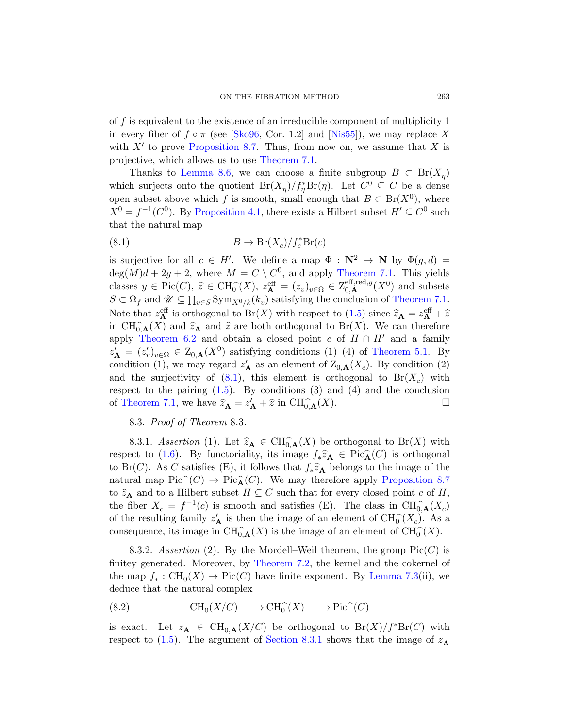of  $f$  is equivalent to the existence of an irreducible component of multiplicity 1 [in every fibe](#page-14-2)r of  $f \circ \pi$  (see [Sko96, Cor. 1.2] and [Nis55]), we may replace X with  $X'$  to prove Proposition 8.7. Thus, from now on, we assume that X is projective, which allows us to use Theorem 7.1.

<span id="page-34-0"></span>Thanks to Lemma 8.6, we can choose a finite subgroup  $B \subset \text{Br}(X_{\eta})$ which surjects onto the quotient  $Br(X_{\eta})/f_{\eta}^{*}Br(\eta)$ . Let  $C^{0} \subseteq C$  be a dense open subset above which f i[s smooth, sm](#page-25-1)all enough that  $B \subset \text{Br}(X^0)$ , where  $X^0 = f^{-1}(C^0)$ . By Proposition 4.1, there [exists a Hilbe](#page-25-1)rt subset  $H' \subseteq C^0$  such that the natural map

(8.1) 
$$
B \to \text{Br}(X_c)/f_c^* \text{Br}(c)
$$

is surjective for all  $c \in H'$ . We define a map  $\Phi : \mathbb{N}^2 \to \mathbb{N}$  by  $\Phi(g, d) =$  $deg(M)d + 2g + 2$ , where  $M = C \setminus C^0$ [, and appl](#page-15-1)y Theorem 7.1. This yields classes  $y \in \text{Pic}(C)$ ,  $\hat{z} \in \text{CH}_{0}^{\hat{\ }}(X)$ ,  $z_{\mathbf{A}}^{\text{eff}} = (z_{v})_{v \in \Omega} \in \mathbb{Z}_{0,\mathbf{A}}^{\text{eff},\text{red},y}(X^{0})$  and subsets  $S \subset \Omega_f$  and  $\mathscr{U} \subseteq \prod_{v \in S} \text{Sym}_{X^0/k}(k_v)$  satisfying the conclusion of Theorem 7.1. [Note](#page-7-0) that  $z_{\mathbf{A}}^{\text{eff}}$  is orthogonal to  $\text{Br}(X)$  with respect to (1.5) since  $\hat{z}_{\mathbf{A}} = z_{\mathbf{A}}^{\text{eff}} + \hat{z}$ in  $\text{CH}_{0,\mathbf{A}}^{\frown}(X)$  and  $\hat{z}_{\mathbf{A}}$  and  $\hat{z}$  are both orthogonal to Br(X). We can therefore apply Theorem 6.2 and obtain a closed point c of  $H \cap H'$  and a family  $z'_A = (z'_v)_{v \in \Omega} \in Z_{0,A}(X^0)$  satisfying conditions (1)–(4) of Theorem 5.1. By condition (1), we may regard  $z'_{\mathbf{A}}$  as an element of  $\mathcal{Z}_{0,\mathbf{A}}(X_c)$ . By condition (2) and the surjectivity of  $(8.1)$ , this element is orthogonal to  $Br(X_c)$  with respect to the pairing  $(1.5)$ . By conditions  $(3)$  and  $(4)$  and the conclusion of Theorem 7.1, we have  $\hat{z}_A = z'_A + \hat{z}$  in  $\text{CH}_{0,\mathbf{A}}^{\frown}(X)$ .

# 8.3. Proof of Theorem 8.3.

<span id="page-34-2"></span><span id="page-34-1"></span>8.3.1. Assertion (1). Let  $\widehat{z}_A \in \text{CH}^{\frown}_{0,\mathbf{A}}(X)$  be orthogonal to  $\text{Br}(X)$  with respect to (1.6). By functoriality, its image  $f_*\hat{z}_A \in \text{Pic}_{\mathbf{A}}(C)$  is orthogonal to Br(C). As C satisfies (E), it follows that  $f_*\hat{z}_A$  belongs to the image of the natural map  $Pic^{\sim}(C) \to Pic^{\sim}_{\mathbf{A}}(C)$ . We may therefore apply Proposition 8.7 to  $\widehat{z}_A$  and to a Hilbert subset  $H \subseteq C$  [such that](#page-26-1) for every closed point c of H, the fiber  $X_c = f^{-1}(c)$  is smooth and satisfies (E). The class in  $\text{CH}_{0,\mathbf{A}}^{\alpha}(X_c)$ of the resulting family  $z'_{\mathbf{A}}$  is then the image of an element of  $\text{CH}_{0}^{\sim}(X_c)$ . As a consequence, its image in  $\text{CH}_{0,\mathbf{A}}^{\frown}(X)$  is the image of an element of  $\text{CH}_{0}^{\frown}(X)$ .

8.3.2. Assertion (2). By the Mordell–Weil theorem, the group  $Pic(C)$  is finitey gene[rated. Moreov](#page-34-1)er, by Theorem 7.2, the kernel and the cokernel of the map  $f_*: \text{CH}_0(X) \to \text{Pic}(C)$  have finite exponent. By Lemma 7.3(ii), we deduce that the natural complex

(8.2) 
$$
\text{CH}_0(X/C) \longrightarrow \text{CH}_0^{\widehat{}}(X) \longrightarrow \text{Pic}^{\widehat{}}(C)
$$

is exact. Let  $z_A \in \text{CH}_{0,A}(X/C)$  be orthogonal to  $\text{Br}(X)/f^*\text{Br}(C)$  with respect to (1.5). The argument of Section 8.3.1 shows that the image of  $z_A$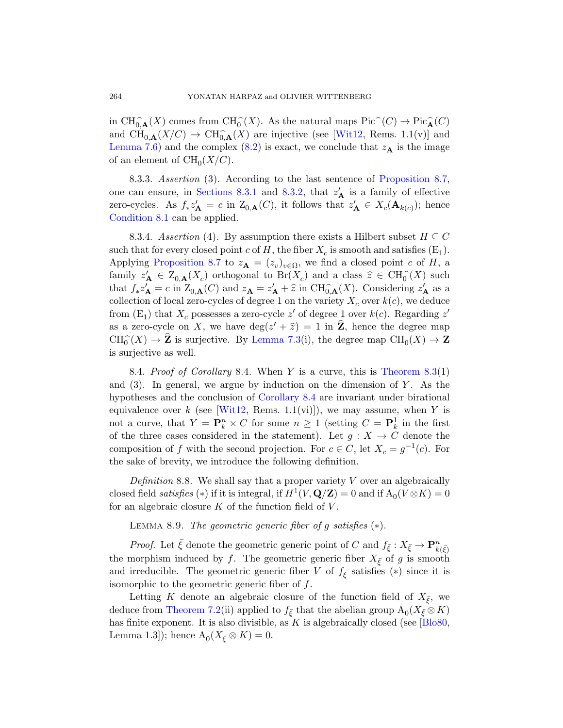in  $\text{CH}_{0,\mathbf{A}}^{\widehat{\phantom{\alpha}}}(X)$  co[mes fr](#page-34-2)om  $\text{CH}_{0}^{\widehat{\phantom{\alpha}}}(X)$ . As the natural maps  $\text{Pic}^{\widehat{\phantom{\alpha}}}(C) \to \text{Pic}^{\widehat{\phantom{\alpha}}}(C)$ and  $\text{CH}_{0,\mathbf{A}}(X/C) \rightarrow \text{CH}_{0,\mathbf{A}}(X)$  are injective (see [Wit12, Rems. 1.1(v)] and Lemma 7.6) and the complex (8.2) is exact, we conclude that  $z_A$  is the image of an element of  $\text{CH}_0(X/C)$ .

8.3.3. Assertion (3). According to the last sentence of Proposition 8.7, [one](#page-33-0) can ensure, in Sections 8.3.1 and 8.3.2, that  $z'_{\mathbf{A}}$  is a family of effective zero-cycles. As  $f_* z'_{\mathbf{A}} = c$  in  $Z_{0,\mathbf{A}}(C)$ , it follows that  $z'_{\mathbf{A}} \in X_c(\mathbf{A}_{k(c)})$ ; hence Condition 8.1 can be applied.

8.3.4. Assertion (4). By assumption there exists a Hilbert subset  $H \subseteq C$ such that for every closed point  $c$  of  $H$ , the fiber  $X_c$  is smooth and satisfies  $(E_1)$ . Applying [Proposition](#page-26-1) 8.7 to  $z_{\mathbf{A}} = (z_v)_{v \in \Omega}$ , we find a closed point c of H, a family  $z'_A \in Z_{0,A}(X_c)$  orthogonal to  $\text{Br}(X_c)$  and a class  $\hat{z} \in \text{CH}_0^{\sim}(X)$  such that  $f_* z'_{\mathbf{A}} = c$  in  $Z_{0,\mathbf{A}}(C)$  and  $z_{\mathbf{A}} = z'_{\mathbf{A}} + \hat{z}$  in  $\text{CH}_{0,\mathbf{A}}(X)$ . Considering  $z'_{\mathbf{A}}$  as a collection of local zero-cycles of degree 1 on the variety  $X_c$  over  $k(c)$ , we deduce from  $(E_1)$  that  $X_c$  [posses](#page-31-0)ses a zero-cycle  $z'$  of degree 1 over  $k(c)$ . Regarding  $z'$ a[s a zero](#page-66-0)-cycle on X, we have  $\deg(z' + \hat{z}) = 1$  in  $\hat{Z}$ , hence the degree map  $CH_0^(X) \to \mathbb{Z}$  is surjective. By Lemma 7.3(i), the degree map  $CH_0(X) \to \mathbb{Z}$ is surjective as well.

8.4. Proof of Corollary 8.4. When Y is a curve, this is Theorem  $8.3(1)$ and  $(3)$ . In general, we argue by induction on the dimension of Y. As the hypotheses and the conclusion of Corollary 8.4 are invariant under birational equivalence over k (see [Wit12, Rems. 1.1(vi)]), we may assume, when Y is not a curve, that  $Y = \mathbf{P}_k^n \times C$  for some  $n \geq 1$  (setting  $C = \mathbf{P}_k^1$  in the first of the three cases considered in the statement). Let  $g: X \to C$  denote the composition of f with the second projection. For  $c \in C$ , let  $X_c = g^{-1}(c)$ . For the sake of brevity, we introduce the following definition.

<span id="page-35-0"></span>Definition 8.8. We shall say that a proper variety  $V$  over an algebraically closed field *satisfies* (\*) if it is integral, if  $H^1(V, \mathbf{Q}/\mathbf{Z}) = 0$  and if  $A_0(V \otimes K) = 0$ for an algebraic closure  $K$  of the function field of  $V$ .

LEMMA 8.9. The geometric generic fiber of g satisfies  $(*)$ .

*Proof.* Let  $\bar{\xi}$  denote the geometric generic [point of](#page-58-0) C and  $f_{\bar{\xi}}: X_{\bar{\xi}} \to \mathbf{P}_{k(\bar{\xi})}^n$ the morphism induced by f. The geometric generic fiber  $X_{\bar{\xi}}$  of g is smooth and irreducible. The geometric generic fiber V of  $f_{\bar{\xi}}$  satisfies (\*) since it is isomorphic to the geometric generic fiber of f.

Letting K denote an algebraic closure of the function field of  $X_{\bar{\xi}}$ , we deduce from Theorem 7.2(ii) applied to  $f_{\bar{\xi}}$  that the abelian group  $\mathcal{A}_0(X_{\bar{\xi}} \otimes K)$ has finite exponent. It is also divisible, as K is algebraically closed (see  $\overline{[B\vert 080]}$ , Lemma 1.3]); hence  $A_0(X_{\bar{\xi}} \otimes K) = 0$ .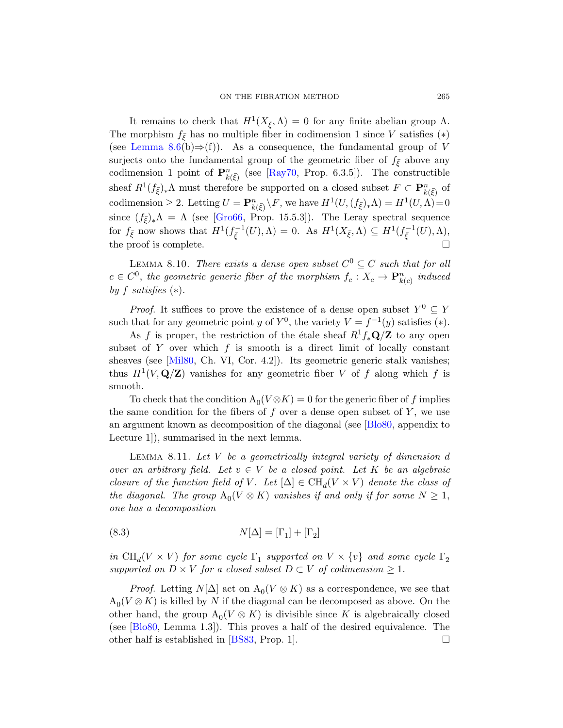<span id="page-36-1"></span>It remains to check that  $H^1(X_{\bar{\xi}}, \Lambda) = 0$  for any finite abelian group  $\Lambda$ . [The mo](#page-62-6)rphism  $f_{\xi}$  has no multiple fiber in codimension 1 since V satisfies (\*) (see Lemma 8.6(b) $\Rightarrow$ (f)). As a consequence, the fundamental group of V surjects onto the fundamental group of the geometric fiber of  $f_{\bar{\xi}}$  above any codimension 1 point of  $\mathbf{P}_{k(\bar{\xi})}^n$  (see [Ray70, Prop. 6.3.5]). The constructible sheaf  $R^1(f_{\bar{\xi}})_*\Lambda$  must therefore be supported on a closed subset  $F \subset \mathbf{P}^n_{k(\bar{\xi})}$  of codimension  $\geq 2$ . Letting  $U = \mathbf{P}_{k(\bar{\xi})}^n \backslash F$ , we have  $H^1(U, (f_{\bar{\xi}})_*\Lambda) = H^1(U, \Lambda) = 0$ since  $(f_{\bar{\xi}})_*\Lambda = \Lambda$  (see [Gro66, Prop. 15.5.3]). The Leray spectral sequence for  $f_{\bar{\xi}}$  now shows that  $H^1(f_{\bar{\xi}}^{-1}(U), \Lambda) = 0$ . As  $H^1(X_{\bar{\xi}}, \Lambda) \subseteq H^1(f_{\bar{\xi}}^{-1}(U), \Lambda)$ , the proof is complete.

LEMMA 8.10. There exists a dense open subset  $C^0 \subseteq C$  such that for all  $c \in C^0$ , the geometric generic fiber of the morphism  $f_c: X_c \to \mathbf{P}_{k(c)}^n$  induced by f satisfies  $(*)$ .

*Proof.* It suffices to prove the existence of a dense open subset  $Y^0 \subseteq Y$ such that for any geometric point y of  $Y^0$ , the variety  $V = f^{-1}(y)$  satisfies (\*).

As f is proper, the restriction of the étale sheaf  $R^1f_*\mathbf{Q}/\mathbf{Z}$  to any open subset of Y over which  $f$  is sm[ooth is](#page-58-0) a direct limit of locally constant sheaves (see [Mil80, Ch. VI, Cor. 4.2]). Its geometric generic stalk vanishes; thus  $H^1(V, \mathbf{Q}/\mathbf{Z})$  vanishes for any geometric fiber V of f along which f is smooth.

<span id="page-36-0"></span>To check that the condition  $A_0(V \otimes K) = 0$  for the generic fiber of f implies the same condition for the fibers of f over a dense open subset of  $Y$ , we use an argument known as decomposition of the diagonal (see [Blo80, appendix to Lecture 1]), summarised in the next lemma.

LEMMA 8.11. Let  $V$  be a geometrically integral variety of dimension  $d$ over an arbitrary field. Let  $v \in V$  be a closed point. Let K be an algebraic closure of the function field of V. Let  $[\Delta] \in CH_d(V \times V)$  denote the class of the diagonal. The group  $A_0(V \otimes K)$  vanishes if and only if for some  $N \geq 1$ , one has a decomposition

(8.3) 
$$
N[\Delta] = [\Gamma_1] + [\Gamma_2]
$$

in [CH](#page-59-8)<sub>d</sub>( $V \times V$ ) for some cycle  $\Gamma_1$  supported on  $V \times \{v\}$  and some cycle  $\Gamma_2$ supported on  $D \times V$  for a closed subset  $D \subset V$  of codimension  $\geq 1$ .

*Proof.* Letting  $N[\Delta]$  act on  $A_0(V \otimes K)$  as a correspondence, we see that  $A_0(V \otimes K)$  is killed by N if the diagonal can be decomposed as above. On the other hand, the group  $A_0(V \otimes K)$  is divisible since K is algebraically closed (see [Blo80, Lemma 1.3]). This proves a half of the desired equivalence. The other half is established in [BS83, Prop. 1].  $\Box$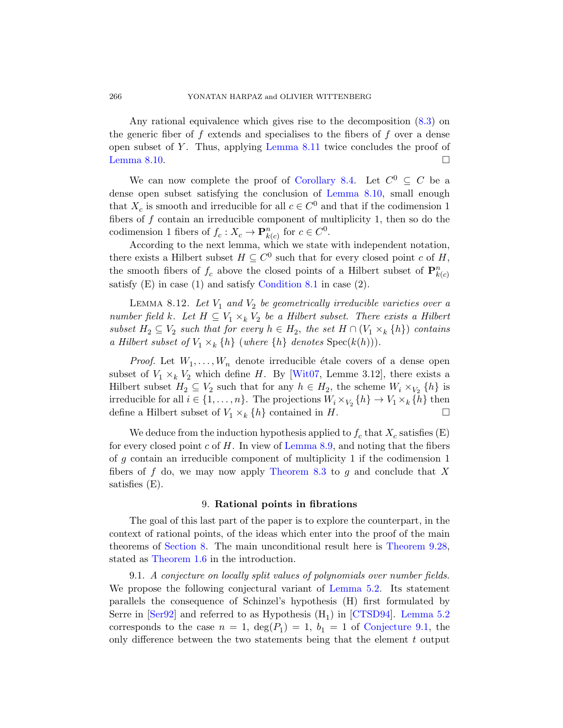Any rational equival[ence which giv](#page-36-1)es rise to the decomposition (8.3) on the generic fiber of  $f$  extends and specialises to the fibers of  $f$  over a dense open subset of  $Y$ . Thus, applying Lemma 8.11 twice concludes the proof of Lemma 8.10.  $\Box$ 

We can now complete the proof of Corollary 8.4. Let  $C^0 \subseteq C$  be a dense open subset satisfying the conclusion of Lemma 8.10, small enough that  $X_c$  is [smooth and irr](#page-30-2)educible for all  $c \in C^0$  and that if the codimension 1 fibers of  $f$  contain an irreducible component of multiplicity 1, then so do the codimension 1 fibers of  $f_c: X_c \to \mathbf{P}_{k(c)}^n$  for  $c \in C^0$ .

According to the next lemma, which we state with independent notation, there exists a Hilbert subset  $H \subseteq C^0$  such that for every closed point c of H, the smooth fibers of  $f_c$  above the closed points of a Hilbert subset of  $\mathbf{P}_{k(c)}^n$ satisfy  $(E)$  in case  $(1)$  and satisfy Condition 8.1 in case  $(2)$ .

LEMMA 8.12. Let  $V_1$  and  $V_2$  be geometrically irreducible varieties over a number field k. Let  $H \subseteq V_1 \times_k V_2$  be a Hilbert subset. There exists a Hilbert subset  $H_2 \subseteq V_2$  such that for every  $h \in H_2$ , the set  $H \cap (V_1 \times_k \{h\})$  contains a Hilbert subset of  $V_1 \times_k \{h\}$  (where  $\{h\}$  denotes  $Spec(k(h))$ ).

*Proof.* Let  $W_1, \ldots, W_n$  denote irreducible étale covers of a dense open subset of  $V_1 \times_k V_2$  which define H. By [Wit07, Lemme 3.12], there exists a Hilbert subset  $H_2 \subseteq V_2$  such that for any  $h \in H_2$ , the scheme  $W_i \times_{V_2} \{h\}$  is irreducible for all  $i \in \{1, ..., n\}$ . The projections  $W_i \times_{V_2} \{h\} \to V_1 \times_k \{h\}$  then define a Hilbert subset of  $V_1 \times_k \{h\}$  contained in H.

<span id="page-37-0"></span>We deduce from the induction hypothesis applied to  $f_c$  that  $X_c$  satisfies (E) for every closed point c of H. In view of Lemma 8.9, and noting that the fibers of g contain an irreducible component of multiplicity 1 if the codimension 1 fibers of  $f$  do, we may now apply Th[eorem 8.3](#page-57-1) to  $g$  and conclude that  $X$ satisfies (E).

#### 9. R[ational poin](#page-16-0)ts in fibrations

<span id="page-37-1"></span>The goal of this last part of the paper is to explore the counterpart, in the context of rational points, of th[e ideas wh](#page-61-0)i[ch enter into](#page-16-0) the proof of the main theorems of Section 8. The main [unconditional r](#page-38-0)esult here is Theorem 9.28, stated as Theorem 1.6 in the introduction.

9.1. A conjecture on locally split values of polynomials over number fields. We propose the following conjectural variant of Lemma 5.2. Its statement parallels the consequence of Schinzel's hypothesis (H) first formulated by Serre in [Ser92] and referred to as Hypothesis  $(H_1)$  in [CTSD94]. Lemma 5.2 corresponds to the case  $n = 1$ ,  $deg(P_1) = 1$ ,  $b_1 = 1$  of Conjecture 9.1, the only difference between the two statements being that the element t output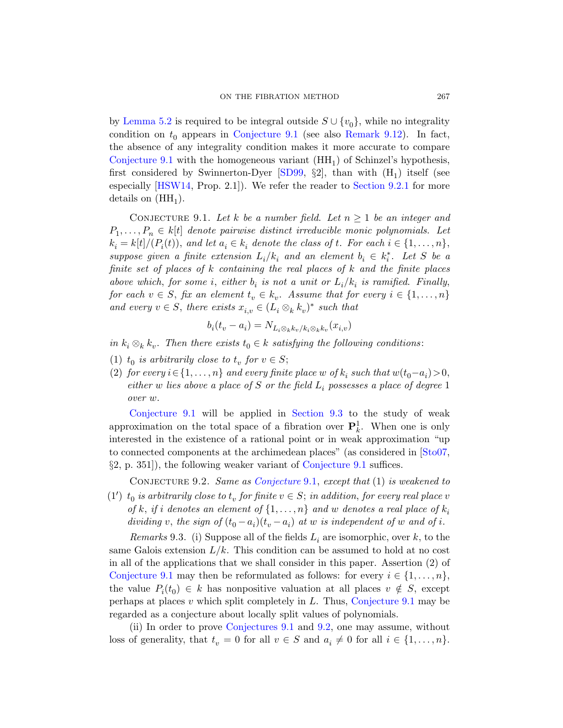<span id="page-38-0"></span>by Lemma 5.2 is required to be integral outside  $S \cup \{v_0\}$ , while no integrality condition on  $t_0$  appears in Conjecture 9.1 (see also Remark 9.12). In fact, the absence of any integrality condition makes it more accurate to compare Conjecture 9.1 with the homogeneous variant  $(HH_1)$  of Schinzel's hypothesis, first considered by Swinnerton-Dyer [SD99,  $\S2$ ], than with  $(H_1)$  itself (see especially [HSW14, Prop. 2.1]). We refer the reader to Section 9.2.1 for more details on  $(HH<sub>1</sub>)$ .

CONJECTURE 9.1. Let k be a number field. Let  $n \geq 1$  be an integer and  $P_1, \ldots, P_n \in k[t]$  denote pairwise distinct irreducible monic polynomials. Let  $k_i = k[t]/(P_i(t)),$  and let  $a_i \in k_i$  denote the class of t. For each  $i \in \{1, \ldots, n\},$ suppose given a finite extension  $L_i/k_i$  and an element  $b_i \in k_i^*$ . Let S be a finite set of places of k containing the real places of k and the finite places above which, for some *i*, either  $b_i$  is not a unit or  $L_i/k_i$  is ramified. Finally, for each  $v \in S$ , fix an element  $t_v \in k_v$ . Assume that for every  $i \in \{1, \ldots, n\}$ and every  $v \in S$ , there exists  $x_{i,v} \in (L_i \otimes_k k_v)^*$  such that

$$
b_i(t_v - a_i) = N_{L_i \otimes_k k_v / k_i \otimes_k k_v}(x_{i,v})
$$

in  $k_i \otimes_k k_v$ . Then [there exists](#page-48-0)  $t_0 \in k$  satisfying the following conditions:

- (1)  $t_0$  is arbitrarily close to  $t_v$  for  $v \in S$ ;
- (2) for every  $i \in \{1, \ldots, n\}$  and every finite place w [of](#page-65-8)  $k_i$  such that  $w(t_0 a_i) > 0$ , either w lies abo[ve a place of](#page-38-0) S or the field  $L_i$  possesses a place of degree 1 over [w](#page-38-0).

<span id="page-38-2"></span><span id="page-38-1"></span>Conjecture 9.1 will be applied in Section 9.3 to the study of weak approximation on the total space of a fibration over  $\mathbf{P}_k^1$ . When one is only interested in the existence of a rational point or in weak approximation "up to connected components at the archimedean places" (as considered in [Sto07, §2, p. 351]), the following weaker variant of Conjecture 9.1 suffices.

CONJECTURE 9.2. Same as Conjecture 9.1, except that (1) is weakened to

(1')  $t_0$  is arbitrarily close to  $t_v$  for finite  $v \in S$ ; in addition, for every real place v of k, if i denotes an element of  $\{1, \ldots, n\}$  and w denotes a real place of  $k_i$ dividing v, the sign of  $(t_0 - a_i)(t_v - a_i)$  [at](#page-38-0) w is independent of w and of i.

Remarks 9.3. (i) Suppose all of the fields  $L_i$  are isomorphic, over k, to the sa[me Galois extensi](#page-38-0)on  $L/k$  $L/k$ . This condition can be assumed to hold at no cost in all of the applications that we shall consider in this paper. Assertion (2) of Conjecture 9.1 may then be reformulated as follows: for every  $i \in \{1, \ldots, n\}$ , the value  $P_i(t_0) \in k$  has nonpositive valuation at all places  $v \notin S$ , except perhaps at places  $v$  which split completely in  $L$ . Thus, Conjecture 9.1 may be regarded as a conjecture about locally split values of polynomials.

(ii) In order to prove Conjectures 9.1 and 9.2, one may assume, without loss of generality, that  $t_v = 0$  for all  $v \in S$  and  $a_i \neq 0$  for all  $i \in \{1, \ldots, n\}.$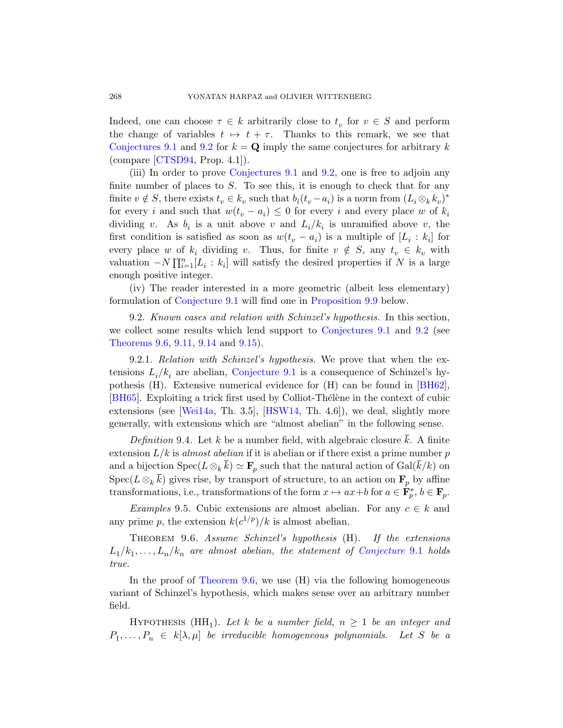Indeed, one can choose  $\tau \in k$  arbitrarily close to  $t_v$  for  $v \in S$  and perform the change of variables  $t \mapsto t + \tau$ . Thanks to this remark, we see that Conjectures 9.1 and 9.2 for  $k = \mathbf{Q}$  imply the same conjectures for arbitrary k (compare [CTSD94, Prop. 4.1]).

(iii) In order to prove Conjectures 9.1 and 9.2, one is free to adjoin any finite number of places to  $S$ . To see this, it is enough to check that for any finite  $v \notin S$ , there exists  $t_v \in k_v$  such that  $b_i(t_v - a_i)$  is a norm from  $(L_i \otimes_k k_v)^*$ for every i and such that  $w(t_v - a_i) \leq 0$  for every i and every place w of  $k_i$ [dividin](#page-38-0)g v. As  $b_i$  is [a unit above](#page-42-0) v and  $L_i/k_i$  is unramified above v, the first condition is satisfied as soon as  $w(t_v - a_i)$  is a multiple of  $[L_i : k_i]$  for every place w of  $k_i$  dividing v[. Thus, f](#page-38-0)or fi[nite](#page-38-1)  $v \notin S$ , any  $t_v \in k_v$  with [va](#page-46-0)luat[ion](#page-47-0)  $-N \prod_{i=1}^{n} [L_i : k_i]$  will satisfy the desired properties if N is a large enough positive integer.

<span id="page-39-1"></span><span id="page-39-0"></span>[\(iv\) The reader](#page-38-0) interested in a more geometric (albeit less elementary) formulation of Conjecture 9.1 will find one in P[roposi](#page-58-1)tion 9.9 below.

9.2. Known cases and relation with Schinzel's hypothesis. In this section, [w](#page-66-1)e collects[ome resu](#page-62-2)lts which lend support to Conjectures 9.1 and 9.2 (see Theorems 9.6, 9.11, 9.14 and 9.15).

<span id="page-39-3"></span>9.2.1. Relation with Schinzel's hypothesis. We prove that when the extensions  $L_i/k_i$  are abelian, Conjecture 9.1 is a consequence of Schinzel's hypothesis (H). Extensive numerical evidence for (H) can be found in [BH62], [BH65]. Exploiting a trick first used by Colliot-Thélène in the context of cubic extensions (see [Wei14a, Th. 3.5], [HSW14, Th. 4.6]), we deal, slightly more generally, with extensions which are "almost abelian" in the following sense.

<span id="page-39-2"></span>Definition 9.4. Let k be a number field, with algebraic closure  $\bar{k}$ . A finite extension  $L/k$  is almost abelian if it is abelian or if there exist a prime number p and a bijection  $Spec(L \otimes_k \overline{k}) \simeq \mathbf{F}_p$  [such that the n](#page-38-0)atural action of  $Gal(\overline{k}/k)$  on Spec( $L \otimes_k \overline{k}$ ) gives rise, by transport of structure, to an action on  $\mathbf{F}_p$  by affine [transforma](#page-39-2)tions, i.e., transformations of the form  $x \mapsto ax+b$  for  $a \in \mathbf{F}_p^*, b \in \mathbf{F}_p$ .

Examples 9.5. Cubic extensions are almost abelian. For any  $c \in k$  and any prime p, the extension  $k(c^{1/p})/k$  is almost abelian.

THEOREM 9.6. Assume Schinzel's hypothesis (H). If the extensions  $L_1/k_1, \ldots, L_n/k_n$  are almost abelian, the statement of Conjecture 9.1 holds true.

In the proof of Theorem 9.6, we use  $(H)$  via the following homogeneous variant of Schinzel's hypothesis, which makes sense over an arbitrary number field.

HYPOTHESIS (HH<sub>1</sub>). Let k be a number field,  $n \geq 1$  be an integer and  $P_1, \ldots, P_n \in k[\lambda, \mu]$  be irreducible homogeneous polynomials. Let S be a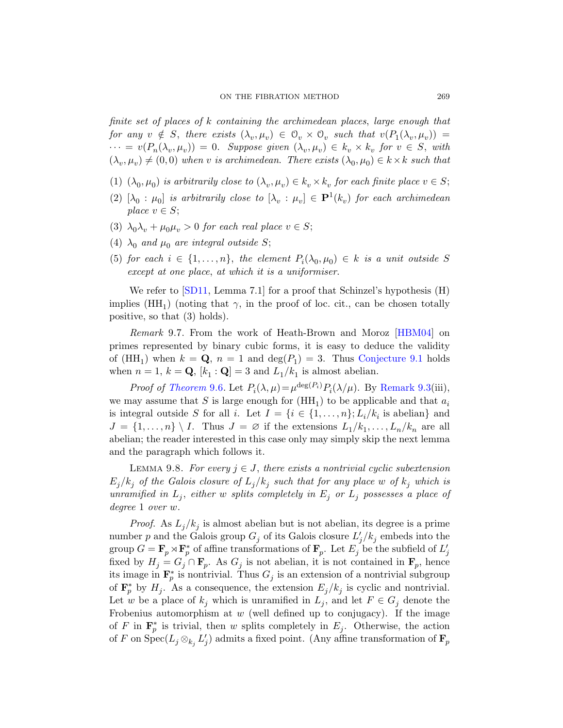finite set of places of k containing the archimedean places, large enough that for any  $v \notin S$ , there exists  $(\lambda_v, \mu_v) \in \mathcal{O}_v \times \mathcal{O}_v$  such that  $v(P_1(\lambda_v, \mu_v)) =$  $\cdots = v(P_n(\lambda_v, \mu_v)) = 0.$  Suppose given  $(\lambda_v, \mu_v) \in k_v \times k_v$  for  $v \in S$ , with  $(\lambda_v, \mu_v) \neq (0,0)$  when v is archimedean. There exists  $(\lambda_0, \mu_0) \in k \times k$  such that

- (1)  $(\lambda_0, \mu_0)$  is arbitrarily close to  $(\lambda_v, \mu_v) \in k_v \times k_v$  for each finite place  $v \in S$ ;
- (2)  $[\lambda_0: \mu_0]$  is arbitrarily close to  $[\lambda_v: \mu_v] \in \mathbf{P}^1(k_v)$  for each archimedean place  $v \in S$ ;
- (3)  $\lambda_0 \lambda_v + \mu_0 \mu_v > 0$  for each real place  $v \in S$ ;
- (4)  $\lambda_0$  and  $\mu_0$  are integral outside S;
- (5) for each  $i \in \{1, \ldots, n\}$ , the element  $P_i(\lambda_0, \mu_0) \in k$  is a unit outside S except at one place, at which [it is a uniformi](#page-38-0)ser.

We refer to  $\text{SD11}$ , Lemma 7.1 for a proof that Schinzel's hypothesis (H) [imp](#page-39-2)lies  $(HH_1)$  (noting that  $\gamma$ , in the [proof of loc.](#page-38-2) cit., can be chosen totally positive, so that (3) holds).

Remark 9.7. From the work of Heath-Brown and Moroz [HBM04] on primes represented by binary cubic forms, it is easy to deduce the validity of  $(HH_1)$  when  $k = \mathbf{Q}$ ,  $n = 1$  and  $\deg(P_1) = 3$ . Thus Conjecture 9.1 holds when  $n = 1$ ,  $k = \mathbf{Q}$ ,  $[k_1 : \mathbf{Q}] = 3$  and  $L_1/k_1$  is almost abelian.

*Proof of Theorem* 9.6. Let  $P_i(\lambda, \mu) = \mu^{\deg(P_i)} P_i(\lambda/\mu)$ . By Remark 9.3(iii), we may assume that S is large enough for  $(HH_1)$  to be applicable and that  $a_i$ is integral outside S for all i. Let  $I = \{i \in \{1, ..., n\}; L_i/k_i \text{ is abelian}\}$  and  $J = \{1, \ldots, n\} \setminus I$ . Thus  $J = \emptyset$  if the extensions  $L_1/k_1, \ldots, L_n/k_n$  are all abelian; the reader interested in this case only may simply skip the next lemma and the paragraph which follows it.

LEMMA 9.8. For every  $j \in J$ , there exists a nontrivial cyclic subextension  $E_j/k_j$  of the Galois closure of  $L_j/k_j$  such that for any place w of  $k_j$  which is unramified in  $L_j$ , either w splits completely in  $E_j$  or  $L_j$  possesses a place of degree 1 over w.

*Proof.* As  $L_j/k_j$  is almost abelian but is not abelian, its degree is a prime number p and the Galois group  $G_j$  of its Galois closure  $L'_j/k_j$  embeds into the group  $G = \mathbf{F}_p \rtimes \mathbf{F}_p^*$  of affine transformations of  $\mathbf{F}_p$ . Let  $E_j$  be the subfield of  $L'_j$ fixed by  $H_j = G_j \cap \mathbf{F}_p$ . As  $G_j$  is not abelian, it is not contained in  $\mathbf{F}_p$ , hence its image in  $\mathbf{F}_p^*$  is nontrivial. Thus  $G_j$  is an extension of a nontrivial subgroup of  $\mathbf{F}_p^*$  by  $H_j$ . As a consequence, the extension  $E_j/k_j$  is cyclic and nontrivial. Let w be a place of  $k_j$  which is unramified in  $L_j$ , and let  $F \in G_j$  denote the Frobenius automorphism at  $w$  (well defined up to conjugacy). If the image of F in  $\mathbf{F}_p^*$  is trivial, then w splits completely in  $E_j$ . Otherwise, the action of F on  $\mathrm{Spec}(L_j \otimes_{k_j} L'_j)$  admits a fixed point. (Any affine transformation of  $\mathbf{F}_p$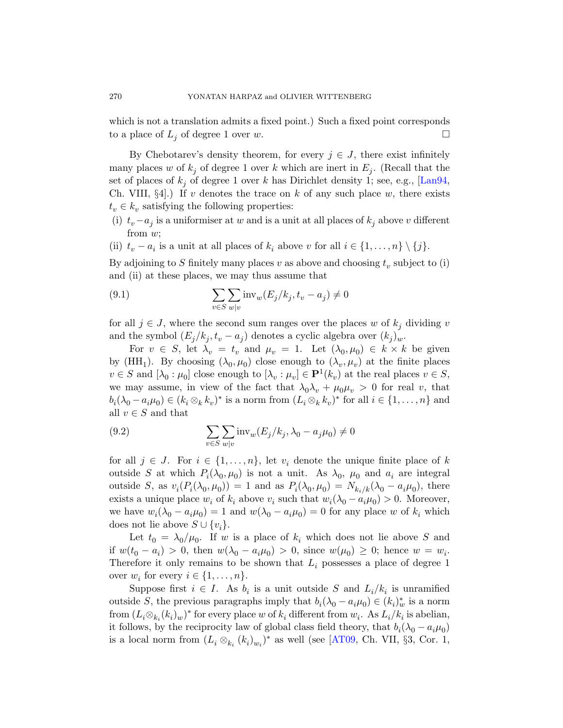which is not a translation admits a fixed point.) Such a fixed point corresponds to a place of  $L_i$  of degree 1 over w.

By Chebotarev's density theorem, for every  $j \in J$ , there exist infinitely many places w of  $k_j$  of degree 1 over k which are inert in  $E_j$ . (Recall that the set of places of  $k_j$  of degree 1 over k has Dirichlet density 1; see, e.g., [Lan94, Ch. VIII,  $\S4$ .) If v denotes the trace on k of any such place w, there exists  $t_v \in k_v$  satisfying the following properties:

- (i)  $t_v-a_j$  is a uniformiser at w and is a unit at all places of  $k_j$  above v different from w;
- (ii)  $t_v a_i$  is a unit at all places of  $k_i$  above v for all  $i \in \{1, ..., n\} \setminus \{j\}$ .

By adjoining to  $S$  finitely many places  $v$  as above and choosing  $t_v$  subject to (i) and (ii) at these places, we may thus assume that

(9.1) 
$$
\sum_{v \in S} \sum_{w|v} \text{inv}_{w}(E_j/k_j, t_v - a_j) \neq 0
$$

for all  $j \in J$ , where the second sum ranges over the places w of  $k_j$  dividing v and the symbol  $(E_j/k_j, t_v - a_j)$  denotes a cyclic algebra over  $(k_j)_w$ .

For  $v \in S$ , let  $\lambda_v = t_v$  and  $\mu_v = 1$ . Let  $(\lambda_0, \mu_0) \in k \times k$  be given by (HH<sub>1</sub>). By choosing  $(\lambda_0, \mu_0)$  close enough to  $(\lambda_v, \mu_v)$  at the finite places  $v \in S$  and  $[\lambda_0 : \mu_0]$  close enough to  $[\lambda_v : \mu_v] \in \mathbf{P}^1(k_v)$  at the real places  $v \in S$ , we may assume, in view of the fact that  $\lambda_0 \lambda_v + \mu_0 \mu_v > 0$  for real v, that  $b_i(\lambda_0 - a_i \mu_0) \in (k_i \otimes_k k_v)^*$  is a norm from  $(L_i \otimes_k k_v)^*$  for all  $i \in \{1, ..., n\}$  and all  $v \in S$  and that

(9.2) 
$$
\sum_{v \in S} \sum_{w|v} \text{inv}_{w}(E_j/k_j, \lambda_0 - a_j \mu_0) \neq 0
$$

for all  $j \in J$ . For  $i \in \{1, \ldots, n\}$ , let  $v_i$  denote the unique finite place of k outside S at which  $P_i(\lambda_0, \mu_0)$  is not a unit. As  $\lambda_0$ ,  $\mu_0$  and  $a_i$  are integral outside S, as  $v_i(P_i(\lambda_0, \mu_0)) = 1$  and as  $P_i(\lambda_0, \mu_0) = N_{k_i/k}(\lambda_0 - a_i \mu_0)$ , there exists a unique place  $w_i$  of  $k_i$  above  $v_i$  such that  $w_i(\lambda_0 - a_i \mu_0) > 0$ . Moreover, we have  $w_i(\lambda_0 - a_i \mu_0) = 1$  and  $w(\lambda_0 - a_i \mu_0) = 0$  for any place w of  $k_i$  which does not lie above  $S \cup \{v_i\}.$ 

Let  $t_0 = \lambda_0/\mu_0$ . If w is a place of  $k_i$  which does not lie above S and if  $w(t_0 - a_i) > 0$ , then  $w(\lambda_0 - a_i \mu_0) > 0$ , since  $w(\mu_0) \geq 0$ ; hence  $w = w_i$ . Therefore it only remains [to be s](#page-58-2)hown that  $L_i$  possesses a place of degree 1 over  $w_i$  for every  $i \in \{1, \ldots, n\}$ .

Suppose first  $i \in I$ . As  $b_i$  is a unit outside S and  $L_i/k_i$  is unramified outside S, the previous paragraphs imply that  $b_i(\lambda_0 - a_i \mu_0) \in (k_i)_{w}^*$  is a norm from  $(L_i \otimes_{k_i} (k_i)_w)^*$  for every place w of  $k_i$  different from  $w_i$ . As  $L_i/k_i$  is abelian, it follows, by the reciprocity law of global class field theory, that  $b_i(\lambda_0 - a_i \mu_0)$ is a local norm from  $(L_i \otimes_{k_i} (k_i)_{w_i})^*$  as well (see [AT09, Ch. VII, §3, Cor. 1,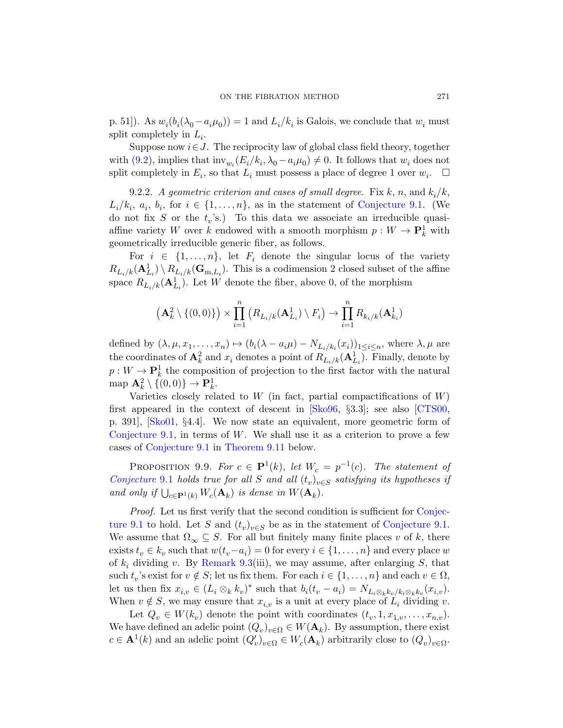<span id="page-42-1"></span>p. 51]). As  $w_i(b_i(\lambda_0 - a_i\mu_0)) = 1$  and  $L_i/k_i$  [is Galo](#page-38-0)is, we conclude that  $w_i$  must split completely in  $L_i$ .

Suppose now  $i \in J$ . The reciprocity law of global class field theory, together with (9.2), implies that  $\text{inv}_{w_i}(E_i/k_i, \lambda_0 - a_i \mu_0) \neq 0$ . It follows that  $w_i$  does not split completely in  $E_i$ , so that  $L_i$  must possess a place of degree 1 over  $w_i$  $\Box$ 

9.2.2. A geometric criterion and cases of small degree. Fix k, n, and  $k_i/k$ ,  $L_i/k_i, a_i, b_i$ , for  $i \in \{1, ..., n\}$ , as in the statement of Conjecture 9.1. (We do not fix S or the  $t_v$ 's.) To this data we associate an irreducible quasiaffine variety W over k endowed with a smooth morphism  $p: W \to \mathbf{P}_k^1$  with geometrically irreducible generic fiber, as follows.

For  $i \in \{1, \ldots, n\}$ , let  $F_i$  denote the singular locus of the variety  $R_{L_i/k}(\mathbf{A}_{L_i}^1) \setminus R_{L_i/k}(\mathbf{G}_{m,L_i})$ . This is a codimension 2 closed subset of the affine space  $R_{L_i/k}(\mathbf{A}_{L_i}^1)$ . Let W denote the fiber, above 0, of the morphism

$$
\left(\mathbf{A}_{k}^{2}\setminus\{(0,0)\}\right)\times\prod_{i=1}^{n}\left(R_{L_{i}/k}(\mathbf{A}_{L_{i}}^{1})\setminus F_{i}\right)\to\prod_{i=1}^{n}R_{k_{i}/k}(\mathbf{A}_{k_{i}}^{1})
$$

defined by  $(\lambda, \mu, x_1, \dots, x_n) \mapsto (b_i(\lambda - a_i\mu) - N_{L_i/k_i}(x_i))_{1 \leq i \leq n}$ , where  $\lambda, \mu$  are the coordinates of  $\mathbf{A}_k^2$  and  $x_i$  denotes a point of  $R_{L_i/k}(\mathbf{A}_{L_i}^1)$ . Finally, denote by  $p: W \to \mathbf{P}^1_k$  $p: W \to \mathbf{P}^1_k$  [the c](#page-44-0)omposition of projection to the first factor with the natural map  $\mathbf{A}_k^2 \setminus \{(0,0)\} \to \mathbf{P}_k^1$ .

<span id="page-42-0"></span>Varieties closely related to  $W$  (in fact, partial compactifications of  $W$ ) first appeared in the context of descent in [Sko96, §3.3]; see also [CTS00, p. 391], [Sko01, §4.4]. We now state an equivalent, more geometric form of Conjecture 9.1, in terms of  $W$ . We shall use [it as a c](#page-38-0)riterion to prove a few cases of Conjecture 9.1 in Theorem 9.11 [below.](#page-38-0)

PROPOSITION 9.9. For  $c \in \mathbf{P}^1(k)$ , let  $W_c = p^{-1}(c)$ . The statement of [Conjecture](#page-38-2) 9.1 holds true for all S and all  $(t_v)_{v \in S}$  satisfying its hypotheses if and only if  $\bigcup_{c \in \mathbf{P}^1(k)} W_c(\mathbf{A}_k)$  is dense in  $W(\mathbf{A}_k)$ .

Proof. Let us first verify that the second condition is sufficient for Conjecture 9.1 to hold. Let S and  $(t_v)_{v \in S}$  be as in the statement of Conjecture 9.1. We assume that  $\Omega_{\infty} \subseteq S$ . For all but finitely many finite places v of k, there exists  $t_v \in k_v$  such that  $w(t_v - a_i) = 0$  for every  $i \in \{1, ..., n\}$  and every place w of  $k_i$  dividing v. By Remark 9.3(iii), we may assume, after enlarging S, that such  $t_v$ 's exist for  $v \notin S$ ; let us fix them. For each  $i \in \{1, ..., n\}$  and each  $v \in \Omega$ , let us then fix  $x_{i,v} \in (L_i \otimes_k k_v)^*$  such that  $b_i(t_v - a_i) = N_{L_i \otimes_k k_v / k_i \otimes_k k_v}(x_{i,v}).$ When  $v \notin S$ , we may ensure that  $x_{i,v}$  is a unit at every place of  $L_i$  dividing v.

Let  $Q_v \in W(k_v)$  denote the point with coordinates  $(t_v, 1, x_{1,v}, \ldots, x_{n,v})$ . We have defined an adelic point  $(Q_v)_{v \in \Omega} \in W(\mathbf{A}_k)$ . By assumption, there exist  $c \in \mathbf{A}^1(k)$  and an adelic point  $(Q'_v)_{v \in \Omega} \in W_c(\mathbf{A}_k)$  arbitrarily close to  $(Q_v)_{v \in \Omega}$ .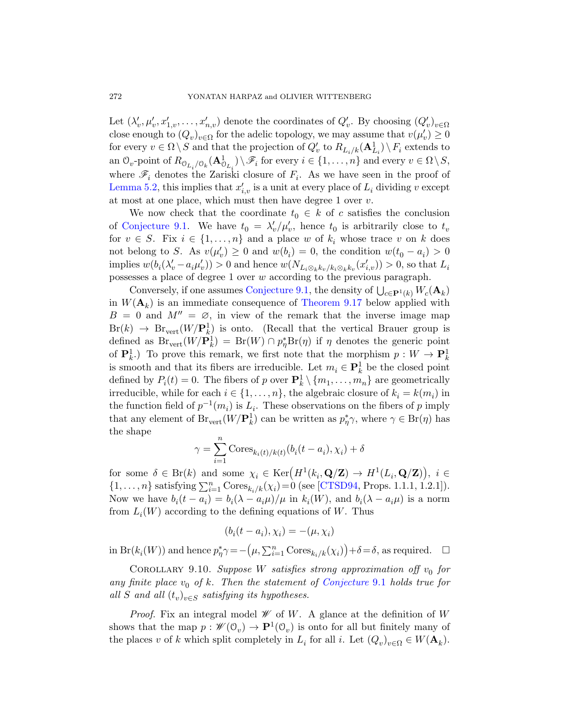Let  $(\lambda'_v, \mu'_v, x'_{1,v}, \dots, x'_{n,v})$  denote the coordinates of  $Q'_v$ . By choosing  $(Q'_v)_{v \in \Omega}$ close enough to  $(Q_v)_{v \in \Omega}$  for the adelic topology, we may assume that  $v(\mu'_v) \geq 0$ for every  $v \in \Omega \setminus S$  and that the projection of  $Q'_v$  to  $R_{L_i/k}(\mathbf{A}_{L_i}^1) \setminus F_i$  extends to an  $\mathcal{O}_v$ -point of  $R_{\mathcal{O}_{L_i}/\mathcal{O}_k}(\mathbf{A}^1_{\mathcal{O}_{L_i}}) \setminus \mathscr{F}_i$  for every  $i \in \{1, \ldots, n\}$  and every  $v \in \Omega \setminus S$ , where  $\mathscr{F}_i$  denotes the Zariski closure of  $F_i$ . As we have seen in the proof of Lemma 5.2, this implies that  $x'_{i,v}$  is a unit at every place of  $L_i$  dividing v except at most at one place, which must then have degree 1 over v.

We [now check tha](#page-38-0)t the coordinate  $t_0 \in k$  of c satisfies the conclusion of Conjecture 9.1. [We have](#page-49-0)  $t_0 = \lambda'_v / \mu'_v$ , hence  $t_0$  is arbitrarily close to  $t_v$ for  $v \in S$ . Fix  $i \in \{1, ..., n\}$  and a place w of  $k_i$  whose trace v on k does not belong to S. As  $v(\mu'_v) \geq 0$  and  $w(b_i) = 0$ , the condition  $w(t_0 - a_i) > 0$ implies  $w(b_i(\lambda'_v - a_i \mu'_v)) > 0$  and hence  $w(N_{L_i \otimes_k k_v / k_i \otimes_k k_v}(x'_{i,v})) > 0$ , so that  $L_i$ possesses a place of degree 1 over w according to the previous paragraph.

Conversely, if one assumes Conjecture 9.1, the density of  $\bigcup_{c \in \mathbf{P}^1(k)} W_c(\mathbf{A}_k)$ in  $W(\mathbf{A}_k)$  is an immediate consequence of Theorem 9.17 below applied with  $B = 0$  and  $M'' = \emptyset$ , in view of the remark that the inverse image map  $Br(k) \rightarrow Br_{vert}(W/\mathbf{P}_k^1)$  is onto. (Recall that the vertical Brauer group is defined as  $\text{Br}_{\text{vert}}(W/\mathbf{P}_k^1) = \text{Br}(W) \cap p_\eta^* \text{Br}(\eta)$  if  $\eta$  denotes the generic point of  $\mathbf{P}_k^1$ .) To prove this remark, we first note that the morphism  $p: W \to \mathbf{P}_k^1$ is smooth and that its fibers are irreducible. Let  $m_i \in \mathbf{P}^1_k$  be the closed point defined by  $P_i(t) = 0$ . The fibers of p over  $\mathbf{P}_k^1 \setminus \{m_1, \ldots, m_n\}$  are geometrically irreducible, while for each  $i \in \{1, \ldots, n\}$ , the algebraic closure of  $k_i = k(m_i)$  in the function field of  $p^{-1}(m_i)$  is  $L_i$ . These observations on the fibers of p imply that any element of  $\text{Br}_{\text{vert}}(W/\mathbf{P}_k^1)$  can be written as  $p_{\eta}^*\gamma$ , where  $\gamma \in \text{Br}(\eta)$  has the shape

$$
\gamma = \sum_{i=1}^{n} \text{Cores}_{k_i(t)/k(t)}(b_i(t - a_i), \chi_i) + \delta
$$

<span id="page-43-0"></span>for some  $\delta \in \text{Br}(k)$  and some  $\chi_i \in \text{Ker}(H^1(k_i, \mathbf{Q}/\mathbf{Z}) \to H^1(L_i, \mathbf{Q}/\mathbf{Z})\big), i \in$  $\{1, \ldots, n\}$  satisfying  $\sum_{i=1}^{n} \text{Cores}_{k_i/k}(\chi_i) = 0$  (see [CTSD94, Props. 1.1.1, 1.2.1]). Now we have  $b_i(t - a_i) = b_i(\lambda - a_i\mu)/\mu$  in  $k_i(W)$ , and  $b_i(\lambda - a_i\mu)$  is a norm from  $L<sub>i</sub>(W)$  according to [the defining eq](#page-38-0)uations of W. Thus

$$
(b_i(t - a_i), \chi_i) = -(\mu, \chi_i)
$$

in  $Br(k_i(W))$  and hence  $p_{\eta}^* \gamma = -(\mu, \sum_{i=1}^n \text{Cores}_{k_i/k}(\chi_i)) + \delta = \delta$ , as required.  $\Box$ 

COROLLARY 9.10. Suppose W satisfies strong approximation off  $v_0$  for any finite place  $v_0$  of k. Then the statement of Conjecture 9.1 holds true for all S and all  $(t_v)_{v \in S}$  satisfying its hypotheses.

*Proof.* Fix an integral model  $W$  of W. A glance at the definition of W shows that the map  $p: \mathscr{W}(\mathbb{O}_v) \to \mathbf{P}^1(\mathbb{O}_v)$  is onto for all but finitely many of the places v of k which split completely in  $L_i$  for all i. Let  $(Q_v)_{v \in \Omega} \in W(\mathbf{A}_k)$ .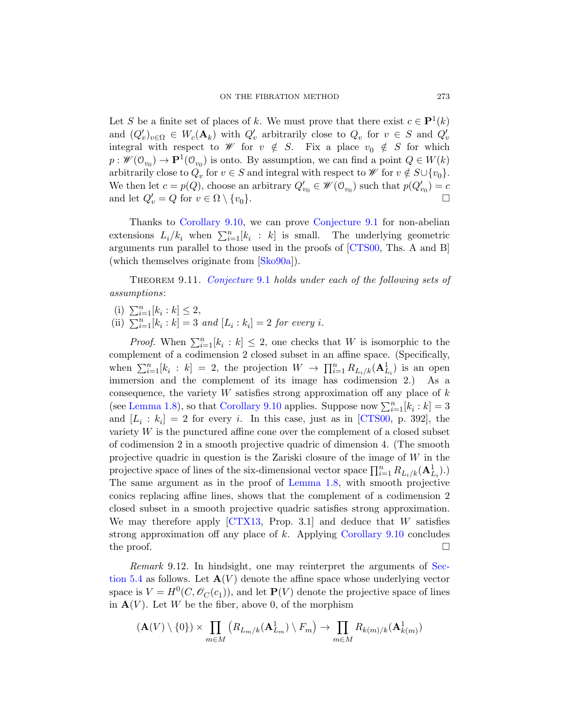Let S be a finite set of places of k. We must prove that there exist  $c \in \mathbf{P}^1(k)$ and  $(Q'_v)_{v \in \Omega} \in W_c(\mathbf{A}_k)$  with  $Q'_v$  arbitrarily close to  $Q_v$  for  $v \in S$  and  $Q'_v$ [integral](#page-43-0) with respect to  $\mathscr W$  for  $v \notin S$ . Fix a place  $v_0 \notin S$  for which  $p: \mathscr{W}(\mathcal{O}_{v_0}) \to \mathbf{P}^1(\mathcal{O}_{v_0})$  is onto. By assumption, we can find a point  $Q \in W(k)$ arbitrarily [close to](#page-65-9)  $Q_v$  for  $v \in S$  [and inte](#page-60-5)gral with respect to  $\mathscr W$  for  $v \notin S \cup \{v_0\}.$ We then let  $c = p(Q)$ , choose an arbitrary  $Q'_{v_0} \in \mathscr{W}(\mathcal{O}_{v_0})$  such that  $p(Q'_{v_0}) = c$ [and let](#page-38-0)  $Q'_v = Q$  for  $v \in \Omega \setminus \{v_0\}.$ 

<span id="page-44-0"></span>Thanks to Corollary 9.10, we can prove Conjecture 9.1 for non-abelian extensions  $L_i/k_i$  when  $\sum_{i=1}^n [k_i : k]$  is small. The underlying geometric arguments run parallel to those used in the proofs of [CTS00, Ths. A and B] (which themselves originate from [Sko90a]).

THEOREM 9.11. Conjecture 9.1 holds under each of the following sets of assumptions:

(i)  $\sum_{i=1}^{n} [k_i : k] \leq 2$ ,

(ii)  $\sum_{i=1}^{n} [k_i : k] = 3$  $\sum_{i=1}^{n} [k_i : k] = 3$  $\sum_{i=1}^{n} [k_i : k] = 3$  and  $[L_i : k_i] = 2$  for every i.

*Proof.* When  $\sum_{i=1}^{n} [k_i : k] \leq 2$ , one checks that W is isomorphic to the complement of a codimension 2 closed subset in an affine space. (Specifically, when  $\sum_{i=1}^n [k_i : k] = 2$ , the projection  $W \to \prod_{i=1}^n R_{L_i/k}(\mathbf{A}_{L_i}^1)$  is an open immersion and the complement of its image has codimension 2.) As a consequence, the variety  $W$  satisfies strong approximation off any place of  $k$ (see Lemma 1.8), [so that](#page-8-0) Corollary 9.10 applies. Suppose now  $\sum_{i=1}^{n} [k_i : k] = 3$ and  $[L_i : k_i] = 2$  for every i. In this case, just as in [CTS00, p. 392], the variety W is the punctured affine cone over the complement of a closed subset of c[odimens](#page-61-6)ion 2 in a smooth projective quadric of dimension 4. (The smooth projective quadric in questio[n is the Zariski](#page-43-0) closure of the image of W in the projective space of lines of the six-dimensional vector space  $\prod_{i=1}^n R_{L_i/k}(\mathbf{A}_{L_i}^1)$ . The same argument as in the proof of Lemma [1.8, w](#page-19-0)ith smooth projective conics replacing affine lines, shows that the complement of a codimension 2 closed subset in a smooth projective quadric satisfies strong approximation. We may therefore apply  $\left[ \text{CTX13}, \text{ Prop. } 3.1 \right]$  and deduce that W satisfies strong approximation off any place of  $k$ . Applying Corollary 9.10 concludes the proof.  $\Box$ 

Remark 9.12. In hindsight, one may reinterpret the arguments of Section 5.4 as follows. Let  $\mathbf{A}(V)$  denote the affine space whose underlying vector space is  $V = H^0(C, \mathscr{O}_C(c_1))$ , and let  $\mathbf{P}(V)$  denote the projective space of lines in  $\mathbf{A}(V)$ . Let W be the fiber, above 0, of the morphism

$$
(\mathbf{A}(V) \setminus \{0\}) \times \prod_{m \in M} \left( R_{L_m/k}(\mathbf{A}_{L_m}^1) \setminus F_m \right) \to \prod_{m \in M} R_{k(m)/k}(\mathbf{A}_{k(m)}^1)
$$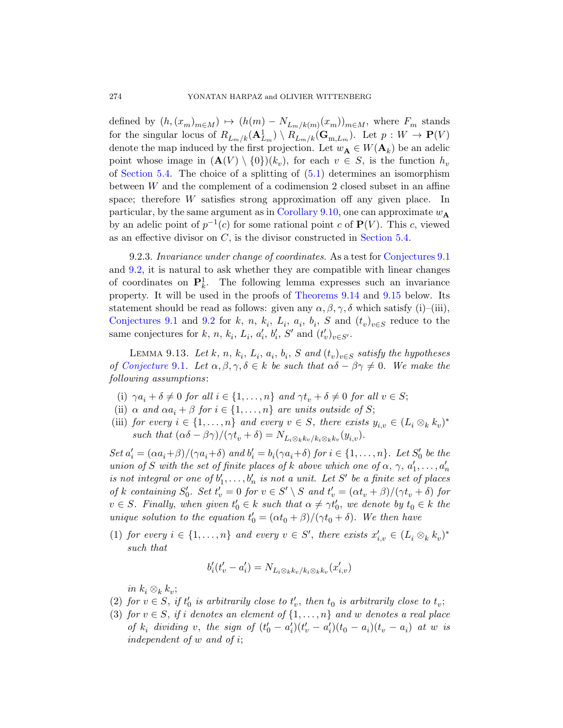defined by  $(h,(x_m)_{m\in M}) \mapsto (h(m) - N_{L_m/k(m)}(x_m))_{m\in M}$ , where  $F_m$  stands for the singula[r locus of](#page-43-0)  $R_{L_m/k}(\mathbf{A}_{L_m}^1) \setminus R_{L_m/k}(\mathbf{G}_{m,L_m})$ . Let  $p: W \to \mathbf{P}(V)$ denote the map induced by the first projection. Let  $w_{\mathbf{A}} \in W(\mathbf{A}_k)$  be an adelic point whose image in  $(\mathbf{A}(V) \setminus \{0\})(k_v)$ , for each  $v \in S$ , is the function  $h_v$ of Section 5.4. The choice of a splitti[ng of \(5.1\) deter](#page-38-0)mines an isomorphism between W and the complement of a codimension 2 closed subset in an affine space; therefore W satisfies strong approximation off any given place. In particular, by the s[ame argument a](#page-46-0)s in [Corol](#page-47-0)lary 9.10, one can approximate  $w_A$ by an adelic point of  $p^{-1}(c)$  for some rational point c of  $P(V)$ . This c, viewed [as](#page-38-1) an effective divisor on C, is the divisor constructed in Section 5.4.

<span id="page-45-0"></span>9.2.3. Invariance under change of coordinates. As a test for Conjectures 9.1 and 9.2, it is natural to ask whether they are compatible with linear changes of coordinates on  $\mathbf{P}_k^1$ . The following lemma expresses such an invariance property. It will be used in the proofs of Theorems 9.14 and 9.15 below. Its statement should be read as follows: given any  $\alpha, \beta, \gamma, \delta$  which satisfy (i)–(iii), Conjectures 9.1 and 9.2 for k, n,  $k_i$ ,  $L_i$ ,  $a_i$ ,  $b_i$ , S and  $(t_v)_{v \in S}$  reduce to the same conjectures for k, n, k<sub>i</sub>, L<sub>i</sub>, a'<sub>i</sub>, b'<sub>i</sub>, S' and  $(t'_v)_{v \in S'}$ .

LEMMA 9.13. Let  $k, n, k_i, L_i, a_i, b_i, S$  and  $(t_v)_{v \in S}$  satisfy the hypotheses of Conjecture 9.1. Let  $\alpha, \beta, \gamma, \delta \in k$  be such that  $\alpha\delta - \beta\gamma \neq 0$ . We make the following assumptions:

- (i)  $\gamma a_i + \delta \neq 0$  for all  $i \in \{1, \ldots, n\}$  and  $\gamma t_v + \delta \neq 0$  for all  $v \in S$ ;
- (ii)  $\alpha$  and  $\alpha a_i + \beta$  for  $i \in \{1, \ldots, n\}$  are units outside of S;
- (iii) for every  $i \in \{1, \ldots, n\}$  and every  $v \in S$ , there exists  $y_{i,v} \in (L_i \otimes_k k_v)^*$ such that  $(\alpha \delta - \beta \gamma)/(\gamma t_v + \delta) = N_{L_i \otimes_k k_v / k_i \otimes_k k_v} (y_{i,v}).$

Set  $a'_i = (\alpha a_i + \beta)/(\gamma a_i + \delta)$  and  $b'_i = b_i(\gamma a_i + \delta)$  for  $i \in \{1, ..., n\}$ . Let  $S'_0$  be the union of S with the set of finite places of k above which one of  $\alpha$ ,  $\gamma$ ,  $a'_1, \ldots, a'_n$ is not integral or one of  $b'_1, \ldots, b'_n$  is not a unit. Let S' be a finite set of places of k containing  $S'_0$ . Set  $t'_v = 0$  for  $v \in S' \setminus S$  and  $t'_v = (\alpha t_v + \beta)/(\gamma t_v + \delta)$  for  $v \in S$ . Finally, when given  $t'_0 \in k$  such that  $\alpha \neq \gamma t'_0$ , we denote by  $t_0 \in k$  the unique solution to the equation  $t'_0 = (\alpha t_0 + \beta)/(\gamma t_0 + \delta)$ . We then have

(1) for every  $i \in \{1, ..., n\}$  and every  $v \in S'$ , there exists  $x'_{i,v} \in (L_i \otimes_k k_v)^*$ such that

$$
b_i'(t_v'-a_i')=N_{L_i\otimes_k k_v/k_i\otimes_k k_v}(x_{i,v}')
$$

in  $k_i \otimes_k k_v$ ;

- (2) for  $v \in S$ , if  $t'_0$  is arbitrarily close to  $t'_v$ , then  $t_0$  is arbitrarily close to  $t_v$ ;
- (3) for  $v \in S$ , if i denotes an element of  $\{1, \ldots, n\}$  and w denotes a real place of  $k_i$  dividing v, the sign of  $(t'_0 - a'_i)(t'_v - a'_i)(t_0 - a_i)(t_v - a_i)$  at w is independent of w and of i;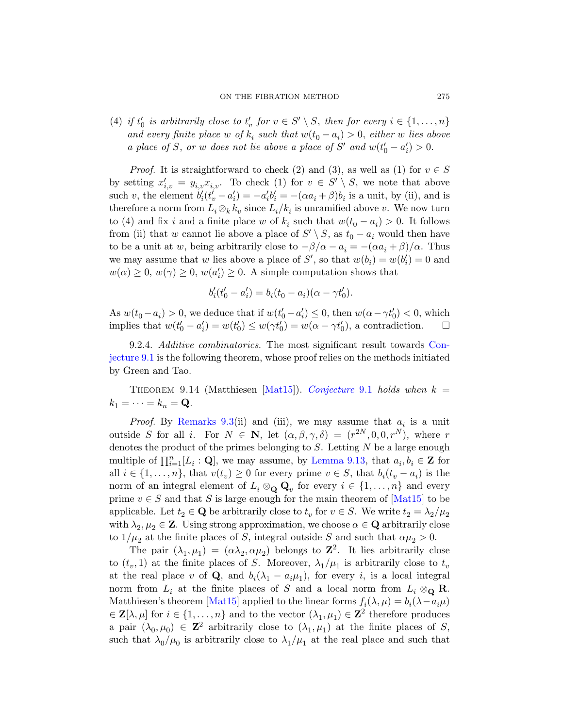#### ON THE FIBRATION METHOD 275

(4) if  $t'_0$  is arbitrarily close to  $t'_v$  for  $v \in S' \setminus S$ , then for every  $i \in \{1, \ldots, n\}$ and every finite place w of  $k_i$  such that  $w(t_0 - a_i) > 0$ , either w lies above a place of S, or w does not lie above a place of S' and  $w(t'_0 - a'_i) > 0$ .

*Proof.* It is straightforward to check (2) and (3), as well as (1) for  $v \in S$ by setting  $x'_{i,v} = y_{i,v} x_{i,v}$ . To check (1) for  $v \in S' \setminus S$ , we note that above such v, the element  $b_i'(t_v'-a_i') = -a_i'b_i' = -(\alpha a_i + \beta)b_i$  is a unit, by (ii), and is therefore a norm from  $L_i \otimes_k k_v$  since  $L_i/k_i$  is unramified above v. We now turn to (4) and fix i and a finite place w of  $k_i$  such that  $w(t_0 - a_i) > 0$ . It follows from (ii) that w cannot lie above a place of  $S' \setminus S$ , as  $t_0 - a_i$  would then have to be a unit at w, being arbitrarily close to  $-\beta/\alpha - a_i = -(\alpha a_i + \beta)/\alpha$ . Thus we may assume that w lies above a place of S', s[o that](#page-38-0)  $w(b_i) = w(b'_i) = 0$  and  $w(\alpha) \geq 0, w(\gamma) \geq 0, w(a'_i) \geq 0$ . A simple computation shows that

$$
b'_{i}(t'_{0} - a'_{i}) = b_{i}(t_{0} - a_{i})(\alpha - \gamma t'_{0}).
$$

<span id="page-46-0"></span>As  $w(t_0 - a_i) > 0$ , we [deduce that if](#page-38-0)  $w(t'_0 - a'_i) \leq 0$ , then  $w(\alpha - \gamma t'_0) < 0$ , which implies that  $w(t'_0 - a'_i) = w(t'_0) \leq w(\gamma t'_0) = w(\alpha - \gamma t'_0)$ , a contradiction.  $\Box$ 

[9](#page-38-2).2.4. Additive combinatorics. The most significant result towards Conjecture 9.1 is the following theorem, whose proof relies on the methods initiated by Green and Tao.

THEOREM 9.14 ([Matthiesen \[M](#page-45-0)at15]). Conjecture 9.1 holds when  $k =$  $k_1 = \cdots = k_n = \mathbf{Q}.$ 

*Proof.* By Remarks 9.3(ii) and (iii)[, we m](#page-64-2)ay assume that  $a_i$  is a unit outside S for all i. For  $N \in \mathbb{N}$ , let  $(\alpha, \beta, \gamma, \delta) = (r^{2N}, 0, 0, r^N)$ , where r denotes the product of the primes belonging to  $S$ . Letting  $N$  be a large enough multiple of  $\prod_{i=1}^{n} [L_i : \mathbf{Q}]$ , we may assume, by Lemma 9.13, that  $a_i, b_i \in \mathbf{Z}$  for all  $i \in \{1, \ldots, n\}$ , that  $v(t_v) \geq 0$  for every prime  $v \in S$ , that  $b_i(t_v - a_i)$  is the norm of an integral element of  $L_i \otimes_{\mathbf{Q}} \mathbf{Q}_v$  for every  $i \in \{1, ..., n\}$  and every prime  $v \in S$  and that S is large enough for the main theorem of  $[Mat15]$  to be applicable. Let  $t_2 \in \mathbf{Q}$  be arbitrarily close to  $t_v$  for  $v \in S$ . We write  $t_2 = \lambda_2/\mu_2$ [with](#page-64-2)  $\lambda_2, \mu_2 \in \mathbb{Z}$ . Using strong approximation, we choose  $\alpha \in \mathbb{Q}$  arbitrarily close to  $1/\mu_2$  at the finite places of S, integral outside S and such that  $\alpha\mu_2 > 0$ .

The pair  $(\lambda_1, \mu_1) = (\alpha \lambda_2, \alpha \mu_2)$  belongs to  $\mathbb{Z}^2$ . It lies arbitrarily close to  $(t_v, 1)$  at the finite places of S. Moreover,  $\lambda_1/\mu_1$  is arbitrarily close to  $t_v$ at the real place v of Q, and  $b_i(\lambda_1 - a_i \mu_1)$ , for every i, is a local integral norm from  $L_i$  at the finite places of S and a local norm from  $L_i \otimes_{\mathbf{Q}} \mathbf{R}$ . Matthiesen's theorem [Mat15] applied to the linear forms  $f_i(\lambda, \mu) = b_i(\lambda - a_i \mu)$  $\in \mathbf{Z}[\lambda,\mu]$  for  $i \in \{1,\ldots,n\}$  and to the vector  $(\lambda_1,\mu_1) \in \mathbf{Z}^2$  therefore produces a pair  $(\lambda_0, \mu_0) \in \mathbb{Z}^2$  arbitrarily close to  $(\lambda_1, \mu_1)$  at the finite places of S, such that  $\lambda_0/\mu_0$  is arbitrarily close to  $\lambda_1/\mu_1$  at the real place and such that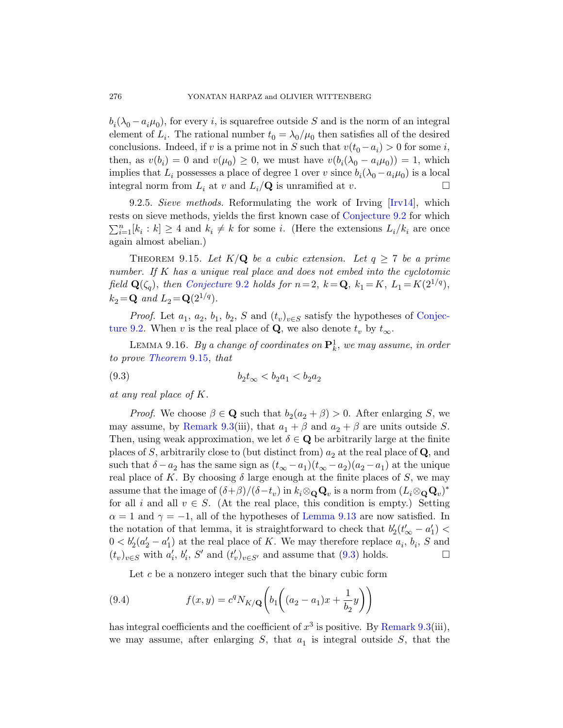$b_i(\lambda_0 - a_i \mu_0)$ , for every *i*, is squarefree ou[tside](#page-62-5) S and is the norm of an integral element of  $L_i$ . The rational n[umber](#page-38-1)  $t_0 = \lambda_0/\mu_0$  then satisfies all of the desired conclusions. Indeed, if v is a prime not in S such that  $v(t_0 - a_i) > 0$  for some i, then, as  $v(b_i) = 0$  and  $v(\mu_0) \geq 0$ , we must have  $v(b_i(\lambda_0 - a_i\mu_0)) = 1$ , which implies that  $L_i$  possesses a place of degree 1 over v since  $b_i(\lambda_0 - a_i \mu_0)$  is a local integral norm from  $L_i$  at v and  $L_i/\mathbf{Q}$  is unramified at v.

<span id="page-47-0"></span>[9.2.5](#page-38-1). Sieve methods. Reformulating the work of Irving [Irv14], which rests on sieve methods, yields the first known case of Conjecture 9.2 for which  $\sum_{i=1}^{n} [k_i : k] \geq 4$  and  $k_i \neq k$  for some i. (Her[e the ext](#page-38-1)ensions  $L_i / k_i$  are once again almost abelian.)

<span id="page-47-2"></span><span id="page-47-1"></span>THEOREM 9.15. Let  $K/\mathbf{Q}$  be a cubic extension. Let  $q \geq 7$  be a prime number. If K has a unique real place and does not embed into the cyclotomic field  $\mathbf{Q}(\zeta_q)$ , then Conjecture 9.2 holds for  $n=2, k=\mathbf{Q}, k_1=K, L_1=K(2^{1/q}),$  $k_2 = Q$  and  $L_2 = Q(2^{1/q})$ .

*Proof.* Let  $a_1, a_2, b_1, b_2, S$  and  $(t_v)_{v \in S}$  satisfy the hypotheses of Conjecture 9.2. When v is the real place of **Q**, we also denote  $t_v$  by  $t_{\infty}$ .

[L](#page-38-2)EMMA 9.16. *By a change of coordinates on*  $\mathbf{P}^1_k$ , we may assume, in order to prove Theorem 9.15, that

(9.3) 
$$
b_2 t_{\infty} < b_2 a_1 < b_2 a_2
$$

at any real place of K.

*Proof.* We choose  $\beta \in \mathbf{Q}$  such that  $b_2(a_2 + \beta) > 0$ . After enlarging S, we may assume, by Remark 9.3(iii), that  $a_1 + \beta$  and  $a_2 + \beta$  are units outside S. Then, using weak ap[proximation,](#page-45-0) we let  $\delta \in \mathbf{Q}$  be arbitrarily large at the finite places of S, arbitrarily close to (but distinct from)  $a_2$  at the real place of Q, and such that  $\delta - a_2$  has the same sign as  $(t_{\infty} - a_1)(t_{\infty} - a_2)(a_2 - a_1)$  at the unique real p[la](#page-47-1)ce of K. By choosing  $\delta$  large enough at the finite places of S, we may assume that the image of  $(\delta + \beta)/(\delta - t_v)$  in  $k_i \otimes_Q \mathbf{Q}_v$  is a norm from  $(L_i \otimes_Q \mathbf{Q}_v)^*$ for all i and all  $v \in S$ . (At the real place, this condition is empty.) Setting  $\alpha = 1$  and  $\gamma = -1$ , all of the hypotheses of Lemma 9.13 are now satisfied. In the notation of that lemma, it is straightforward to check that  $b'_2(t'_\infty - a'_1)$  $0 < b'_2(a'_2 - a'_1)$  at the real place of K. [We may the](#page-38-2)refore replace  $a_i, b_i, S$  and  $(t_v)_{v \in S}$  with  $a'_i$ ,  $b'_i$ ,  $S'$  and  $(t'_v)_{v \in S'}$  and assume that (9.3) holds.

Let  $c$  be a nonzero integer such that the binary cubic form

(9.4) 
$$
f(x,y) = c^q N_{K/\mathbf{Q}} \left( b_1 \left( (a_2 - a_1)x + \frac{1}{b_2} y \right) \right)
$$

has integral coefficients and the coefficient of  $x^3$  is positive. By Remark 9.3(iii), we may assume, after enlarging  $S$ , that  $a_1$  is integral outside  $S$ , that the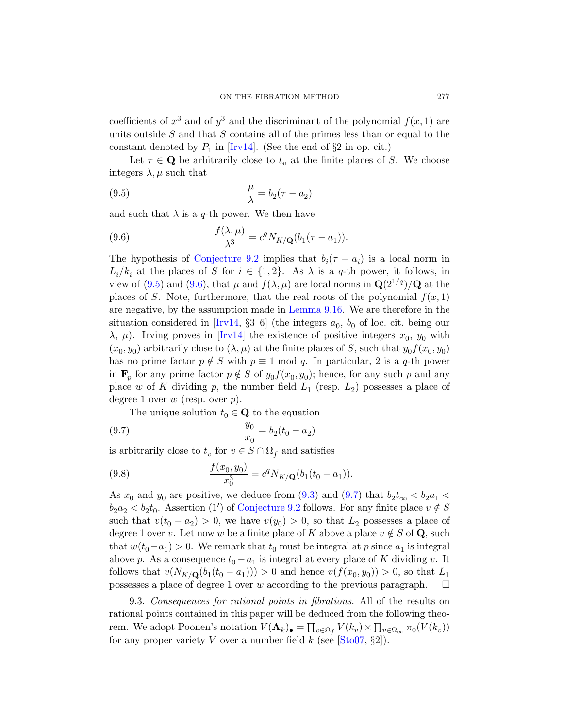coefficients of  $x^3$  and of  $y^3$  and the discriminant of the polynomial  $f(x, 1)$  are units outside  $S$  and that  $S$  contains all of the primes less than or equal to the constant denoted by  $P_1$  in [Irv14]. (See the end of  $\S 2$  in op. cit.)

Let  $\tau \in \mathbf{Q}$  be arbitrarily close to  $t_v$  at the finite places of S. We choose [integers](#page-38-1)  $\lambda, \mu$  such that

(9.5) 
$$
\frac{\mu}{\lambda} = b_2(\tau - a_2)
$$

and such that  $\lambda$  is a q-th power. We then have

(9.6) 
$$
\frac{f(\lambda,\mu)}{\lambda^3} = c^q N_{K/\mathbf{Q}}(b_1(\tau - a_1)).
$$

T[he hyp](#page-62-5)othesis of Conjecture 9.2 implies that  $b_i(\tau - a_i)$  is a local norm in  $L_i/k_i$  at the places of S for  $i \in \{1,2\}$ . As  $\lambda$  is a q-th power, it follows, in view of (9.5) and (9.6), that  $\mu$  and  $f(\lambda, \mu)$  are local norms in  $\mathbf{Q}(2^{1/q})/\mathbf{Q}$  at the places of S. Note, furthermore, that the real roots of the polynomial  $f(x, 1)$ are negative, by the assumption made in Lemma 9.16. We are therefore in the situation considered in [Irv14,  $\S3-6$ ] (the integers  $a_0$ ,  $b_0$  of loc. cit. being our  $\lambda$ ,  $\mu$ ). Irving proves in [Irv14] the existence of positive integers  $x_0$ ,  $y_0$  with  $(x_0, y_0)$  arbitrarily close to  $(\lambda, \mu)$  at the finite places of S, such that  $y_0 f(x_0, y_0)$ has no prime factor  $p \notin S$  with  $p \equiv 1 \mod q$ . In particular, 2 is a q-th power in  $\mathbf{F}_p$  for any prime factor  $p \notin S$  of  $y_0 f(x_0, y_0)$ ; hence, for any such p and any place w of K dividing p, the number field  $L_1$  (resp.  $L_2$ ) possesses a place of degree 1 over  $w$  (resp. over  $p$ ).

<span id="page-48-1"></span>The unique sol[ution](#page-47-1)  $t_0 \in \mathbf{Q}$  $t_0 \in \mathbf{Q}$  $t_0 \in \mathbf{Q}$  to the equation

(9.7) 
$$
\frac{y_0}{x_0} = b_2(t_0 - a_2)
$$

is arbitrarily close to  $t_v$  for  $v \in S \cap \Omega_f$  and satisfies

(9.8) 
$$
\frac{f(x_0, y_0)}{x_0^3} = c^q N_{K/\mathbf{Q}}(b_1(t_0 - a_1)).
$$

<span id="page-48-0"></span>As  $x_0$  and  $y_0$  are positive, we deduce from (9.3) and (9.7) that  $b_2 t_{\infty} < b_2 a_1 <$  $b_2 a_2 < b_2 t_0$ . Assertion (1') of Conjecture 9.2 follows. For any finite place  $v \notin S$ such that  $v(t_0 - a_2) > 0$ , we have  $v(y_0) > 0$ , so that  $L_2$  possesses a place of degree 1 over v. Let now w be a finite place of K above a place  $v \notin S$  of Q, such that  $w(t_0 - a_1) > 0$ . We remark that  $t_0$  must be integral at p since  $a_1$  is integral above p. As a consequence  $t_0 - a_1$  is integral at every place of K dividing v. It follows that  $v(N_{K/\mathbf{Q}}(b_1(t_0 - a_1))) > 0$  and hence  $v(f(x_0, y_0)) > 0$ , so that  $L_1$ possesses a place of degree 1 over w according to the previous paragraph.  $\Box$ 

9.3. Consequences for rational points in fibrations. All of the results on rational points contained in this paper will be deduced from the following theorem. We adopt Poonen's notation  $V(\mathbf{A}_k)_{\bullet} = \prod_{v \in \Omega_f} V(k_v) \times \prod_{v \in \Omega_{\infty}} \pi_0(V(k_v))$ for any proper variety V over a number field k (see  $[\text{Sto}07, \S2]$ ).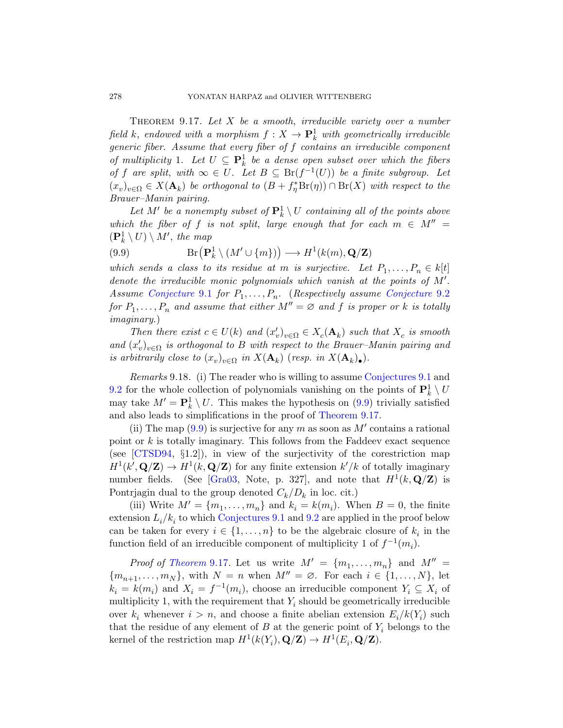THEOREM  $9.17$ . Let X be a smooth, irreducible variety over a number field k, endowed with a morphism  $f: X \to \mathbf{P}^1_k$  with geometrically irreducible generic fiber. Assume that every fiber of f contains an irreducible component of multiplicity 1. Let  $U \subseteq \mathbf{P}^1_k$  be a dense open subset over which the fibers of f are split, with  $\infty \in U$ . Let  $B \subseteq Br(f^{-1}(U))$  be a finite subgroup. Let  $(x_v)_{v \in \Omega} \in X(\mathbf{A}_k)$  be orthogonal to  $(B + f_{\eta}^* Br(\eta)) \cap Br(X)$  with respect to the Brauer–Manin pairing.

<span id="page-49-1"></span>Let  $M'$  be a nonempty subset of  $\mathbf{P}^1_k \setminus U$  [containing](#page-38-1) all of the points above [w](#page-38-0)hich the fiber of f is not split, large enough that for each  $m \in M'' =$  $(\mathbf{P}_k^1 \setminus U) \setminus M'$ , the map

(9.9)  $\text{Br}(\mathbf{P}_k^1 \setminus (M' \cup \{m\})) \longrightarrow H^1(k(m), \mathbf{Q}/\mathbf{Z})$ 

<span id="page-49-2"></span>which sends a class to its residue at m is surjective. Let  $P_1, \ldots, P_n \in k[t]$ denote the irreducible monic polynomials which vanish at the points of  $M'$ . Assume Conjecture 9.1 for  $P_1, \ldots, P_n$ . ([Respectiv](#page-38-0)ely assume Conjecture 9.2) for  $P_1, \ldots, P_n$  and assume that either  $M'' = \varnothing$  and f is proper or k is totally imaginary.)

Then there exist  $c \in U(k)$  [and](#page-49-0)  $(x'_v)_{v \in \Omega} \in X_c(\mathbf{A}_k)$  such that  $X_c$  is smooth and  $(x'_v)_{v \in \Omega}$  is orthogonal to B with respect to the Brauer–Manin pairing and is arbitrarily close to  $(x_v)_{v \in \Omega}$  in  $X(\mathbf{A}_k)$  (resp. in  $X(\mathbf{A}_k)$ .).

Remarks 9.18. (i) The reader who is willing to assume Conjectures 9.1 and 9.2 for the whole collection of polynomials vanishing on the points of  $\mathbf{P}^1_k \setminus U$ [may ta](#page-61-7)ke  $M' = \mathbf{P}_k^1 \setminus U$ . This makes the hypothesis on (9.9) trivially satisfied and also leads to simplifications in the proof of Theorem 9.17.

(ii) The map  $(9.9)$  is surjective for any m as soon as M' contains a rational p[oint or](#page-38-0) $k$  is totally i[mag](#page-38-1)inary. This follows from the Faddeev exact sequence (see [CTSD94, §1.2]), in view of the surjectivity of the corestriction map  $H^1(k', \mathbf{Q}/\mathbf{Z}) \to H^1(k, \mathbf{Q}/\mathbf{Z})$  for any finite extension  $k'/k$  of totally imaginary [num](#page-49-0)ber fields. (See [Gra03, Note, p. 327], and note that  $H^1(k, \mathbf{Q}/\mathbf{Z})$  is Pontrjagin dual to the group denoted  $C_k/D_k$  in loc. cit.)

(iii) Write  $M' = \{m_1, \ldots, m_n\}$  and  $k_i = k(m_i)$ . When  $B = 0$ , the finite extension  $L_i/k_i$  to which Conjectures 9.1 and 9.2 are applied in the proof below can be taken for every  $i \in \{1, \ldots, n\}$  to be the algebraic closure of  $k_i$  in the function field of an irreducible component of multiplicity 1 of  $f^{-1}(m_i)$ .

*Proof of Theorem* 9.17. Let us write  $M' = \{m_1, \ldots, m_n\}$  and  $M'' =$  ${m_{n+1}, \ldots, m_N}$ , with  $N = n$  when  $M'' = \emptyset$ . For each  $i \in \{1, \ldots, N\}$ , let  $k_i = k(m_i)$  and  $X_i = f^{-1}(m_i)$ , choose an irreducible component  $Y_i \subseteq X_i$  of multiplicity 1, with the requirement that  $Y_i$  should be geometrically irreducible over  $k_i$  whenever  $i > n$ , and choose a finite abelian extension  $E_i/k(Y_i)$  such that the residue of any element of B at the generic point of  $Y_i$  belongs to the kernel of the restriction map  $H^1(k(Y_i), \mathbf{Q}/\mathbf{Z}) \to H^1(E_i, \mathbf{Q}/\mathbf{Z})$ .

<span id="page-49-0"></span>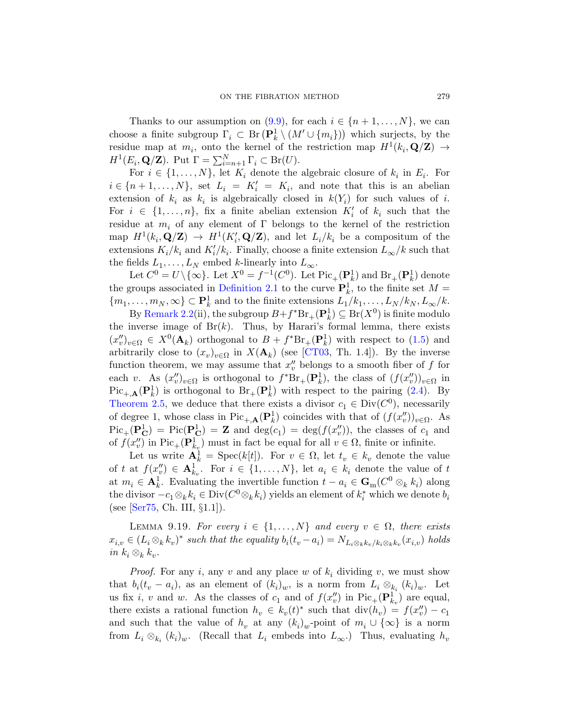Thanks to our assumption on  $(9.9)$ , for each  $i \in \{n+1,\ldots,N\}$ , we can choose a finite subgroup  $\Gamma_i \subset \text{Br}(\mathbf{P}_k^1 \setminus (M' \cup \{m_i\}))$  which surjects, by the residue map at  $m_i$ , onto the kernel of the restriction map  $H^1(k_i, \mathbf{Q}/\mathbf{Z}) \rightarrow$  $H^1(E_i, \mathbf{Q}/\mathbf{Z})$ . Put  $\Gamma = \sum_{i=n+1}^N \Gamma_i \subset \text{Br}(U)$ .

For  $i \in \{1, \ldots, N\}$ , let  $K_i$  denote the algebraic closure of  $k_i$  in  $E_i$ . For  $i \in \{n+1,\ldots,N\}$ , set  $L_i = K'_i = K_i$ , and note that this is an abelian extension of  $k_i$  as  $k_i$  is algebraically closed in  $k(Y_i)$  for such values of i. For  $i \in \{1, \ldots, n\}$ , fix a finite abelian extension  $K_i'$  of  $k_i$  such that the residue at  $m_i$  of any element of Γ belongs to the kernel of the restriction map  $H^1(k_i, \mathbf{Q}/\mathbf{Z}) \to H^1(K_i', \mathbf{Q}/\mathbf{Z})$ , and let  $L_i/k_i$  be a compositum of the extensions  $K_i/k_i$  and  $K'_i/k_i$ . Finally, choose a finite extension  $L_{\infty}/k$  such that the fields  $L_1, \ldots, L_N$  embed k-linearly into  $L_{\infty}$ [.](#page-7-0)

Let  $C^0 = U \setminus {\infty}$ [. Let](#page-59-0)  $X^0 = f^{-1}(C^0)$ . Let  $Pic_+({\bf P}_k^1)$  and  $Br_+({\bf P}_k^1)$  denote the groups associated in Definition 2.1 to the curve  $\mathbf{P}^1_k$ , to the finite set  $M =$  $\{m_1,\ldots,m_N,\infty\}\subset{\bf P}^1_k$  and to the finite extensions  $L_1/k_1,\ldots,L_N/k_N,L_\infty/k$ .

By Remark 2.2(ii), the subgroup  $B + f^* \text{Br}_+(\mathbf{P}^1_k) \subseteq \text{Br}(X^0)$  $B + f^* \text{Br}_+(\mathbf{P}^1_k) \subseteq \text{Br}(X^0)$  $B + f^* \text{Br}_+(\mathbf{P}^1_k) \subseteq \text{Br}(X^0)$  is finite modulo the inverse image of  $Br(k)$ . Thus, by Harari's formal lemma, there exists  $(x''_v)_{v\in\Omega} \in X^0(\mathbf{A}_k)$  orthogonal to  $B + f^*Br_+(\mathbf{P}_k^1)$  with respect to (1.5) and arbitrarily close to  $(x_v)_{v \in \Omega}$  in  $X(\mathbf{A}_k)$  (see [CT03, Th. 1.4]). By the inverse function theorem, we may assume that  $x''_v$  belongs to a smooth fiber of f for each v. As  $(x''_v)_{v \in \Omega}$  is orthogonal to  $f^*Br_+(\mathbf{P}_k^1)$ , the class of  $(f(x''_v))_{v \in \Omega}$  in  $Pic_{+,A}(P_k^1)$  is orthogonal to  $Br_+(P_k^1)$  with respect to the pairing (2.4). By Theorem 2.5, we deduce that there exists a divisor  $c_1 \in Div(C^0)$ , necessarily of degree 1, whose class in  $Pic_{+,A}(\mathbf{P}_k^1)$  coincides with that of  $(f(x''_v))_{v \in \Omega}$ . As  $Pic_+(\mathbf{P}_{\mathbf{C}}^1) = Pic(\mathbf{P}_{\mathbf{C}}^1) = \mathbf{Z}$  and  $deg(c_1) = deg(f(x''_v))$ , the classes of  $c_1$  and of  $f(x''_v)$  in Pic<sub>+</sub>( $\mathbf{P}^1_{k_v}$ ) must in fact be equal for all  $v \in \Omega$ , finite or infinite.

<span id="page-50-0"></span>Let us write  $\mathbf{A}_k^{\mathcal{I}} = \text{Spec}(k[t])$ . For  $v \in \Omega$ , let  $t_v \in k_v$  denote the value of t at  $f(x''_v) \in \mathbf{A}_{k_v}^1$ . For  $i \in \{1, ..., N\}$ , let  $a_i \in k_i$  denote the value of t at  $m_i \in \mathbf{A}_k^1$ . Evaluating the invertible function  $t - a_i \in \mathbf{G}_{m}(C^0 \otimes_k k_i)$  along the divisor  $-c_1 \otimes_k k_i \in \text{Div}(C^0 \otimes_k k_i)$  yields an element of  $k_i^*$  which we denote  $b_i$ (see [Ser75, Ch. III, §1.1]).

LEMMA 9.19. For every  $i \in \{1, ..., N\}$  and every  $v \in \Omega$ , there exists  $x_{i,v} \in (L_i \otimes_k k_v)^*$  such that the equality  $b_i(t_v - a_i) = N_{L_i \otimes_k k_v / k_i \otimes_k k_v}(x_{i,v})$  holds in  $k_i \otimes_k k_v$ .

*Proof.* For any i, any v and any place w of  $k_i$  dividing v, we must show that  $b_i(t_v - a_i)$ , as an element of  $(k_i)_w$ , is a norm from  $L_i \otimes_{k_i} (k_i)_w$ . Let us fix *i*, *v* and *w*. As the classes of  $c_1$  and of  $f(x''_v)$  in  $Pic_+(\mathbf{P}_{k_v}^1)$  are equal, there exists a rational function  $h_v \in k_v(t)^*$  such that  $\text{div}(h_v) = f(x_v'') - c_1$ and such that the value of  $h_v$  at any  $(k_i)_w$ -point of  $m_i \cup \{\infty\}$  is a norm from  $L_i \otimes_{k_i} (k_i)_w$ . (Recall that  $L_i$  embeds into  $L_\infty$ .) Thus, evaluating  $h_v$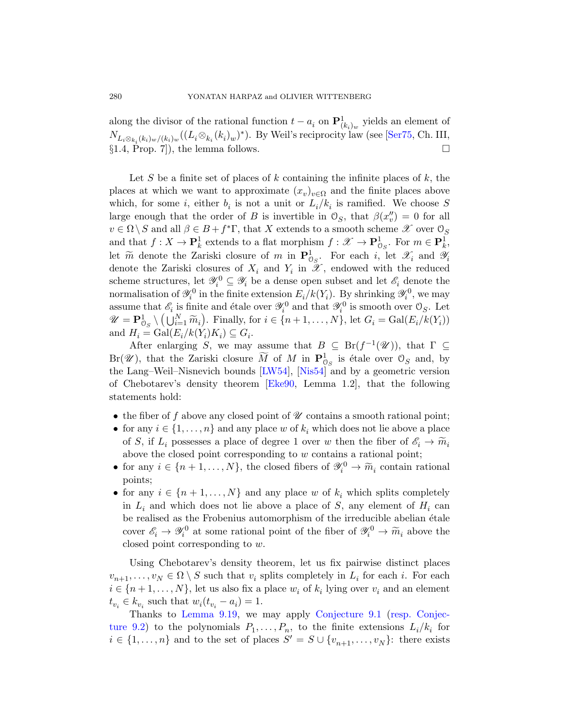along the divisor of the rational function  $t - a_i$  on  $\mathbf{P}^1_{(k_i)_w}$  yields an element of  $N_{L_i\otimes_{k_i}(k_i)_w/(k_i)_w}((L_i\otimes_{k_i}(k_i)_w)^*)$ . By Weil's reciprocity law (see [Ser75, Ch. III,  $\S1.4$ , Prop. 7), the lemma follows.

Let S be a finite set of places of k containing the infinite places of  $k$ , the places at which we want to approximate  $(x_v)_{v \in \Omega}$  and the finite places above which, for some *i*, either  $b_i$  is not a unit or  $L_i/k_i$  is ramified. We choose S large enough that the order of B is invertible in  $\mathcal{O}_S$ , that  $\beta(x''_v) = 0$  for all  $v\in \Omega\, \backslash\, S$  and all  $\beta\in B+f^*\Gamma,$  that  $X$  extends to a smooth scheme  $\mathscr X$  over  $\mathcal O_S$ and that  $f: X \to \mathbf{P}_k^1$  extends to a flat morphism  $f: \mathscr{X} \to \mathbf{P}_{\mathcal{O}_S}^1$ . For  $m \in \mathbf{P}_k^1$ , let  $\widetilde{m}$  denote the Zariski closure of m in  $\mathbf{P}_{\mathcal{O}_S}^1$ . For each i, let  $\mathcal{X}_i$  and  $\mathcal{Y}_i$ denote the Zariski closures of  $X_i$  and  $Y_i$  in  $\mathscr{X}$ , endowed with the reduced scheme structures, let  $\mathscr{Y}_i^0 \subseteq \mathscr{Y}_i$  be a dense open subset and let  $\mathscr{E}_i$  denote the normalisati[on of](#page-63-4)  $\mathscr{Y}_i^0$  [in the](#page-64-7) finite extension  $E_i/k(Y_i)$ . By shrinking  $\mathscr{Y}_i^0$ , we may assume that  $\mathscr{E}_i$  [is fin](#page-61-8)ite and étale over  $\mathscr{Y}_i^0$  and that  $\mathscr{Y}_i^0$  is smooth over  $\mathcal{O}_S$ . Let  $\mathscr{U} = \mathbf{P}_{\mathcal{O}_S}^1 \setminus (\bigcup_{i=1}^N \widetilde{m}_i)$ . Finally, for  $i \in \{n+1,\ldots,N\}$ , let  $G_i = \text{Gal}(E_i/k(Y_i))$ and  $H_i = \text{Gal}(E_i/k(Y_i)K_i) \subseteq G_i$ .

After enlarging S, we may assume that  $B \subseteq Br(f^{-1}(\mathscr{U}))$ , that  $\Gamma \subseteq$  $Br(\mathscr{U})$ , that the Zariski closure  $\widetilde{M}$  of  $M$  in  $\mathbf{P}^1_{\mathcal{O}_S}$  is étale over  $\mathcal{O}_S$  and, by the Lang–Weil–Nisnevich bounds [LW54], [Nis54] and by a geometric version of Chebotarev's density theorem [Eke90, Lemma 1.2], that the following statements hold:

- the fiber of f above any closed point of  $\mathscr U$  contains a smooth rational point;
- for any  $i \in \{1, \ldots, n\}$  and any place w of  $k_i$  which does not lie above a place of S, if  $L_i$  possesses a place of degree 1 over w then the fiber of  $\mathscr{E}_i \to \widetilde{m}_i$ above the closed point corresponding to w contains a rational point;
- for any  $i \in \{n+1,\ldots,N\}$ , the closed fibers of  $\mathscr{Y}_i^0 \to \widetilde{m}_i$  contain rational points;
- for any  $i \in \{n+1,\ldots,N\}$  and any place w of  $k_i$  which splits completely in  $L_i$  and which does not lie above a place of S, any element of  $H_i$  can be realised as the Frobenius automorphism of the irreducible abelian étale [cove](#page-50-0)r  $\mathscr{E}_i \to \mathscr{Y}_i^0$  at s[ome rational poi](#page-38-0)n[t of the fiber o](#page-38-1)f  $\mathscr{Y}_i^0 \to \widetilde{m}_i$  above the closed point corresponding to w.

Using Chebotarev's density theorem, let us fix pairwise distinct places  $v_{n+1}, \ldots, v_N \in \Omega \setminus S$  such that  $v_i$  splits completely in  $L_i$  for each i. For each  $i \in \{n+1,\ldots,N\}$ , let us also fix a place  $w_i$  of  $k_i$  lying over  $v_i$  and an element  $t_{v_i} \in k_{v_i}$  such that  $w_i(t_{v_i} - a_i) = 1$ .

Thanks to Lemma 9.19, we may apply Conjecture 9.1 (resp. Conjecture 9.2) to the polynomials  $P_1, \ldots, P_n$ , to the finite extensions  $L_i/k_i$  for  $i \in \{1, \ldots, n\}$  and to the set of places  $S' = S \cup \{v_{n+1}, \ldots, v_N\}$ : there exists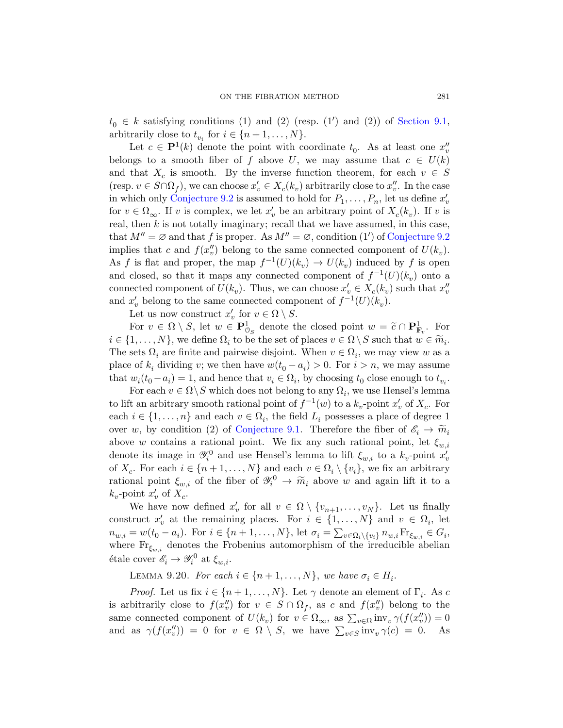$t_0 \in k$  satisfying conditions (1) and (2) (resp. (1') and (2)) of Section 9.1, arbitrarily close to  $t_{v_i}$  for  $i \in \{n+1, \ldots, N\}$ .

Let  $c \in \mathbf{P}^1(k)$  denote the point with coordinate  $t_0$ . As at least one  $x''_v$ belongs to a smooth fiber of f above U[, we may a](#page-38-1)ssume that  $c \in U(k)$ and that  $X_c$  is smooth. By the inverse function theorem, for each  $v \in S$ (resp.  $v \in S \cap \Omega_f$ ), we can choose  $x'_v \in X_c(k_v)$  arbitrarily close to  $x''_v$ . In the case in which only Conjecture 9.2 is assumed to hold for  $P_1, \ldots, P_n$ , let us define  $x'_v$ for  $v \in \Omega_{\infty}$ . If v is complex, we let  $x'_{v}$  be an arbitrary point of  $X_{c}(k_{v})$ . If v is real, then  $k$  is not totally imaginary; recall that we have assumed, in this case, that  $M'' = \emptyset$  and that f is proper. As  $M'' = \emptyset$ , condition (1') of Conjecture 9.2 implies that c and  $f(x''_v)$  belong to the same connected component of  $U(k_v)$ . As f is flat and proper, the map  $f^{-1}(U)(k_v) \to U(k_v)$  induced by f is open and closed, so that it maps any connected component of  $f^{-1}(U)(k_v)$  onto a connected component of  $U(k_v)$ . Thus, we can choose  $x'_v \in X_c(k_v)$  such that  $x''_v$ and  $x'_{v}$  belong to the same connected component of  $f^{-1}(U)(k_{v})$ .

Let us now construct  $x'_v$  for  $v \in \Omega \setminus S$ .

For  $v \in \Omega \setminus S$ , let  $w \in \mathbf{P}^1_{\mathcal{O}_S}$  denote the closed point  $w = \tilde{c} \cap \mathbf{P}^1_{\mathbf{F}_v}$ . For  $i \in \{1, \ldots, N\}$ , we define  $\Omega_i$  to be the set of places  $v \in \Omega \setminus S$  such that  $w \in \widetilde{m}_i$ . The sets  $\Omega_i$  [are finite](#page-38-0) and pairwise disjoint. When  $v \in \Omega_i$ , we may view w as a place of  $k_i$  dividing v; we then have  $w(t_0 - a_i) > 0$ . For  $i > n$ , we may assume that  $w_i(t_0 - a_i) = 1$ , and hence that  $v_i \in \Omega_i$ , by choosing  $t_0$  close enough to  $t_{v_i}$ .

For each  $v \in \Omega \backslash S$  which does not belong to any  $\Omega_i$ , we use Hensel's lemma to lift an arbitrary smooth rational point of  $f^{-1}(w)$  to a  $k_v$ -point  $x'_v$  of  $X_c$ . For each  $i \in \{1, \ldots, n\}$  and each  $v \in \Omega_i$ , the field  $L_i$  possesses a place of degree 1 over w, by condition (2) of Conjecture 9.1. Therefore the fiber of  $\mathscr{E}_i \to \widetilde{m}_i$ above w contains a rational point. We fix any such rational point, let  $\xi_{w,i}$ denote its image in  $\mathscr{Y}_i^0$  and use Hensel's lemma to lift  $\xi_{w,i}$  to a  $k_v$ -point  $x'_v$ of  $X_c$ . For each  $i \in \{n+1, ..., N\}$  and each  $v \in \Omega_i \setminus \{v_i\}$ , we fix an arbitrary rational point  $\xi_{w,i}$  of the fiber of  $\mathscr{Y}_i^0 \to \widetilde{m}_i$  above w and again lift it to a  $k_v$ -point  $x'_v$  of  $X_c$ .

We have now defined  $x'_v$  for all  $v \in \Omega \setminus \{v_{n+1}, \ldots, v_N\}$ . Let us finally construct  $x'_v$  at the remaining places. For  $i \in \{1, ..., N\}$  and  $v \in \Omega_i$ , let  $n_{w,i} = w(t_0 - a_i)$ . For  $i \in \{n+1, ..., N\}$ , let  $\sigma_i = \sum_{v \in \Omega_i \setminus \{v_i\}} n_{w,i} \text{Fr}_{\xi_{w,i}} \in G_i$ , where  $\text{Fr}_{\xi_{m,i}}$  denotes the Frobenius automorphism of the irreducible abelian étale cover  $\mathscr{E}_i \to \mathscr{Y}_i^0$  at  $\xi_{w,i}$ .

LEMMA 9.20. For each  $i \in \{n+1, \ldots, N\}$ , we have  $\sigma_i \in H_i$ .

*Proof.* Let us fix  $i \in \{n+1, \ldots, N\}$ . Let  $\gamma$  denote an element of  $\Gamma_i$ . As c is arbitrarily close to  $f(x''_v)$  for  $v \in S \cap \Omega_f$ , as c and  $f(x''_v)$  belong to the same connected component of  $U(k_v)$  for  $v \in \Omega_{\infty}$ , as  $\sum_{v \in \Omega} \text{inv}_v \gamma(f(x_v'')) = 0$ and as  $\gamma(f(x''_v)) = 0$  for  $v \in \Omega \setminus S$ , we have  $\sum_{v \in S} \text{inv}_v \gamma(c) = 0$ . As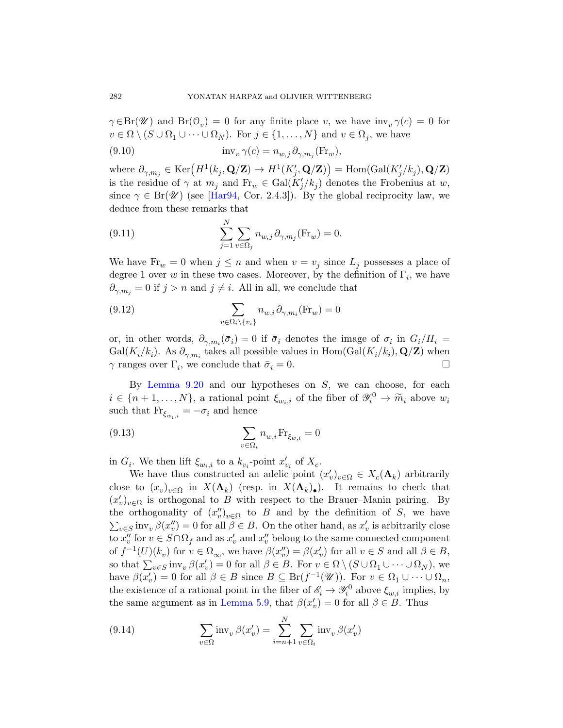$\gamma \in Br(\mathscr{U})$  $\gamma \in Br(\mathscr{U})$  $\gamma \in Br(\mathscr{U})$  and  $Br(\mathcal{O}_v) = 0$  for any finite place v, we have  $inv_v \gamma(c) = 0$  for  $v \in \Omega \setminus (S \cup \Omega_1 \cup \cdots \cup \Omega_N)$ . For  $j \in \{1, ..., N\}$  and  $v \in \Omega_j$ , we have

(9.10) 
$$
\text{inv}_{v} \gamma(c) = n_{w,j} \partial_{\gamma, m_{j}} (\text{Fr}_{w}),
$$

where  $\partial_{\gamma,m_j} \in \text{Ker}\left(H^1(k_j,\mathbf{Q}/\mathbf{Z}) \to H^1(K'_j,\mathbf{Q}/\mathbf{Z})\right) = \text{Hom}(\text{Gal}(K'_j/k_j),\mathbf{Q}/\mathbf{Z})$ is the residue of  $\gamma$  at  $m_j$  and  $\text{Fr}_w \in \text{Gal}(K'_j/k_j)$  denotes the Frobenius at w, since  $\gamma \in Br(\mathscr{U})$  (see [Har94, Cor. 2.4.3]). By the global reciprocity law, we deduce from these remarks that

(9.11) 
$$
\sum_{j=1}^{N} \sum_{v \in \Omega_j} n_{w,j} \partial_{\gamma,m_j}(\text{Fr}_w) = 0.
$$

We have  $\text{Fr}_w = 0$  when  $j \leq n$  and when  $v = v_j$  since  $L_j$  possesses a place of degree 1 over w in these two cases. Moreover, by the definition of  $\Gamma_i$ , we have  $\partial_{\gamma,m_i} = 0$  if  $j > n$  and  $j \neq i$ . All in all, we conclude that

(9.12) 
$$
\sum_{v \in \Omega_i \backslash \{v_i\}} n_{w,i} \partial_{\gamma, m_i}(\text{Fr}_w) = 0
$$

or, in other words,  $\partial_{\gamma,m_i}(\bar{\sigma}_i) = 0$  if  $\bar{\sigma}_i$  denotes the image of  $\sigma_i$  in  $G_i/H_i =$  $Gal(K_i/k_i)$ . As  $\partial_{\gamma,m_i}$  takes all possible values in  $Hom(Gal(K_i/k_i), Q/Z)$  when  $\gamma$  ranges over  $\Gamma_i$ , we conclude that  $\bar{\sigma}_i = 0$ .

By Lemma  $9.20$  and our hypotheses on  $S$ , we can choose, for each  $i \in \{n+1,\ldots,N\}$ , a rational point  $\xi_{w_i,i}$  of the fiber of  $\mathscr{Y}_i^0 \to \widetilde{m}_i$  above  $w_i$ such that  $\text{Fr}_{\xi_{w_i,i}}=-\sigma_i$  and hence

(9.13) 
$$
\sum_{v \in \Omega_i} n_{w,i} \operatorname{Fr}_{\xi_{w,i}} = 0
$$

in  $G_i$ . We then lift  $\xi_{w_i,i}$  to a  $k_{v_i}$ -point  $x'_{v_i}$  of  $X_c$ .

We have thus constructed an adelic point  $(x'_v)_{v \in \Omega} \in X_c(\mathbf{A}_k)$  arbitrarily close to  $(x_v)_{v \in \Omega}$  in  $X(\mathbf{A}_k)$  (resp. in  $X(\mathbf{A}_k)_{\bullet}$ ). It remains to check that  $(x'_v)_{v \in \Omega}$  is orthogonal to B with respect to the Brauer–Manin pairing. By the orthogonality of  $(x''_v)_{v \in \Omega}$  to B and by the definition of S, we have  $\sum_{v \in S} \text{inv}_{v} \beta(x''_{v}) = 0$  $\sum_{v \in S} \text{inv}_{v} \beta(x''_{v}) = 0$  $\sum_{v \in S} \text{inv}_{v} \beta(x''_{v}) = 0$  for all  $\beta \in B$ . On the other hand, as  $x'_{v}$  is arbitrarily close to  $x''_v$  for  $v \in S \cap \Omega_f$  and as  $x'_v$  and  $x''_v$  belong to the same connected component of  $f^{-1}(U)(k_v)$  for  $v \in \Omega_{\infty}$ , we have  $\beta(x''_v) = \beta(x'_v)$  for all  $v \in S$  and all  $\beta \in B$ , so that  $\sum_{v \in S} \text{inv}_v \,\beta(x'_v) = 0$  for all  $\beta \in B$ . For  $v \in \Omega \setminus (S \cup \Omega_1 \cup \cdots \cup \Omega_N)$ , we have  $\beta(x'_v) = 0$  for all  $\beta \in B$  since  $B \subseteq \text{Br}(f^{-1}(\mathscr{U}))$ . For  $v \in \Omega_1 \cup \cdots \cup \Omega_n$ , the existence of a rational point in the fiber of  $\mathscr{E}_i \to \mathscr{Y}_i^0$  above  $\xi_{w,i}$  implies, by the same argument as in Lemma 5.9, that  $\beta(x'_v) = 0$  for all  $\beta \in B$ . Thus

(9.14) 
$$
\sum_{v \in \Omega} \text{inv}_{v} \,\beta(x'_{v}) = \sum_{i=n+1}^{N} \sum_{v \in \Omega_{i}} \text{inv}_{v} \,\beta(x'_{v})
$$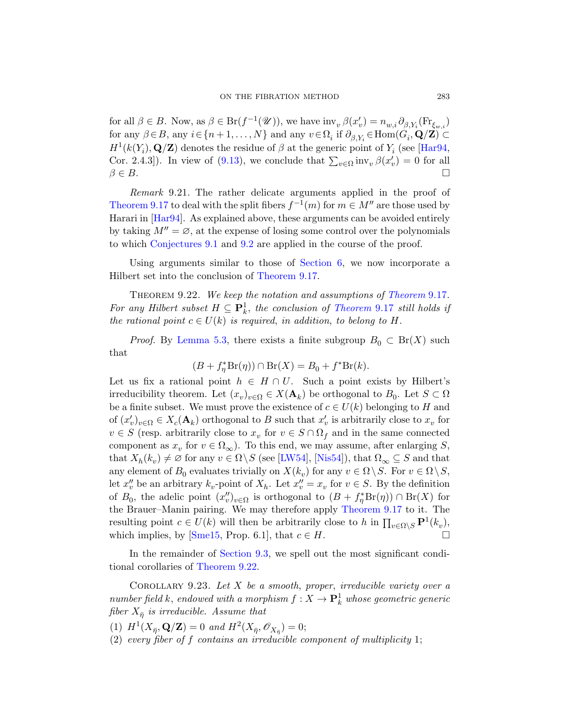for all  $\beta \in B$ . Now, as  $\beta \in \text{Br}(f^{-1}(\mathscr{U}))$ , we have  $\text{inv}_{v} \beta(x'_{v}) = n_{w,i} \partial_{\beta, Y_{i}}(\text{Fr}_{\xi_{w,i}})$ for any  $\beta \in B$ , any  $i \in \{n+1, ..., N\}$  and any  $v \in \Omega_i$  if  $\partial_{\beta, Y_i} \in \text{Hom}(G_i, \mathbf{Q}/\mathbf{Z}) \subset$  $H^1(k(Y_i), \mathbf{Q}/\mathbf{Z})$  denotes the residue of  $\beta$  at the generic point of  $Y_i$  (see [Har94, [Co](#page-38-0)r. 2[.4.3\]](#page-38-1)). In view of (9.13), we conclude that  $\sum_{v \in \Omega} \text{inv}_v \beta(x'_v) = 0$  for all  $\beta \in B$ .

<span id="page-54-1"></span>Remark 9.21. [The](#page-49-0) [rather](#page-24-0) delicate arguments applied in the proof of Theorem 9.17 to deal with the split fibers  $f^{-1}(m)$  for  $m \in M''$  are those used by Harari in [Har94]. As explained above, t[hese arguments](#page-49-0) can be avoided entirely by taking  $M'' = \emptyset$ , at the e[xpense of losing](#page-49-0) some control over the polynomials to which Conjectures 9.1 and 9.2 are applied in the course of the proof.

Using arguments similar to those of Section 6, we now incorporate a Hilbert set into the conclusion of Theorem 9.17.

THEOREM 9.22. We keep the notation and assumptions of Theorem 9.17. For any Hilbert subset  $H \subseteq \mathbf{P}^1_k$ , the conclusion of Theorem 9.17 still holds if the rational point  $c \in U(k)$  is required, in addition, to belong to H.

*Proof.* By Lemma 5.3, there exists a finite subgroup  $B_0 \subset Br(X)$  such that

$$
(B + f_{\eta}^* \operatorname{Br}(\eta)) \cap \operatorname{Br}(X) = B_0 + f^* \operatorname{Br}(k).
$$

Let us fix a ra[tional](#page-63-4) p[oint](#page-64-7)  $h \in H \cap U$ . Such a point exists by Hilbert's irreducibility theorem. Let  $(x_v)_{v \in \Omega} \in X(\mathbf{A}_k)$  be orthogonal to  $B_0$ . Let  $S \subset \Omega$ be a finite subset. We must prove the existence of  $c \in U(k)$  belonging to H and of  $(x'_v)_{v \in \Omega} \in X_c(\mathbf{A}_k)$  orthogonal to B such that  $x'_v$  is arbitrarily close to  $x_v$  for  $v \in S$  (resp. arbitrarily close to  $x_v$  [for](#page-49-0)  $v \in S \cap \Omega_f$  and in the same connected component as  $x_v$  for  $v \in \Omega_{\infty}$ ). To this end, we may assume, after enlarging S, [tha](#page-65-5)t  $X_h(k_v) \neq \emptyset$  for any  $v \in \Omega \backslash S$  (see [LW54], [Nis54]), that  $\Omega_{\infty} \subseteq S$  and that a[ny element o](#page-48-0)f  $B_0$  evaluates trivially on  $X(k_v)$  for any  $v \in \Omega \setminus S$ . For  $v \in \Omega \setminus S$ , let  $x''_v$  [be an](#page-54-1) arbitrary  $k_v$ -point of  $X_h$ . Let  $x''_v = x_v$  for  $v \in S$ . By the definition of  $B_0$ , the adelic point  $(x''_v)_{v \in \Omega}$  is orthogonal to  $(B + f^*_{\eta} Br(\eta)) \cap Br(X)$  for the Brauer–Manin pairing. We may therefore apply Theorem 9.17 to it. The resulting point  $c \in U(k)$  will then be arbitrarily close to h in  $\prod_{v \in \Omega \setminus S} \mathbf{P}^1(k_v)$ , which implies, by [Sme15, Prop. 6.1], that  $c \in H$ .

<span id="page-54-0"></span>In the remainder of Section 9.3, we spell out the most significant conditional corollaries of Theorem 9.22.

COROLLARY 9.23. Let  $X$  be a smooth, proper, irreducible variety over a number field k, endowed with a morphism  $f: X \to \mathbf{P}^1_k$  whose geometric generic fiber  $X_{\bar{\eta}}$  is irreducible. Assume that

(1)  $H^1(X_{\bar{\eta}}, \mathbf{Q}/\mathbf{Z}) = 0$  and  $H^2(X_{\bar{\eta}}, \mathscr{O}_{X_{\bar{\eta}}}) = 0;$ 

(2) every fiber of f contains an irreducible component of multiplicity 1;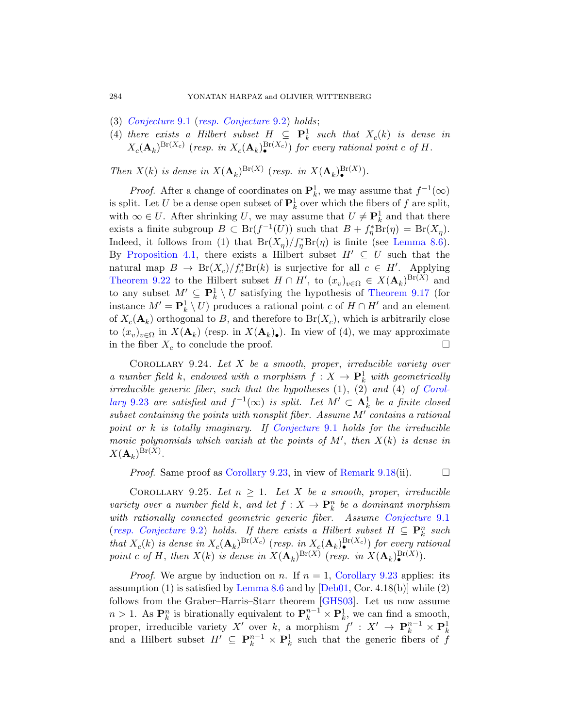- (3) Conjecture 9.1 (resp. Conjecture 9.2) holds;
- (4) there exists a Hilbert subset  $H \subseteq \mathbf{P}_k^1$  such that  $X_c(k)$  is dense in  $X_c(\mathbf{A}_k)^{\text{Br}(X_c)}$  (resp. in  $X_c(\mathbf{A}_k)^{\text{Br}(X_c)}$ ) for every rational point c of H.

Then  $X(k)$  is dense in  $X(\mathbf{A}_k)^{\text{Br}(X)}$  $X(\mathbf{A}_k)^{\text{Br}(X)}$  $X(\mathbf{A}_k)^{\text{Br}(X)}$  (resp. in  $X(\mathbf{A}_k)^{\text{Br}(X)}$ ).

*Proof.* After a change of coordinates on  $\mathbf{P}_k^1$ , we may assume that  $f^{-1}(\infty)$ is split. Let U be a dense open subset of  $\mathbf{P}^1_k$  over which the fibers of f are split, with  $\infty \in U$ . After shrinking U, we [may assume t](#page-49-0)hat  $U \neq \mathbf{P}_k^1$  and that there exists a finite subgroup  $B \subset \text{Br}(f^{-1}(U))$  such that  $B + f_{\eta}^* \text{Br}(\eta) = \text{Br}(X_{\eta}).$ Indeed, it follows from (1) that  $Br(X_{\eta})/f_{\eta}^{*}Br(\eta)$  is finite (see Lemma 8.6). By Proposition 4.1, there exists a Hilbert subset  $H' \subseteq U$  such that the natural map  $B \to Br(X_c)/f_c^*Br(k)$  is surjective for all  $c \in H'$ . Applying Theorem 9.22 to the Hilbert subset  $H \cap H'$ , to  $(x_v)_{v \in \Omega} \in X(\mathbf{A}_k)^{Br(X)}$  and to any subset  $M' \subseteq \mathbf{P}_k^1 \setminus U$  satisfying the hypothesis of Theorem 9.17 (for instance  $M' = \mathbf{P}_{k}^{1} \setminus U$  produces a rational point c [of](#page-54-0)  $H \cap H'$  and an element of  $X_c(\mathbf{A}_k)$  orthogonal to B, and therefore to  $Br(X_c)$ , which is arbitrarily close to  $(x_v)_{v\in\Omega}$  in  $X(\mathbf{A}_k)$  (resp. in  $X(\mathbf{A}_k)$ ). In view of (4), we may approximate in the fiber  $X_c$  [to conclude th](#page-38-0)e proof.

<span id="page-55-1"></span><span id="page-55-0"></span>COROLLARY  $9.24$ . Let  $X$  be a smooth, proper, irreducible variety over a number field k, endowed with a morphism  $f: X \to \mathbf{P}_k^1$  with geometrically irr[educible generic](#page-54-0) fiber, suc[h that the hyp](#page-49-2)otheses (1), (2) and (4) of Corollary 9.23 are satisfied and  $f^{-1}(\infty)$  is split. Let  $M' \subset \mathbf{A}^1_k$  be a finite closed subset containing the points with nonsplit fiber. Assume  $M'$  contains a rational point or  $k$  is totally imaginary. If Conjecture 9.1 holds for the irreducible monic polynomials which vanish at th[e points of](#page-38-0)  $M'$ , then  $X(k)$  is dense in  $X({\mathbf A}_k)^{\mathrm{Br}(X)}.$ 

*Proof.* Same proof as Corollary 9.23, in view of Remark 9.18(ii).  $\square$ 

COROLLARY 9.25. [Let](#page-54-0)  $n \geq 1$ . Let X be a smooth, proper, irreducible variet[y over a nu](#page-33-1)mber fi[eld](#page-61-9) k, and let  $f: X \to \mathbf{P}_k^n$  be a dominant morphism with rationally connecte[d geome](#page-61-10)tric generic fiber. Assume Conjecture 9.1 (resp. Conjecture 9.2) holds. If there exists a Hilbert subset  $H \subseteq \mathbf{P}_k^n$  such that  $X_c(k)$  is dense in  $X_c(\mathbf{A}_k)^{Br(X_c)}$  (resp. in  $X_c(\mathbf{A}_k)^{Br(X_c)}$ ) for every rational point c of H, then  $X(k)$  is dense in  $X(\mathbf{A}_k)^{Br(X)}$  (resp. in  $X(\mathbf{A}_k)^{Br(X)}$ ).

*Proof.* We argue by induction on n. If  $n = 1$ , Corollary 9.23 applies: its assumption (1) is satisfied by Lemma 8.6 and by  $[Deb01, Cor. 4.18(b)]$  while (2) follows from the Graber–Harris–Starr theorem [GHS03]. Let us now assume  $n > 1$ . As  $\mathbf{P}_k^n$  is birationally equivalent to  $\mathbf{P}_k^{n-1} \times \mathbf{P}_k^1$ , we can find a smooth, proper, irreducible variety X' over k, a morphism  $f' : X' \to \mathbf{P}_k^{n-1} \times \mathbf{P}_k^1$ and a Hilbert subset  $H' \subseteq \mathbf{P}_k^{n-1} \times \mathbf{P}_k^1$  such that the generic fibers of f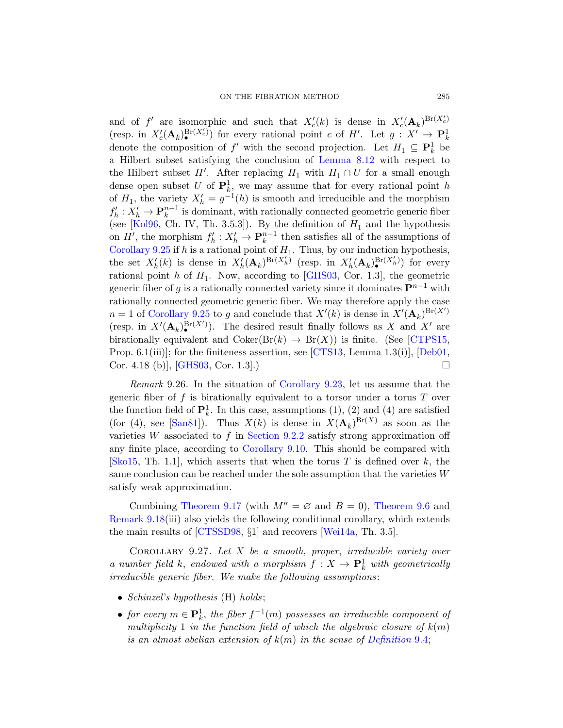and of f' are isomorphic and such that  $X_c'(k)$  is dense in  $X_c'(\mathbf{A}_k)^{Br(X_c')}$ (resp. in  $X_c'(\mathbf{A}_k)^{Br(X_c)}$ ) for every rational point c of H'. Let  $g: X' \to \mathbf{P}_k^1$ denote the composition of  $f'$  with the second projection. Let  $H_1 \subseteq \mathbf{P}_k^1$  be a Hilbert subset satisfying the conclusion of Lemma 8.12 with respect to the Hilbert subset H'. After replacing  $H_1$  with  $H_1 \cap U$  for a small enough dense open subset U of  $\mathbf{P}_k^1$ , we may assume that for every rational point h of  $H_1$ , the variety  $X'_h = g^{-1}(h)$  is smooth and irreducible and the morphism  $f'_h: X'_h \to \mathbf{P}_k^{n-1}$  is dominant, with rationally connected geometric generic fiber (see [Kol96, Ch. IV, Th. 3.5.3]). By the definition of  $H_1$  and the hypothesis [o](#page-55-0)n  $H'$ , the morphism  $f'_h: X'_h \to \mathbf{P}_k^{n-1}$  then satisfies all of the assumptions of Corollary 9.25 if h is a rational point of  $H_1$ . Thus, by our induction hypothesis, the set  $X'_{h}(k)$  is dense in  $X'_{h}(\mathbf{A}_{k})^{\text{Br}(X'_{h})}$  (r[esp. in](#page-60-7)  $X'_{h}(\mathbf{A}_{k})^{\text{Br}(X'_{h})}$ ) for every rational point h of  $H_1$ [. Now,](#page-60-8) according to [G[HS03, C](#page-61-9)or. 1.3], the geometric generic fiber of g is a rationally connected variety since it dominates  $\mathbf{P}^{n-1}$  with rationally conn[ected geometric](#page-54-0) generic fiber. We may therefore apply the case  $n = 1$  of Corollary 9.25 to g and conclude that  $X'(k)$  is dense in  $X'(\mathbf{A}_k)^{Br(X')}$ (resp. in  $X'(\mathbf{A}_k)^{\mathrm{Br}(X')}$ ). The desired result finally follows as X and X' are birationally equivalent and  $Coker(Br(k) \rightarrow Br(X))$  is finite. (See [CTPS15, Prop. 6.[1\(iii\)\]; for the](#page-42-1) finiteness assertion, see [CTS13, Lemma 1.3(i)], [Deb01, Cor. 4.18 (b), [GHS03, Cor. 1.3].)

Remark 9.26. In the situation of Corollary 9.23, let us assume that the generic fiber of f is birationally equivalent to a torsor under a torus  $T$  over the function field of  $\mathbf{P}_k^1$ . In this case, assumptions (1), (2) and (4) are satisfied [\(for \(4\)](#page-49-0), see [San81]). Thus  $X(k)$  [is dense in](#page-39-2)  $X(\mathbf{A}_k)^{Br(X)}$  as soon as the varieties W associated to f in Section 9.2.2 satisfy strong approximation off [any fini](#page-60-1)te place, accordin[g to](#page-66-1) Corollary 9.10. This should be compared with [Sko15, Th. 1.1], which asserts that when the torus T is defined over k, the same conclusion can be reached under the sole assumption that the varieties  $W$ satisfy weak approximation.

Combining Theorem 9.17 (with  $M'' = \emptyset$  and  $B = 0$ ), Theorem 9.6 and Remark 9.18(iii) also yields the following conditional corollary, which extends the main results of [CTSSD98, §1] and recovers [Wei14a, Th. 3.5].

COROLLARY 9.27. Let  $X$  be a smooth, proper, irreducible variety over a number field k, endowed with a [morphism](#page-39-3)  $f: X \to \mathbf{P}_k^1$  with geometrically irreducible generic fiber. We make the following assumptions:

- Schinzel's hypothesis (H) holds;
- for every  $m \in \mathbf{P}^1_k$ , the fiber  $f^{-1}(m)$  possesses an irreducible component of multiplicity 1 in the function field of which the algebraic closure of  $k(m)$ is an almost abelian extension of  $k(m)$  in the sense of Definition 9.4;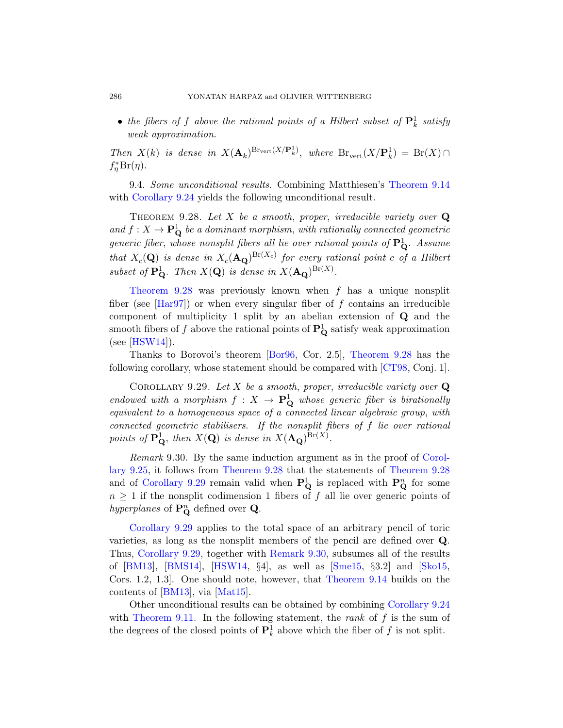<span id="page-57-0"></span>• the fibers of f above the rational points of a Hilbert subset of  $\mathbf{P}^1_k$  satisfy weak approximation.

<span id="page-57-1"></span>Then  $X(k)$  is dense in  $X(\mathbf{A}_k)^{\text{Brvert}}(X/\mathbf{P}_k^1)$ , where  $\text{Br}_{\text{vert}}(X/\mathbf{P}_k^1) = \text{Br}(X) \cap$  $f_{\eta}^* \text{Br}(\eta)$ .

9.4. Some unconditional results. Combining Matthiesen's Theorem 9.14 with Corollary 9.24 yields the following unconditional result.

THEOREM 9.28. Let X be a smooth, proper, irreducible variety over  $Q$ and  $f: X \to \mathbf{P}_{\mathbf{Q}}^1$  be a dominant morphism, with rationally connected geometric generic fiber, whose nonsplit fibers all lie over rational points of  $\mathbf{P}_{\mathbf{Q}}^{1}$ . Assume that  $X_c(\mathbf{Q})$  is dense in  $X_c(\mathbf{A_Q})^{\text{Br}(X_c)}$  for every rational point c of a Hilbert subset of  $\mathbf{P}_{\mathbf{Q}}^1$ . [Then](#page-59-4)  $X(\mathbf{Q})$  is d[ense in](#page-57-1)  $X(\mathbf{A}_{\mathbf{Q}})^{Br(X)}$ .

Theorem 9.28 was previously k[nown w](#page-59-9)hen  $f$  has a unique nonsplit fiber (see  $\text{[Har97]}$ ) or when every singular fiber of f contains an irreducible component of multiplicity 1 split by an abelian extension of Q and the smooth fibers of f above the rational points of  $\mathbf{P}_{\mathbf{Q}}^1$  satisfy weak approximation  $(see [HSW14]).$ 

<span id="page-57-2"></span>Thanks to Borovoi's theorem [Bor96, Cor. 2.5], Theorem 9.28 has the following corollary, whose statement should be compared with [CT98, Conj. 1].

COROLLARY 9.29. Let X be a smooth, [proper](#page-57-1), [irre](#page-55-0)ducible variety over  $Q$ endowed with a morphism  $f: X \to \mathbf{P}_{\mathbf{Q}}^1$  whose generic fiber is birationally equivalent to a homogeneous space of a connected linear algebraic group, with connected geometric stabilisers. If the nonsplit fibers of f lie over rational points of  $\mathbf{P}_{\mathbf{Q}}^{1}$ , then  $X(\mathbf{Q})$  is dense in  $X(\mathbf{A}_{\mathbf{Q}})^{\mathrm{Br}(X)}$ .

Remark 9.30. By the same induction argument as in the proof of Corollary 9.25, itf[ollows from](#page-57-2) Theorem 9.28 that the statements of Theorem 9.28 [and of](#page-62-2) Corollary 9.29 rem[ain valid](#page-65-5) when  $\mathbf{P}_{\mathbf{Q}}^{1}$  i[s repla](#page-65-10)ced with  $\mathbf{P}_{\mathbf{Q}}^{n}$  for some  $n \geq 1$  if the nonsplit cod[imension 1 fibe](#page-46-0)rs of f all lie over generic points of h[yperpla](#page-64-2)nes of  $\mathbf{P}_{\mathbf{Q}}^{n}$  defined over **Q**.

Corollary 9.29 applies to the total [space of an ar](#page-55-1)bitrary pencil of toric varieties, as long as the nonsplit members of the pencil are defined over Q. Thus, Corollary 9.29, together with Remark 9.30, subsumes all of the results of [BM13], [BMS14], [HSW14, §4], as well as [Sme15, §3.2] and [Sko15, Cors. 1.2, 1.3]. One should note, however, that Theorem 9.14 builds on the contents of [BM13], via [Mat15].

Other unconditional results can be obtained by combining Corollary 9.24 with Theorem 9.11. In the following statement, the rank of  $f$  is the sum of the degrees of the closed points of  $\mathbf{P}_k^1$  above which the fiber of f is not split.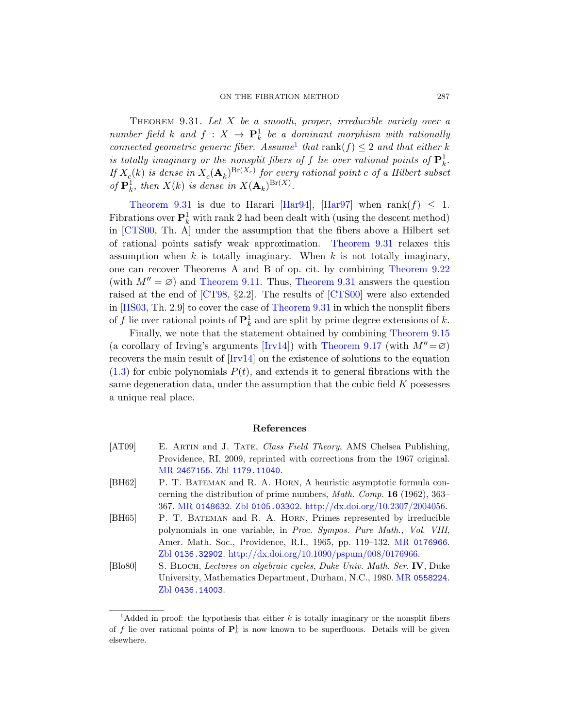<span id="page-58-3"></span>THEOREM  $9.31.$  Let X [be](#page-62-3) a smooth, proper, irreducible variety over a number field k and  $f: X \to \mathbf{P}_k^1$  be a dominant morphism with rationally connected geometric generic fiber. Assume<sup>1</sup> that rank(f)  $\leq 2$  and that either k is totally imaginary or the [nonsplit fibers](#page-58-3) of f lie over rational points of  $\mathbf{P}^1_k$ . If  $X_c(k)$  is dense in  $X_c(\mathbf{A}_k)^{\text{Br}(X_c)}$  for every rational point c of a Hilbert subset of  $\mathbf{P}_k^1$ , then  $X(k)$  is dense in  $X(\mathbf{A}_k)^{\text{Br}(X)}$ [.](#page-54-1)

[Theore](#page-44-0)m 9.31 [is due to Ha](#page-58-3)rari [Har94], [Har97] when rank $(f) \leq 1$ . [Fibr](#page-59-9)ations over  $\mathbf{P}^1_k$  with ra[nk 2 had](#page-60-5) been dealt with (using the descent method) in [CTS00, T[h. A\] under th](#page-58-3)e assumption that the fibers above a Hilbert set of rational points satisfy weak approximation. Theorem 9.31 relaxes this assumption when  $k$  is totally imaginar[y. When](#page-47-0)  $k$  is not totally imaginary, one can rec[over T](#page-62-5)heore[ms A and B of](#page-49-0) op. cit. by combining Theorem 9.22 (with  $M'' = \emptyset$  $M'' = \emptyset$ ) and Theorem 9.11. Thus, Theorem 9.31 answers the question raised at the end of [CT98, §2.2]. The results of [CTS00] were also extended in [HS03, Th. 2.9] to cover the case of Theorem 9.31 in which the nonsplit fibers of f lie over rational points of  $\mathbf{P}_k^1$  and are split by prime degree extensions of k.

<span id="page-58-2"></span>Finally, we note that the statement obtained by combining Theorem 9.15 (a corollary of Irving's arguments [Irv14]) with Theorem 9.17 (with  $M'' = \varnothing$ ) recovers the main result of [Irv14] on the existence of solutions to the equation  $(1.3)$  for cubic polynomials  $P(t)$ , and extends it to general fibrations with the [s](http://www.ams.org/mathscinet-getitem?mr=2467155)[ame degeneratio](http://www.zentralblatt-math.org/zmath/en/search/?q=an:1179.11040)n data, under the assumption that the cubic field  $K$  possesses a unique real place.

# [References](http://dx.doi.org/10.2307/2004056)

<span id="page-58-1"></span>

|        | MR 2467155, Zbl 1179, 11040.                                             |
|--------|--------------------------------------------------------------------------|
|        | Providence, RI, 2009, reprinted with corrections from the 1967 original. |
| [AT09] | E. ARTIN and J. TATE, Class Field Theory, AMS Chelsea Publishing,        |

- <span id="page-58-0"></span>[\[BH](http://www.zentralblatt-math.org/zmath/en/search/?q=an:0136.32902)62] P. T. BATEMAN and R. A. HORN, A heuristic asymptotic formula concerning the distribution of prime [numbers,](http://www.ams.org/mathscinet-getitem?mr=0558224) Math. Comp. 16 (1962), 363– 367. MR 0148632. Zbl 0105.03302. http://dx.doi.org/10.2307/2004056.
- [BH65] P. T. BATEMAN and R. A. HORN, Primes represented by irreducible polynomials in one variable, in Proc. Sympos. Pure Math., Vol. VIII, Amer. Math. Soc., Providence, R.I., 1965, pp. 119–132. MR 0176966. Zbl 0136.32902. http://dx.doi.org/10.1090/pspum/008/0176966.
- [Blo80] S. Bloch, Lectures on algebraic cycles, Duke Univ. Math. Ser. IV, Duke University, Mathematics Department, Durham, N.C., 1980. MR 0558224. Zbl 0436.14003.

<sup>&</sup>lt;sup>1</sup>Added in proof: the hypothesis that either k is totally imaginary or the nonsplit fibers of f lie over rational points of  $\mathbf{P}_k^1$  is now known to be superfluous. Details will be given elsewhere.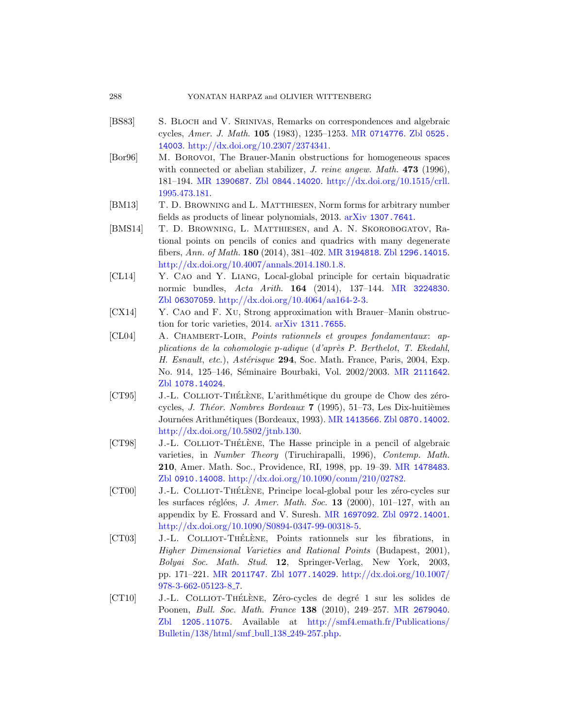#### <span id="page-59-8"></span><span id="page-59-4"></span>[288](http://www.ams.org/mathscinet-getitem?mr=1390687) [YONATA](http://www.zentralblatt-math.org/zmath/en/search/?q=an:0844.14020)[N HARPAZ and OLIVIER WITTENB](http://dx.doi.org/10.1515/crll.1995.473.181)ERG

- <span id="page-59-1"></span>[BS83] S. Bloch and V. Srinivas, Remarks on correspondences and algebraic cycles, Amer. J. Math. 105 [\(1983\), 12](http://www.arxiv.org/abs/1307.7641)35–1253. MR 0714776. Zbl 0525. 14003. http://dx.doi.org/10.2307/2374341.
- [Bor96] M. Borovoi, The Brauer-Manin obstructions for homogeneous spaces with connected [or abelian sta](http://www.ams.org/mathscinet-getitem?mr=3194818)bilizer, *J. [reine a](http://www.zentralblatt-math.org/zmath/en/search/?q=an:1296.14015)ngew. Math.* 473 (1996), [181–194.](http://dx.doi.org/10.4007/annals.2014.180.1.8) MR 1390687. Zbl 0844.14020. http://dx.doi.org/10.1515/crll. 1995.473.181.
- <span id="page-59-5"></span>[BM13] T. D. Browning and L. Matthiesen[, Norm fo](http://www.ams.org/mathscinet-getitem?mr=3224830)rms for arbitrary number [fields as products of linear](http://dx.doi.org/10.4064/aa164-2-3) polynomials, 2013. arXiv 1307.7641.
- <span id="page-59-7"></span><span id="page-59-3"></span>[\[B](http://www.zentralblatt-math.org/zmath/en/search/?q=an:06307059)MS14] T. D. Browning, L. Matthiesen, and A. N. Skorobogatov, Ratio[nal points on penc](http://www.arxiv.org/abs/1311.7655)ils of conics and quadrics with many degenerate fibers, Ann. of Math. 180 (2014), 381–402. MR 3194818. Zbl 1296.14015. http://dx.doi.org/10.4007/annals.2014.180.1.8.
- [CL14] Y. Cao and Y. Liang, Local-global principle for certain biquadratic normic bundles, Acta Arith. 164 [\(2014\),](http://www.ams.org/mathscinet-getitem?mr=2111642) 137–144. MR 3224830. Zbl 06307059. http://dx.doi.org/10.4064/aa164-2-3.
- [CX14] Y. Cao and F. Xu, Strong approximation with Brauer–Manin obstruction for toric varieties, 2014. arXiv 1311.7655.
- <span id="page-59-9"></span>[CL04] A. Chambert-Loir, [Points](http://www.ams.org/mathscinet-getitem?mr=1413566) [rationnels et gro](http://www.zentralblatt-math.org/zmath/en/search/?q=an:0870.14002)upes fondamentaux: ap[plications](http://dx.doi.org/10.5802/jtnb.130) de la cohomologie p-adique  $(d'apr\`es P. Berthelot, T. Ekedahl,$ H. Esnault, etc.), Astérisque 294, Soc. Math. France, Paris, 2004, Exp. No. 914, 125-146, Séminaire Bourbaki, Vol. 2002/2003. MR 2111642. Zbl 1078.14024.
- <span id="page-59-2"></span>[\[CT](http://www.zentralblatt-math.org/zmath/en/search/?q=an:0910.14008)95] J.-L. COLLIOT-THÉLÈNE, L'arithmétique du groupe de Chow des zérocycles, *J. Théor. Nombres Bordeaux* **7** (1995), 51–73, Les Dix-huitièmes Journées Arithmétiques (Bordeaux, 1993). MR 1413566. Zbl 0870.14002. http://dx.doi.o[rg/10.5802/jtn](http://www.ams.org/mathscinet-getitem?mr=1697092)[b.130.](http://www.zentralblatt-math.org/zmath/en/search/?q=an:0972.14001)
- <span id="page-59-0"></span>[CT98] J.-L. COLLIOT-THÉLÈNE, The Hasse principle in a pencil of algebraic varieties, in Number Theory (Tiruchirapalli, 1996), Contemp. Math. 210, Amer. Math. Soc., Providence, RI, 1998, pp. 19–39. MR 1478483. Zbl 0910.14008. http://dx.doi.org/10.1090/conm/210/02782.
- <span id="page-59-6"></span>[\[CT00\]](http://www.ams.org/mathscinet-getitem?mr=2011747) J.-L. COLLIOT-THÉLÈNE[, Principe local-global](http://dx.doi.org/10.1007/978-3-662-05123-8_7) pour les zéro-cycles sur les surfaces réglées, *J. Amer. Math. Soc.* **13** (2000), 101–127, with an appendix by E. Frossard and V. Suresh. MR 1697092. Zbl 0972.14001. http://dx.doi.org/10.1090/S0894[-0347-99-00318](http://www.ams.org/mathscinet-getitem?mr=2679040)-5.
- [\[CT03](http://www.zentralblatt-math.org/zmath/en/search/?q=an:1205.11075)] J.-L. COLLIOT-THÉLÈNE[, Points rationnels](http://smf4.emath.fr/Publications/Bulletin/138/html/smf_bull_138_249-257.php) sur les fibrations, in [Higher Dimensional](http://smf4.emath.fr/Publications/Bulletin/138/html/smf_bull_138_249-257.php) Varieties and Rational Points (Budapest, 2001), Bolyai Soc. Math. Stud. 12, Springer-Verlag, New York, 2003, pp. 171–221. MR 2011747. Zbl 1077.14029. http://dx.doi.org/10.1007/ 978-3-662-05123-8 7.
- [CT10] J.-L. COLLIOT-THÉLÈNE, Zéro-cycles de degré 1 sur les solides de Poonen, Bull. Soc. Math. France 138 (2010), 249–257. MR 2679040. Zbl 1205.11075. Available at http://smf4.emath.fr/Publications/ Bulletin/138/html/smf bull 138 249-257.php.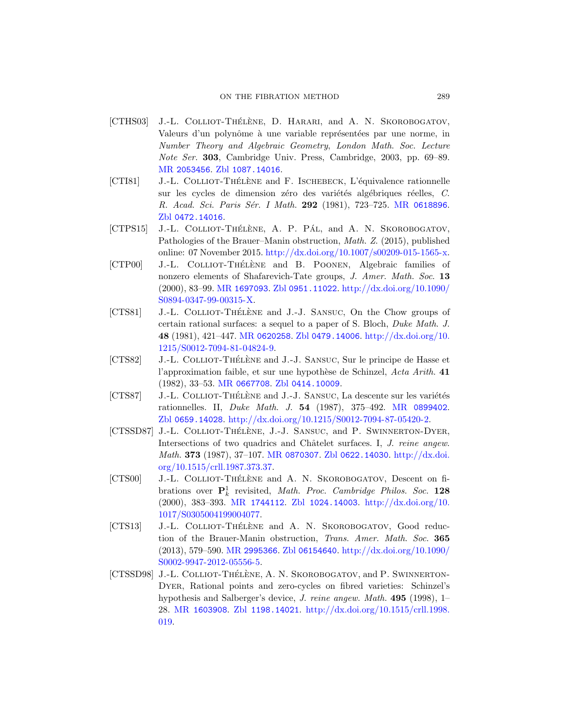#### ON THE FIBRATION METHOD 289

- <span id="page-60-7"></span><span id="page-60-6"></span><span id="page-60-2"></span>[CTHS03] J.-L. COLLIOT-THÉLÈNE, D. HARARI[, and](http://www.ams.org/mathscinet-getitem?mr=0618896) A. N. SKOROBOGATOV, Valeurs d'un polynôme à une variable représentées par une norme, in Number Theory and Algebraic Geometry, London Math. Soc. Lecture Note Ser. 303, Cambridge Univ. Press, Cambridge, 2003, pp. 69–89. MR 2053456. Zbl 1087.14016.
- [CTI81] J.-L. COLLIOT-THÉLÈNE and F. ISCHEBECK, L'équivalence rationnelle sur les cycles de dimension zéro des variétés algébriques réelles, C. [R](http://www.ams.org/mathscinet-getitem?mr=1697093). [Acad](http://www.zentralblatt-math.org/zmath/en/search/?q=an:0951.11022). Sci. Paris Sér. [I Math](http://dx.doi.org/10.1090/S0894-0347-99-00315-X). 292 (1981), 723-725. MR 0618896. Zbl 0472.14016.
- [\[CTPS15\]](http://dx.doi.org/10.1090/S0894-0347-99-00315-X) J.-L. COLLIOT-THÉLÈNE, A. P. PÁL, and A. N. SKOROBOGATOV, Pathologies of the Brauer–Manin obstruction, Math. Z. (2015), published [online: 0](http://www.ams.org/mathscinet-getitem?mr=0620258)[7 November 2015](http://www.zentralblatt-math.org/zmath/en/search/?q=an:0479.14006). [http://dx.doi.org/10.](http://dx.doi.org/10.1215/S0012-7094-81-04824-9)1007/s00209-015-1565-x.
- <span id="page-60-3"></span>[\[CTP00\]](http://dx.doi.org/10.1215/S0012-7094-81-04824-9) J.-L. COLLIOT-THÉLÈNE and B. POONEN, Algebraic families of nonzero elements of Shafarevich-Tate groups, J. Amer. Math. Soc. 13 (2000), 83–99. MR 1697093. Zbl 0951.11022. http://dx.doi.org/10.1090/ [S08](http://www.ams.org/mathscinet-getitem?mr=0667708)[94-0347-99-00315](http://www.zentralblatt-math.org/zmath/en/search/?q=an:0414.10009)-X.
- <span id="page-60-0"></span>[CTS81] J.-L. COLLIOT-THÉLÈNE and J.-J. SANSUC, On the Chow groups of certain rational surfaces: a sequ[el to a paper of](http://www.ams.org/mathscinet-getitem?mr=0899402) S. Bloch, Duke Math. J. 48 [\(1981\), 421–447.](http://dx.doi.org/10.1215/S0012-7094-87-05420-2) MR 0620258. Zbl 0479.14006. http://dx.doi.org/10. 1215/S0012-7094-81-04824-9.
- <span id="page-60-4"></span>[CTS82] J.-L. COLLIOT-THÉLÈNE and J.-J. SANSUC, Sur le principe de Hasse et l'[approximation](http://www.ams.org/mathscinet-getitem?mr=0870307) [faible, et sur un](http://www.zentralblatt-math.org/zmath/en/search/?q=an:0622.14030)e hypothèse de Schinzel, Acta Arith. 41 [\(198](http://dx.doi.org/10.1515/crll.1987.373.37)2), 33–53. MR 0667708. Zbl 0414.10009.
- <span id="page-60-5"></span>[CTS87] J.-L. COLLIOT-THÉLÈNE and J.-J. SANSUC, La descente sur les variétés rationnelles. II, Duke Math. J. 54 (1987), 375–492. MR 0899402. Zbl 0659.14028. http://d[x.doi.org/10.1215/S00](http://dx.doi.org/10.1017/S0305004199004077)12-7094-87-05420-2.
- <span id="page-60-8"></span>[\[CTSSD87\]](http://dx.doi.org/10.1017/S0305004199004077) [J.-L.](http://www.ams.org/mathscinet-getitem?mr=1744112) COLLIOT-THÉLÈNE, J.-J. SANSUC, and P. SWINNERTON-DYER, Intersections of two quadrics and Châtelet surfaces. I, J. reine angew. Math. 373 (1987), 37–107. MR 0870307. Zbl 0622.14030. http://dx.doi. [org/1](http://www.ams.org/mathscinet-getitem?mr=2995366)[0.1515/crll.198](http://www.zentralblatt-math.org/zmath/en/search/?q=an:06154640)[7.373.37.](http://dx.doi.org/10.1090/S0002-9947-2012-05556-5)
- <span id="page-60-1"></span>[\[CTS00\]](http://dx.doi.org/10.1090/S0002-9947-2012-05556-5) J.-L. COLLIOT-THÉLÈNE and A. N. SKOROBOGATOV, Descent on fibrations over  $\mathbf{P}_k^1$  revisited, *Math. Proc. Cambridge Philos. Soc.* 128 (2000), 383–393. MR 1744112. Zbl 1024.14003. http://dx.doi.org/10. 1017/S0305004199004077.
- [\[CTS](http://www.ams.org/mathscinet-getitem?mr=1603908)13] J.-L. COLLIOT-THÉLÈNE and A. N. SKOROBOGATOV, Good reduction of the Brauer-Manin obstruction, Trans. Amer. Math. Soc. 365 (2013), 579–590. MR 2995366. Zbl 06154640. http://dx.doi.org/10.1090/ S0002-9947-2012-05556-5.
- [CTSSD98] J.-L. COLLIOT-THÉLÈNE, A. N. SKOROBOGATOV, and P. SWINNERTON-Dyer, Rational points and zero-cycles on fibred varieties: Schinzel's hypothesis and Salberger's device, J. reine angew. Math. 495 (1998), 1– 28. MR 1603908. Zbl 1198.14021. http://dx.doi.org/10.1515/crll.1998. 019.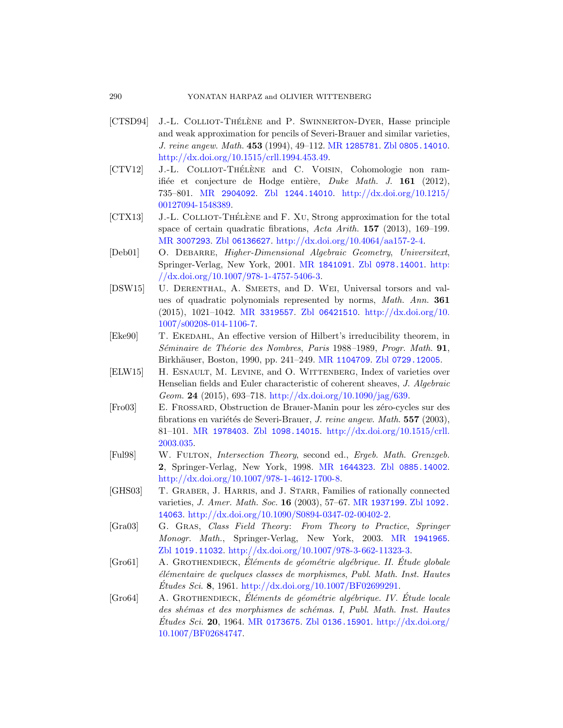#### <span id="page-61-4"></span><span id="page-61-0"></span>290 YONATAN HARPAZ and OLIVIER WITTENBERG

- <span id="page-61-6"></span>[\[CTS](http://dx.doi.org/10.1215/00127094-1548389)[D94\]](http://www.ams.org/mathscinet-getitem?mr=2904092) J.-L. COLLIOT-THÉLÈNE and P. SWINNERTON-DYER, Hasse principle and weak approximation for pencils of Severi-Brauer and similar varieties, J. reine angew. Math. 453 (1994), 49–112. MR 1285781. Zbl 0805.14010. [htt](http://www.zentralblatt-math.org/zmath/en/search/?q=an:06136627)[p://dx.doi.org/10.1515/crll.1994.453.4](http://dx.doi.org/10.4064/aa157-2-4)9.
- <span id="page-61-9"></span>[\[](http://www.ams.org/mathscinet-getitem?mr=3007293)CTV12] J.-L. COLLIOT-THÉLÈNE and C. VOISIN, Cohomologie non ramifiée et [conjecture de](http://www.ams.org/mathscinet-getitem?mr=1841091) Hodge entière, [Duke](http://dx.doi.org/10.1007/978-1-4757-5406-3) Math. J. 161 (2012), [735–801.](http://dx.doi.org/10.1007/978-1-4757-5406-3) MR 2904092. Zbl 1244.14010. http://dx.doi.org/10.1215/ 00127094-1548389.
- $[CTX13]$  J.-L. COLLIOT-THÉLÈNE and F. XU, Strong approximation for the total [space of](http://www.ams.org/mathscinet-getitem?mr=3319557)c[ertain quadrat](http://www.zentralblatt-math.org/zmath/en/search/?q=an:06421510)i[c fibrations,](http://dx.doi.org/10.1007/s00208-014-1106-7) Acta Arith. 157 (2013), 169–199. MR 3007293. Zbl 06136627. http://dx.doi.org/10.4064/aa157-2-4.
- <span id="page-61-8"></span>[\[Deb01\]](http://dx.doi.org/10.1007/s00208-014-1106-7) O. DEBARRE, Higher-Dimensional Algebraic Geometry, Universitext, Springer-Verlag, New York, 2001. MR 1841091. Zbl 0978.14001. http:  $//dx.doi.org/10.1007/978-1-4757-5406-3.$  $//dx.doi.org/10.1007/978-1-4757-5406-3.$  $//dx.doi.org/10.1007/978-1-4757-5406-3.$
- <span id="page-61-5"></span>[DSW15] U. Derenthal, A. Smeets, and D. Wei, Universal torsors and values of quadratic polynomials represented by norms, Math. Ann. 361 (2[015\), 1021–1042.](http://dx.doi.org/10.1090/jag/639) MR 3319557. Zbl 06421510. http://dx.doi.org/10. 1007/s00208-014-1106-7.
- <span id="page-61-1"></span>[Eke90] T. EKEDAHL, An effective version of Hilbert's irreducibility theorem, in Séminaire de Théorie des Nombres, Paris 1988-1989, Progr. Math. 91, Birkhäuser, Boston, 1990, pp. 241–249. MR 1104709. Zbl 0729.12005.
- <span id="page-61-3"></span>[ELW15] H. ESNAULT, M. LEVINE, and O. WITTENBERG, Index of varieties over Henselian field[s and Euler ch](http://www.ams.org/mathscinet-getitem?mr=1644323)a[racteristic of cohe](http://www.zentralblatt-math.org/zmath/en/search/?q=an:0885.14002)rent sheaves, J. Algebraic Geom. 24 [\(2015\), 69](http://dx.doi.org/10.1007/978-1-4612-1700-8)3–718. http://dx.doi.org/10.1090/jag/639.
- <span id="page-61-10"></span>[Fro03] E. Frossard, Obstruction de Brauer-Manin pour les z´ero-cycles sur des fibrations en variétés d[e Severi-Braue](http://www.ams.org/mathscinet-getitem?mr=1937199)r, *J. [reine a](http://www.zentralblatt-math.org/zmath/en/search/?q=an:1092.14063)ngew. Math.*  $557$  (2003), 81–101. MR [1978403](http://dx.doi.org/10.1090/S0894-0347-02-00402-2). Zbl 1098.14015. http://dx.doi.org/10.1515/crll. 2003.035.
- <span id="page-61-7"></span>[Ful98] W. Fulton, Intersection Theory[, second ed.,](http://www.ams.org/mathscinet-getitem?mr=1941965) Ergeb. Math. Grenzgeb. 2[, Springer-Verlag, New York, 1998](http://dx.doi.org/10.1007/978-3-662-11323-3). MR 1644323. Zbl 0885.14002. http://dx.doi.org/10.1007/978-1-4612-1700-8.
- [GHS03] T. GRABER, J. HARRIS, and J. STARR, Families of rationally connected [varieties,](http://dx.doi.org/10.1007/BF02699291) J. Amer. Math. Soc. 16 (2003), 57–67. MR 1937199. Zbl 1092. 14063. http://dx.doi.org/10.1090/S0894-0347-02-00402-2.
- <span id="page-61-2"></span>[Gra03] G. Gras, Class Field Theory: From Theory to Practice, Springer [Monogr](http://www.ams.org/mathscinet-getitem?mr=0173675). Math[., Springer-](http://www.zentralblatt-math.org/zmath/en/search/?q=an:0136.15901)[Verlag, New York](http://dx.doi.org/10.1007/BF02684747), 2003. MR 1941965. Zbl 1019.11032. http://dx.doi.org/10.1007/978-3-662-11323-3.
- $[Grod1]$  A. GROTHENDIECK, Eléments de géométrie algébrique. II. Etude globale ´el´ementaire de quelques classes de morphismes, Publ. Math. Inst. Hautes  $\dot{E}$ tudes Sci. 8, 1961. http://dx.doi.org/10.1007/BF02699291.
- [Gro64] A. GROTHENDIECK, Éléments de géométrie algébrique. IV. Étude locale des shémas et des morphismes de schémas. I, Publ. Math. Inst. Hautes  $\dot{E}tudes \, Sci.$  20, 1964. MR 0173675. Zbl 0136.15901. http://dx.doi.org/ 10.1007/BF02684747.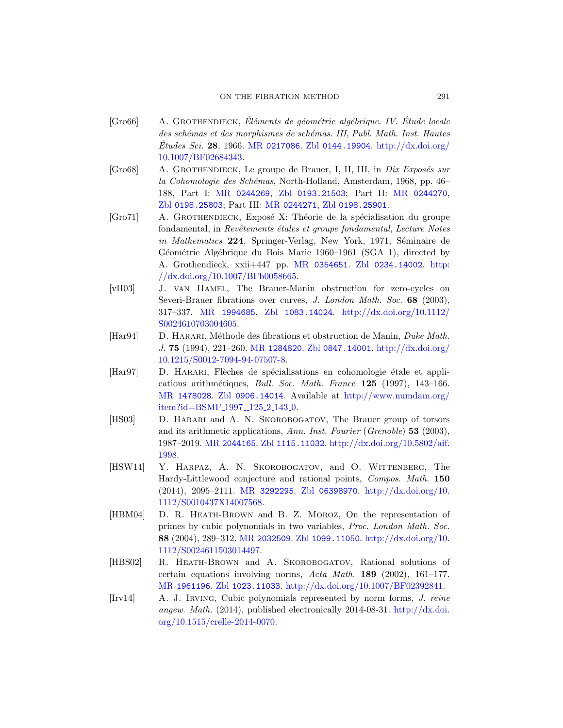#### ON THE FIBRATION METHOD 291

- <span id="page-62-8"></span><span id="page-62-7"></span><span id="page-62-6"></span>[\[Gr](http://www.zentralblatt-math.org/zmath/en/search/?q=an:0198.25803)o66] [A](http://www.ams.org/mathscinet-getitem?mr=0244269). GROTHENDIECK, Éléments de géométrie algébrique. IV. Étude locale des schémas et des morphismes de schémas. III, Publ. Math. Inst. Hautes  $\textit{Études } Sci. 28, 1966. MR$  0217086. Zbl 0144.19904. http://dx.doi.org/ 10.1007/BF02684343.
- $[Gro68]$  A. GROTHENDIECK, Le groupe de Brauer, I, II, III, in *Dix Exposés sur* la Coho[mologie des Sc](http://www.ams.org/mathscinet-getitem?mr=0354651)hémas[, North-Holla](http://www.zentralblatt-math.org/zmath/en/search/?q=an:0234.14002)[nd, A](http://dx.doi.org/10.1007/BFb0058665)msterdam, 1968, pp. 46– [188, Part](http://dx.doi.org/10.1007/BFb0058665) I: MR 0244269, Zbl 0193.21503; Part II: MR 0244270, Zbl 0198.25803; Part III: MR 0244271, Zbl 0198.25901.
- <span id="page-62-4"></span><span id="page-62-0"></span>[Gro71] A. GROTHENDIECK, Exposé X: Théorie de la spécialisation du groupe f[ondamental, in](http://www.zentralblatt-math.org/zmath/en/search/?q=an:1083.14024) Revêtements étales et groupe fondamental, Lecture Notes in Mathematics 224, Springer-Verlag, New York, 1971, Séminaire de Géométrie Algébrique du Bois Marie 1960–1961 (SGA 1), directed by [A. Grothe](http://www.ams.org/mathscinet-getitem?mr=1284820)[ndieck, xxii+447](http://www.zentralblatt-math.org/zmath/en/search/?q=an:0847.14001) pp. MR [0354651](http://dx.doi.org/10.1215/S0012-7094-94-07507-8). Zbl 0234.14002. http: [//dx.d](http://dx.doi.org/10.1215/S0012-7094-94-07507-8)oi.org/10.1007/BFb0058665.
- <span id="page-62-3"></span>[vH03] J. van Hamel, The Brauer-Manin obstruction for zero-cycles on Severi-Brauer fibrations over curves, J. London Math. Soc. 68 (2003), [317–33](http://www.zentralblatt-math.org/zmath/en/search/?q=an:0906.14014)7. MR 1994685. Zbl [1083.14024](http://www.numdam.org/item?id=BSMF_1997__125_2_143_0). http://dx.doi.org/10.1112/ [S00246107](http://www.numdam.org/item?id=BSMF_1997__125_2_143_0)03004605.
- [Har94] D. HARARI, Méthode des fibrations et obstruction de Manin, *Duke Math.* J. 75 (1994), 221–260. MR 1284820. Zbl 0847.14001. http://dx.doi.org/ [10.1215/S0012-7](http://www.zentralblatt-math.org/zmath/en/search/?q=an:1115.11032)[094-94-07507-8.](http://dx.doi.org/10.5802/aif.1998)
- <span id="page-62-2"></span>[\[Har97\]](http://www.ams.org/mathscinet-getitem?mr=2044165) D. HARARI, Flèches de spécialisations en cohomologie étale et applications arithmétiques, *Bull. Soc. Math. France* 125 (1997), 143-166. MR 1478028. Zbl 0906.14014. Available at http://www.numdam.org/ [item?id=](http://www.ams.org/mathscinet-getitem?mr=3292295)[BSMF](http://www.zentralblatt-math.org/zmath/en/search/?q=an:06398970)<sub>-1997--125-2-143-0</sub>.
- <span id="page-62-9"></span>[\[HS03\]](http://dx.doi.org/10.1112/S0010437X14007568) D. Harari and A. N. [Skorobogatov](http://dx.doi.org/10.1112/S0010437X14007568), The Brauer group of torsors and its arithmetic applications, Ann. Inst. Fourier (Grenoble) 53 (2003), 1987–2019. MR 2044165. Zbl 1115.11032. http://dx.doi.org/10.5802/aif. [1998.](http://www.ams.org/mathscinet-getitem?mr=2032509)
- <span id="page-62-1"></span>[\[HSW14\]](http://dx.doi.org/10.1112/S0024611503014497) Y. Harpaz, [A. N. S](http://www.zentralblatt-math.org/zmath/en/search/?q=an:1099.11050)[korobogatov](http://dx.doi.org/10.1112/S0024611503014497), and O. Wittenberg, The Hardy-Littlewood conjecture and rational points, Compos. Math. 150 (2014), 2095–2111. MR 3292295. Zbl 06398970. http://dx.doi.org/10. [1112/](http://www.zentralblatt-math.org/zmath/en/search/?q=an:1023.11033)[S0010437X14007568.](http://dx.doi.org/10.1007/BF02392841)
- <span id="page-62-5"></span>[\[](http://www.ams.org/mathscinet-getitem?mr=1961196)HBM04] D. R. Heath-Brown and B. Z. Moroz, On the representation of primes by cubic polynomials in [two variables,](http://dx.doi.org/10.1515/crelle-2014-0070) Proc. London Math. Soc. [88](http://dx.doi.org/10.1515/crelle-2014-0070) (2004), 289–312. MR 2032509. Zbl 1099.11050. http://dx.doi.org/10. 1112/S0024611503014497.
- [HBS02] R. Heath-Brown and A. Skorobogatov, Rational solutions of certain equations involving norms, Acta Math. 189 (2002), 161–177. MR 1961196. Zbl 1023.11033. http://dx.doi.org/10.1007/BF02392841.
- [Irv14] A. J. Irving, Cubic polynomials represented by norm forms, J. reine angew. Math. (2014), published electronically 2014-08-31. http://dx.doi. org/10.1515/crelle-2014-0070.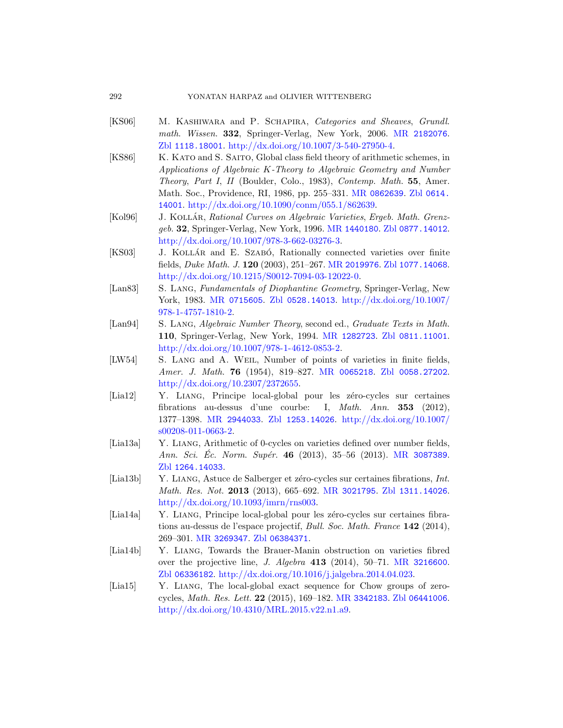# 292 YONATAN HARPAZ and OLIVIER WITTENBERG

- [KS06] M. KASHIWARA and P. SCHAPIRA, [Categorie](http://www.zentralblatt-math.org/zmath/en/search/?q=an:0614.14001)s and Sheaves, Grundl. math. Wissen. 332, Springer-Verlag, New York, 2006. MR 2182076. Zbl 1118.18001. [http://dx.do](http://www.ams.org/mathscinet-getitem?mr=1440180)[i.org/10.1007/3-5](http://www.zentralblatt-math.org/zmath/en/search/?q=an:0877.14012)40-27950-4.
- [KS86] K. KATO and S. SAITO, Global class field theory of arithmetic schemes, in [Applications of Algeb](http://dx.doi.org/10.1007/978-3-662-03276-3)raic K-Theory to Algebraic Geometry and Number Theory, Part I, II [\(Boulder,](http://www.ams.org/mathscinet-getitem?mr=2019976) [Colo., 1983\),](http://www.zentralblatt-math.org/zmath/en/search/?q=an:1077.14068) Contemp. Math. 55, Amer. [Math. Soc., Providence, R](http://dx.doi.org/10.1215/S0012-7094-03-12022-0)I, 1986, pp. 255–331. MR 0862639. Zbl 0614. 14001. http://dx.doi.org/10.1090/conm/055.1/862639.
- <span id="page-63-3"></span>[\[Kol96\]](http://www.ams.org/mathscinet-getitem?mr=0715605) J. KOLLÁR, [Rationa](http://www.zentralblatt-math.org/zmath/en/search/?q=an:0528.14013)[l Curves on Algebraic Varie](http://dx.doi.org/10.1007/978-1-4757-1810-2)ties, Ergeb. Math. Grenzgeb. 32, Springer-Verlag, New York, 1996. MR 1440180. Zbl 0877.14012. http://dx.doi.org/10.1007/978-3-662-03276-3.
- <span id="page-63-7"></span>[KS03] J. KOLLÁR and E. SZABÓ, [Rationally conne](http://www.zentralblatt-math.org/zmath/en/search/?q=an:0811.11001)cted varieties over finite fields, [Duke Math](http://dx.doi.org/10.1007/978-1-4612-0853-2). J. 120 (2003), 251–267. MR 2019976. Zbl 1077.14068. http://dx.doi.org/10.1215/S0012-7094-03-12022-0.
- <span id="page-63-4"></span>[Lan83] S. LANG, Fun[damentals of D](http://www.ams.org/mathscinet-getitem?mr=0065218)i[ophantine Geome](http://www.zentralblatt-math.org/zmath/en/search/?q=an:0058.27202)try, Springer-Verlag, New [York, 1983](http://dx.doi.org/10.2307/2372655). MR 0715605. Zbl 0528.14013. http://dx.doi.org/10.1007/ 978-1-4757-1810-2.
- <span id="page-63-6"></span>[Lan94] S. Lang, Algebraic Number Theory, second ed., Graduate Texts in Math. [1](http://www.ams.org/mathscinet-getitem?mr=2944033)10[, Springer-Verla](http://www.zentralblatt-math.org/zmath/en/search/?q=an:1253.14026)[g, New York, 1994.](http://dx.doi.org/10.1007/s00208-011-0663-2) MR 1282723. Zbl 0811.11001. http://dx.doi.org/10.1007/978-1-4612-0853-2.
- <span id="page-63-0"></span>[\[LW54](http://dx.doi.org/10.1007/s00208-011-0663-2)] S. LANG and A. WEIL, Number of points of varieties in finite fields, Amer. J. Math. 76 (1954), 819-827. MR 0065218. Zbl 0058.27202. http://dx.doi.org/10.2307/2372655.
- <span id="page-63-2"></span>[Lia12] Y. LIANG, Principe local-global pour les zéro-cycles sur certaines fibrations au-[dessus d'une](http://www.ams.org/mathscinet-getitem?mr=3021795) [courbe: I,](http://www.zentralblatt-math.org/zmath/en/search/?q=an:1311.14026) Math. Ann. 353 (2012), [1377–1398.](http://dx.doi.org/10.1093/imrn/rns003) MR 2944033. Zbl 1253.14026. http://dx.doi.org/10.1007/ s00208-011-0663-2.
- [Lia13a] Y. LIANG, Arithmetic of 0-cycles on varieties defined over number fields, [Ann](http://www.zentralblatt-math.org/zmath/en/search/?q=an:06384371). Sci. Éc. Norm. Supér. 46 (2013), 35–56 (2013). MR 3087389. Zbl 1264.14033.
- <span id="page-63-5"></span>[Lia13b] Y. LIANG, Astuce de Salberger et zéro-cycles sur certaines fibrations, Int. Math. Res. Not. 2013 [\(2013\), 665–692](http://dx.doi.org/10.1016/j.jalgebra.2014.04.023). MR 3021795. Zbl 1311.14026. http://dx.doi.org/10.1093/imrn/rns003.
- <span id="page-63-1"></span>[Lia14a] Y. LIANG, Princip[e local-global](http://www.ams.org/mathscinet-getitem?mr=3342183) pour les zéro-cycles sur certaines fibra[tions au-dessus de l'esp](http://dx.doi.org/10.4310/MRL.2015.v22.n1.a9)ace projectif, Bull. Soc. Math. France 142 (2014), 269–301. MR 3269347. Zbl 06384371.
- [Lia14b] Y. Liang, Towards the Brauer-Manin obstruction on varieties fibred over the projective line, J. Algebra 413 (2014), 50–71. MR 3216600. Zbl 06336182. http://dx.doi.org/10.1016/j.jalgebra.2014.04.023.
- [Lia15] Y. Liang, The local-global exact sequence for Chow groups of zerocycles, Math. Res. Lett. 22 (2015), 169–182. MR 3342183. Zbl 06441006. http://dx.doi.org/10.4310/MRL.2015.v22.n1.a9.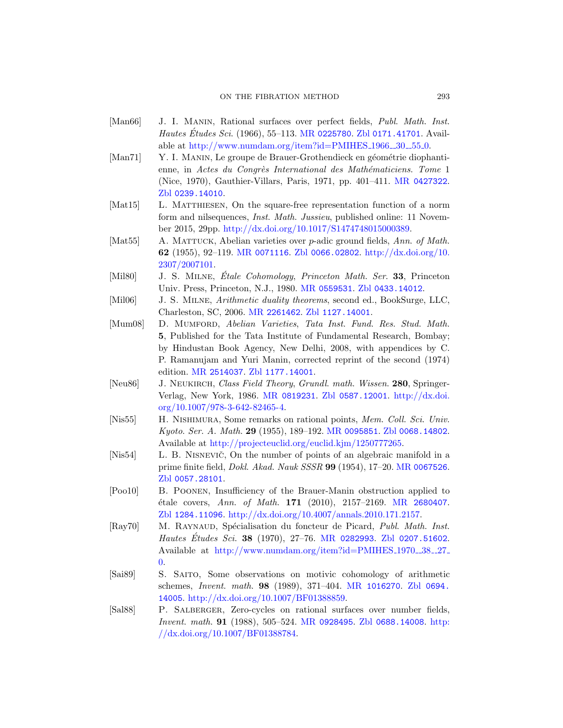#### ON THE FIBRATI[ON METHOD](http://www.ams.org/mathscinet-getitem?mr=0427322) 293

- <span id="page-64-11"></span><span id="page-64-3"></span><span id="page-64-2"></span>[Man66] J. I. MANIN, Rational surfaces over perfect fields, Publ. Math. Inst. *Hautes Études Sci.* (1966), 55–113. MR 0225780. Zbl 0171.41701. Available at [http://www.numdam.org/item](http://dx.doi.org/10.1017/S1474748015000389)?id=PMIHES\_1966\_30\_55\_0.
- <span id="page-64-9"></span>[Man71] Y. I. MANIN, Le groupe de Brauer-Grothendieck en géométrie diophanti[enne, in](http://www.ams.org/mathscinet-getitem?mr=0071116) [Actes du Congr](http://www.zentralblatt-math.org/zmath/en/search/?q=an:0066.02802)ès International des Mathématiciens. Tome 1 (Nice, 1970), Gauthier-Villars, Paris, 1971, pp. 401–411. MR 0427322. Zbl 0239.14010.
- <span id="page-64-5"></span><span id="page-64-4"></span>[Mat15] L. MATTHIESEN[, On th](http://www.ams.org/mathscinet-getitem?mr=0559531)[e square-free rep](http://www.zentralblatt-math.org/zmath/en/search/?q=an:0433.14012)resentation function of a norm form and nilsequences, Inst. Math. Jussieu, published online: 11 Novem[ber 2015, 2](http://www.ams.org/mathscinet-getitem?mr=2261462)9pp. [http://dx.do](http://www.zentralblatt-math.org/zmath/en/search/?q=an:1127.14001)i.org/10.1017/S1474748015000389.
- <span id="page-64-8"></span>[Mat55] A. MATTUCK, Abelian varieties over p-adic ground fields, Ann. of Math. 62 (1955), 92–119. MR 0071116. Zbl 0066.02802. http://dx.doi.org/10. 2307/2007101.
- [Mil80] J. S. MILNE, *Etale Cohomology, Princeton Math. Ser.* 33, Princeton [Univ. Press, P](http://www.zentralblatt-math.org/zmath/en/search/?q=an:1177.14001)rinceton, N.J., 1980. MR 0559531. Zbl 0433.14012.
- <span id="page-64-6"></span>[Mil06] J. S. Milne, Arithmetic duality theorems, second ed., BookSurge, LLC, [Charleston, SC](http://www.ams.org/mathscinet-getitem?mr=0819231)[, 2006.](http://www.zentralblatt-math.org/zmath/en/search/?q=an:0587.12001) MR 2261462. Zbl [1127.1](http://dx.doi.org/10.1007/978-3-642-82465-4)4001.
- [\[Mum08\]](http://dx.doi.org/10.1007/978-3-642-82465-4) D. Mumford, Abelian Varieties, Tata Inst. Fund. Res. Stud. Math. 5, Published for the Tata Institute of Fundamental Research, Bombay; by Hindustan [Book Agency,](http://www.ams.org/mathscinet-getitem?mr=0095851) [New Delhi, 2008](http://www.zentralblatt-math.org/zmath/en/search/?q=an:0068.14802), with appendices by C. [P. Ramanujam and Yuri Manin, co](http://projecteuclid.org/euclid.kjm/1250777265)rrected reprint of the second (1974) edition. MR 2514037. Zbl 1177.14001.
- <span id="page-64-7"></span>[Neu86] J. NEUKIRCH, Class Field Theory, [Grundl](http://www.ams.org/mathscinet-getitem?mr=0067526). math. Wissen. 280, Springer-Verlag, New York, 1986. MR 0819231. Zbl 0587.12001. http://dx.doi. org/10.1007/978-3-642-82465-4.
- <span id="page-64-10"></span>[Nis55] H. NISHIMURA, Some remarks o[n rational poin](http://www.ams.org/mathscinet-getitem?mr=2680407)ts, *Mem. Coll. Sci. Univ.* Kyoto. Ser. A. Math. 29 [\(1955\), 189–192](http://dx.doi.org/10.4007/annals.2010.171.2157). MR 0095851. Zbl 0068.14802. Available at http://projecteuclid.org/euclid.kjm/1250777265.
- [Nis54] L. B. NISNEVIC<sup>\*</sup>[, On the num](http://www.ams.org/mathscinet-getitem?mr=0282993)[ber of points of a](http://www.zentralblatt-math.org/zmath/en/search/?q=an:0207.51602)n algebraic manifold in a [prime finite field,](http://www.numdam.org/item?id=PMIHES_1970__38__27_0) Dokl. Akad. Nauk SSSR 99 (1954), 17–20. MR 0067526. Zbl 0057.28101.
- <span id="page-64-0"></span>[Poo10] B. Poonen, Insufficiency of the Brauer-Manin obstruction applied to ´etale covers, Ann. [of Math](http://www.ams.org/mathscinet-getitem?mr=1016270). 171 [\(2010\), 21](http://www.zentralblatt-math.org/zmath/en/search/?q=an:0694.14005)57–2169. MR 2680407. Zbl [1284.11096](http://dx.doi.org/10.1007/BF01388859). http://dx.doi.org/10.4007/annals.2010.171.2157.
- <span id="page-64-1"></span>[Ray70] M. RAYNAUD, Spécialisation du foncteur de Picard, Publ. Math. Inst. Hautes É[tudes Sci](http://www.ams.org/mathscinet-getitem?mr=0928495). 38 (1970), 27-76. MR [02](http://dx.doi.org/10.1007/BF01388784)82993. Zbl 0207.51602. [Available](http://dx.doi.org/10.1007/BF01388784) at http://www.numdam.org/item?id=PMIHES\_1970\_38\_27\_ 0.
- [Sai89] S. Saito, Some observations on motivic cohomology of arithmetic schemes, Invent. math. 98 (1989), 371–404. MR 1016270. Zbl 0694. 14005. http://dx.doi.org/10.1007/BF01388859.
- [Sal88] P. Salberger, Zero-cycles on rational surfaces over number fields, Invent. math. 91 (1988), 505–524. MR 0928495. Zbl 0688.14008. http: //dx.doi.org/10.1007/BF01388784.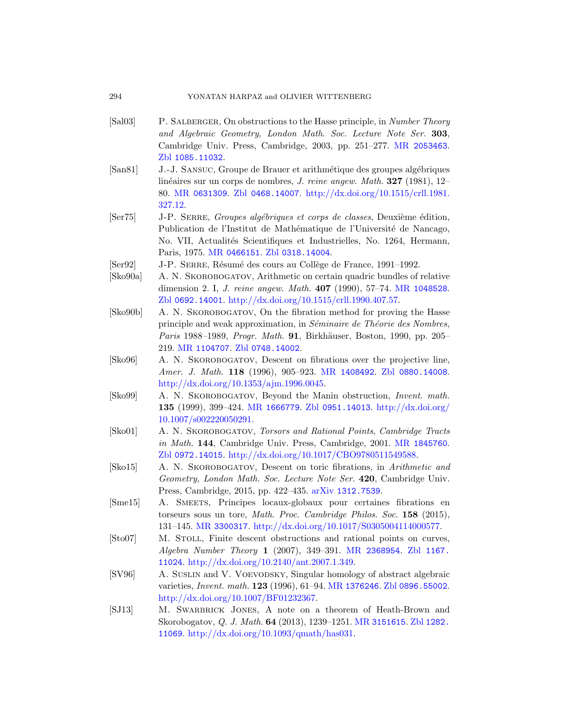# <span id="page-65-2"></span>294 YONATAN HARPAZ and OLIVIER WITTENBERG

- [\[Sal0](http://www.ams.org/mathscinet-getitem?mr=0631309)3] P. SALBERGER[, On obstructions to the Hasse pri](http://dx.doi.org/10.1515/crll.1981.327.12)nciple, in Number Theory and Algebraic Geometry, London Math. Soc. Lecture Note Ser. 303, Cambridge Univ. Press, Cambridge, 2003, pp. 251–277. MR 2053463. Zbl 1085.11032.
- <span id="page-65-9"></span><span id="page-65-4"></span>[\[San81\]](http://www.ams.org/mathscinet-getitem?mr=0466151) J[.-J. Sansuc](http://www.zentralblatt-math.org/zmath/en/search/?q=an:0318.14004), Groupe de Brauer et arithm´etique des groupes alg´ebriques linéaires sur un corps de nombres, *J. reine angew. Math.* **327** (1981), 12– 80. MR 0631309. Zbl 0468.14007. http://dx.doi.org/10.1515/crll.1981. 327.12.
- <span id="page-65-3"></span>[\[Ser](http://www.zentralblatt-math.org/zmath/en/search/?q=an:0692.14001)75] J-P. SERRE, Groupes algébriques e[t corps de c](http://www.ams.org/mathscinet-getitem?mr=1048528)lasses, Deuxième édition, Publication de l'Institut de Mathématique de l'Université de Nancago, No. VII, Actualités Scientifiques et Industrielles, No. 1264, Hermann, Paris, 1975. MR 0466151. Zbl 0318.14004.
- [\[Ser92](http://www.ams.org/mathscinet-getitem?mr=1104707)] J-P. SERRE, Résumé des cours au Collège de France, 1991–1992.
- <span id="page-65-6"></span>[Sko90a] A. N. Skorobogatov, Arithmetic on certain quadric bundles of relative dimension 2. I, J. [reine ange](http://www.ams.org/mathscinet-getitem?mr=1408492)w. [Math](http://www.zentralblatt-math.org/zmath/en/search/?q=an:0880.14008). 407 (1990), 57–74. MR 1048528. Zbl [0692.14001](http://dx.doi.org/10.1353/ajm.1996.0045). http://dx.doi.org/10.1515/crll.1990.407.57.
- <span id="page-65-0"></span>[Sko90b] A. N. Skorobogatov, On the fibration method for proving the Hasse [principle a](http://www.ams.org/mathscinet-getitem?mr=1666779)[nd weak approxim](http://www.zentralblatt-math.org/zmath/en/search/?q=an:0951.14013)ation, in Séminaire de Théorie des Nombres, Paris 1988–1989, Progr. Math. 91, Birkhäuser, Boston, 1990, pp. 205– 219. MR 1104707. Zbl 0748.14002.
- <span id="page-65-1"></span>[Sko96] A. N. Skorobogatov, Descen[t on fibrations](http://www.ams.org/mathscinet-getitem?mr=1845760) over the projective line, Amer. J. Math. 118 (1996), 905-923. MR 1408492. Zbl 0880.14008. http://dx.doi.org/10.1353/ajm.1996.0045.
- <span id="page-65-10"></span>[Sko99] A. N. Skorobogatov, Beyond the Manin obstruction, Invent. math. 135 (1999), [399–424.](http://www.arxiv.org/abs/1312.7539) MR 1666779. Zbl 0951.14013. http://dx.doi.org/ 10.1007/s002220050291.
- <span id="page-65-5"></span>[Sko01] A. N. Skorobogatov, Torsors and Rational Points, Cambridge Tracts in Math. 144[, Cambridge Univ. Press, Camb](http://dx.doi.org/10.1017/S0305004114000577)ridge, 2001. MR 1845760. Zbl 0972.14015. http://dx.doi.org/10.1017/CBO9780511549588.
- <span id="page-65-8"></span>[Sko15] A. N. Skorobogatov[, Descent o](http://www.ams.org/mathscinet-getitem?mr=2368954)[n toric fibra](http://www.zentralblatt-math.org/zmath/en/search/?q=an:1167.11024)tions, in Arithmetic and Geometry, [London Math](http://dx.doi.org/10.2140/ant.2007.1.349). Soc. Lecture Note Ser. 420, Cambridge Univ. Press, Cambridge, 2015, pp. 422–435. arXiv 1312.7539.
- <span id="page-65-7"></span>[Sme15] A. Smeets, P[rincipes loca](http://www.ams.org/mathscinet-getitem?mr=1376246)[ux-globaux pour](http://www.zentralblatt-math.org/zmath/en/search/?q=an:0896.55002) certaines fibrations en [torseurs sous u](http://dx.doi.org/10.1007/BF01232367)n tore, Math. Proc. Cambridge Philos. Soc. 158 (2015), 131–145. MR 3300317. http://dx.doi.org/10.1017/S0305004114000577.
- [Sto07] M. STOLL, Finite des[cent obstructi](http://www.ams.org/mathscinet-getitem?mr=3151615)[ons and ra](http://www.zentralblatt-math.org/zmath/en/search/?q=an:1282.11069)tional points on curves, [Algebra Number Theory](http://dx.doi.org/10.1093/qmath/has031) 1 (2007), 349–391. MR 2368954. Zbl 1167. 11024. http://dx.doi.org/10.2140/ant.2007.1.349.
- [SV96] A. Suslin and V. Voevodsky, Singular homology of abstract algebraic varieties, Invent. math. 123 (1996), 61–94. MR 1376246. Zbl 0896.55002. http://dx.doi.org/10.1007/BF01232367.
- [SJ13] M. SWARBRICK JONES, A note on a theorem of Heath-Brown and Skorobogatov, Q. J. Math. 64 (2013), 1239–1251. MR 3151615. Zbl 1282. 11069. http://dx.doi.org/10.1093/qmath/has031.